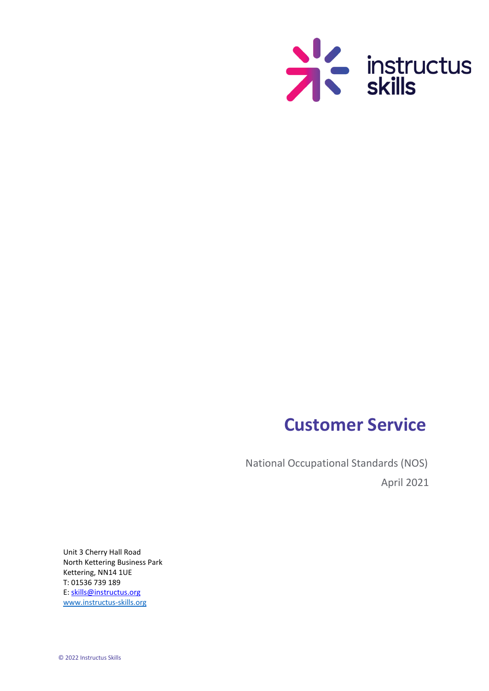

# **Customer Service**

National Occupational Standards (NOS) April 2021

Unit 3 Cherry Hall Road North Kettering Business Park Kettering, NN14 1UE T: 01536 739 189 E: skills@instructus.org [www.instructus-skills.org](http://www.instructus-skills.org/)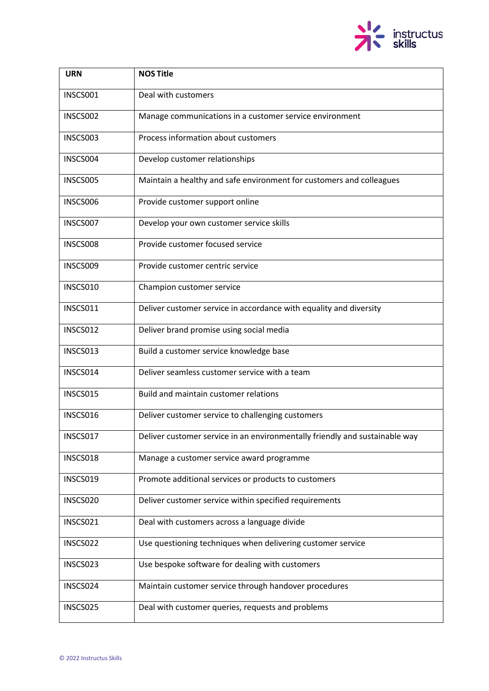

| <b>URN</b> | <b>NOS Title</b>                                                            |
|------------|-----------------------------------------------------------------------------|
| INSCS001   | Deal with customers                                                         |
| INSCS002   | Manage communications in a customer service environment                     |
| INSCS003   | Process information about customers                                         |
| INSCS004   | Develop customer relationships                                              |
| INSCS005   | Maintain a healthy and safe environment for customers and colleagues        |
| INSCS006   | Provide customer support online                                             |
| INSCS007   | Develop your own customer service skills                                    |
| INSCS008   | Provide customer focused service                                            |
| INSCS009   | Provide customer centric service                                            |
| INSCS010   | Champion customer service                                                   |
| INSCS011   | Deliver customer service in accordance with equality and diversity          |
| INSCS012   | Deliver brand promise using social media                                    |
| INSCS013   | Build a customer service knowledge base                                     |
| INSCS014   | Deliver seamless customer service with a team                               |
| INSCS015   | Build and maintain customer relations                                       |
| INSCS016   | Deliver customer service to challenging customers                           |
| INSCS017   | Deliver customer service in an environmentally friendly and sustainable way |
| INSCS018   | Manage a customer service award programme                                   |
| INSCS019   | Promote additional services or products to customers                        |
| INSCS020   | Deliver customer service within specified requirements                      |
| INSCS021   | Deal with customers across a language divide                                |
| INSCS022   | Use questioning techniques when delivering customer service                 |
| INSCS023   | Use bespoke software for dealing with customers                             |
| INSCS024   | Maintain customer service through handover procedures                       |
| INSCS025   | Deal with customer queries, requests and problems                           |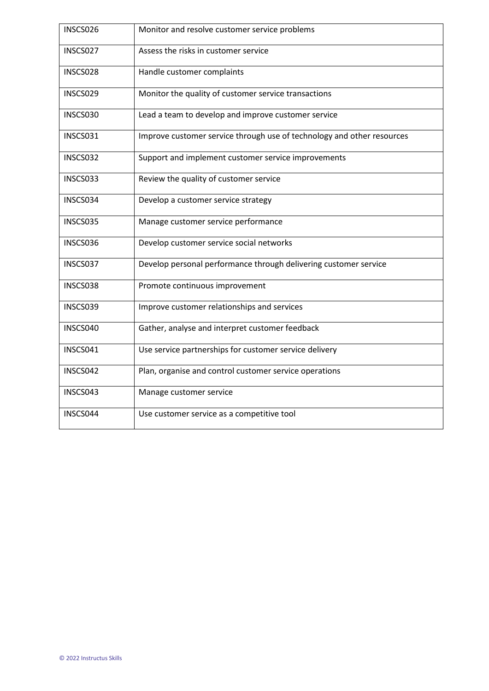| INSCS026 | Monitor and resolve customer service problems                          |
|----------|------------------------------------------------------------------------|
| INSCS027 | Assess the risks in customer service                                   |
| INSCS028 | Handle customer complaints                                             |
| INSCS029 | Monitor the quality of customer service transactions                   |
| INSCS030 | Lead a team to develop and improve customer service                    |
| INSCS031 | Improve customer service through use of technology and other resources |
| INSCS032 | Support and implement customer service improvements                    |
| INSCS033 | Review the quality of customer service                                 |
| INSCS034 | Develop a customer service strategy                                    |
| INSCS035 | Manage customer service performance                                    |
| INSCS036 | Develop customer service social networks                               |
| INSCS037 | Develop personal performance through delivering customer service       |
| INSCS038 | Promote continuous improvement                                         |
| INSCS039 | Improve customer relationships and services                            |
| INSCS040 | Gather, analyse and interpret customer feedback                        |
| INSCS041 | Use service partnerships for customer service delivery                 |
| INSCS042 | Plan, organise and control customer service operations                 |
| INSCS043 | Manage customer service                                                |
| INSCS044 | Use customer service as a competitive tool                             |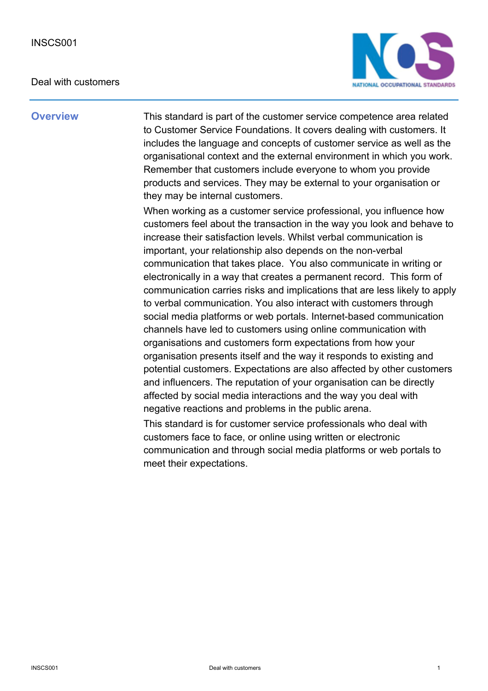#### Deal with customers



**Overview** This standard is part of the customer service competence area related to Customer Service Foundations. It covers dealing with customers. It includes the language and concepts of customer service as well as the organisational context and the external environment in which you work. Remember that customers include everyone to whom you provide products and services. They may be external to your organisation or they may be internal customers.

> When working as a customer service professional, you influence how customers feel about the transaction in the way you look and behave to increase their satisfaction levels. Whilst verbal communication is important, your relationship also depends on the non-verbal communication that takes place. You also communicate in writing or electronically in a way that creates a permanent record. This form of communication carries risks and implications that are less likely to apply to verbal communication. You also interact with customers through social media platforms or web portals. Internet-based communication channels have led to customers using online communication with organisations and customers form expectations from how your organisation presents itself and the way it responds to existing and potential customers. Expectations are also affected by other customers and influencers. The reputation of your organisation can be directly affected by social media interactions and the way you deal with negative reactions and problems in the public arena.

This standard is for customer service professionals who deal with customers face to face, or online using written or electronic communication and through social media platforms or web portals to meet their expectations.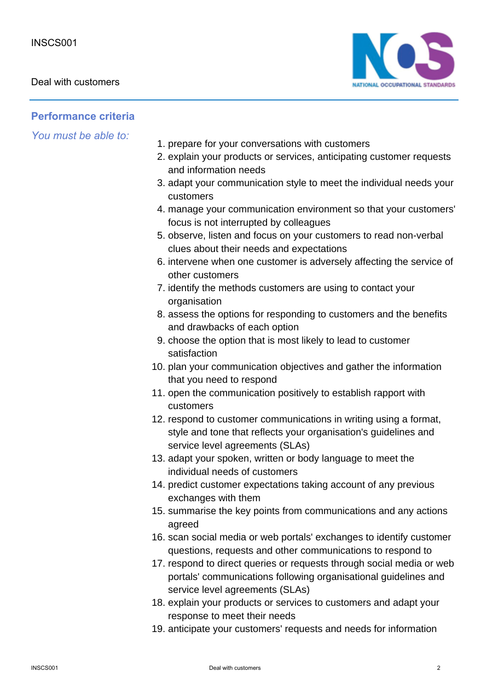

### **Performance criteria**

- 1. prepare for your conversations with customers
- 2. explain your products or services, anticipating customer requests and information needs
- 3. adapt your communication style to meet the individual needs your customers
- manage your communication environment so that your customers' 4. focus is not interrupted by colleagues
- 5. observe, listen and focus on your customers to read non-verbal clues about their needs and expectations
- 6. intervene when one customer is adversely affecting the service of other customers
- 7. identify the methods customers are using to contact your organisation
- 8. assess the options for responding to customers and the benefits and drawbacks of each option
- 9. choose the option that is most likely to lead to customer satisfaction
- 10. plan your communication objectives and gather the information that you need to respond
- 11. open the communication positively to establish rapport with customers
- 12. respond to customer communications in writing using a format, style and tone that reflects your organisation's guidelines and service level agreements (SLAs)
- 13. adapt your spoken, written or body language to meet the individual needs of customers
- 14. predict customer expectations taking account of any previous exchanges with them
- 15. summarise the key points from communications and any actions agreed
- 16. scan social media or web portals' exchanges to identify customer questions, requests and other communications to respond to
- 17. respond to direct queries or requests through social media or web portals' communications following organisational guidelines and service level agreements (SLAs)
- 18. explain your products or services to customers and adapt your response to meet their needs
- 19. anticipate your customers' requests and needs for information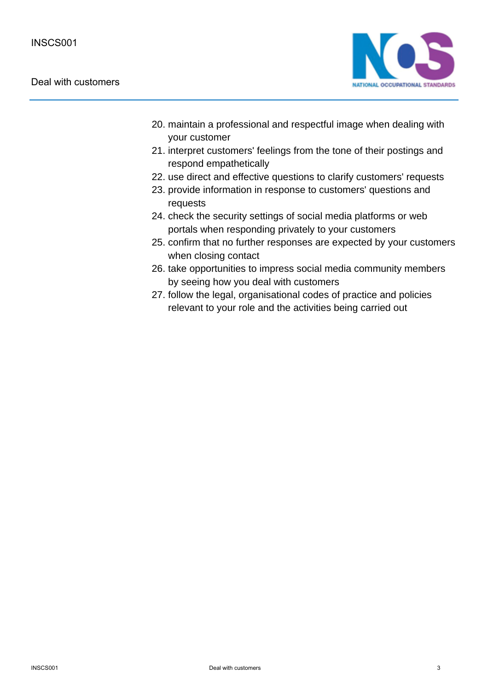#### Deal with customers



- 20. maintain a professional and respectful image when dealing with your customer
- 21. interpret customers' feelings from the tone of their postings and respond empathetically
- 22. use direct and effective questions to clarify customers' requests
- 23. provide information in response to customers' questions and requests
- 24. check the security settings of social media platforms or web portals when responding privately to your customers
- 25. confirm that no further responses are expected by your customers when closing contact
- 26. take opportunities to impress social media community members by seeing how you deal with customers
- 27. follow the legal, organisational codes of practice and policies relevant to your role and the activities being carried out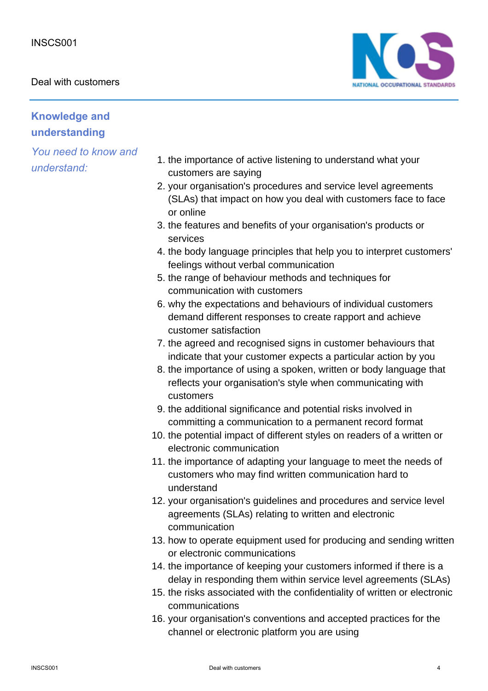

# **Knowledge and understanding**

- 1. the importance of active listening to understand what your customers are saying
- 2. your organisation's procedures and service level agreements (SLAs) that impact on how you deal with customers face to face or online
- 3. the features and benefits of your organisation's products or services
- 4. the body language principles that help you to interpret customers' feelings without verbal communication
- 5. the range of behaviour methods and techniques for communication with customers
- 6. why the expectations and behaviours of individual customers demand different responses to create rapport and achieve customer satisfaction
- 7. the agreed and recognised signs in customer behaviours that indicate that your customer expects a particular action by you
- 8. the importance of using a spoken, written or body language that reflects your organisation's style when communicating with customers
- 9. the additional significance and potential risks involved in committing a communication to a permanent record format
- 10. the potential impact of different styles on readers of a written or electronic communication
- 11. the importance of adapting your language to meet the needs of customers who may find written communication hard to understand
- 12. your organisation's guidelines and procedures and service level agreements (SLAs) relating to written and electronic communication
- 13. how to operate equipment used for producing and sending written or electronic communications
- 14. the importance of keeping your customers informed if there is a delay in responding them within service level agreements (SLAs)
- 15. the risks associated with the confidentiality of written or electronic communications
- 16. your organisation's conventions and accepted practices for the channel or electronic platform you are using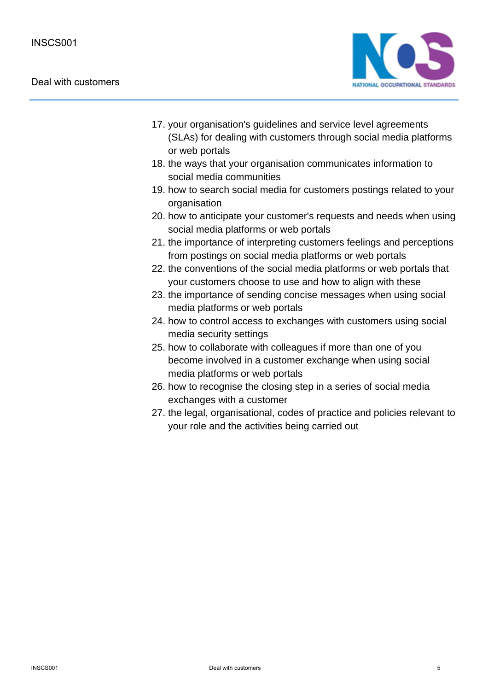#### Deal with customers



- 17. your organisation's guidelines and service level agreements (SLAs) for dealing with customers through social media platforms or web portals
- 18. the ways that your organisation communicates information to social media communities
- 19. how to search social media for customers postings related to your organisation
- 20. how to anticipate your customer's requests and needs when using social media platforms or web portals
- 21. the importance of interpreting customers feelings and perceptions from postings on social media platforms or web portals
- 22. the conventions of the social media platforms or web portals that your customers choose to use and how to align with these
- 23. the importance of sending concise messages when using social media platforms or web portals
- 24. how to control access to exchanges with customers using social media security settings
- 25. how to collaborate with colleagues if more than one of you become involved in a customer exchange when using social media platforms or web portals
- 26. how to recognise the closing step in a series of social media exchanges with a customer
- 27. the legal, organisational, codes of practice and policies relevant to your role and the activities being carried out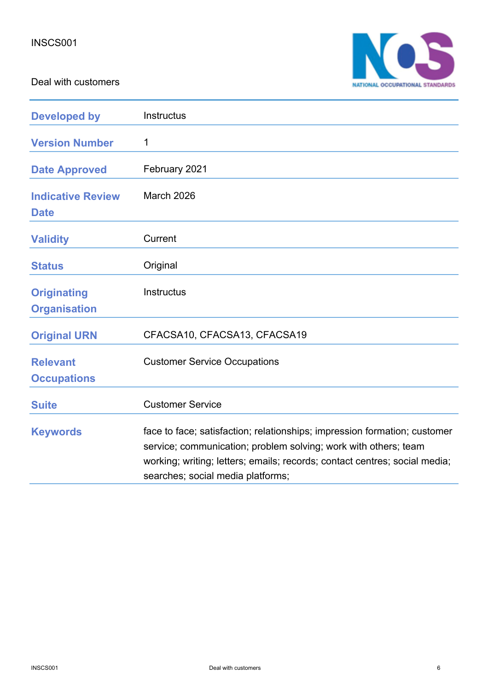Deal with customers



| <b>Developed by</b>                       | Instructus                                                                                                                                                                                                                                                      |
|-------------------------------------------|-----------------------------------------------------------------------------------------------------------------------------------------------------------------------------------------------------------------------------------------------------------------|
| <b>Version Number</b>                     | 1                                                                                                                                                                                                                                                               |
| <b>Date Approved</b>                      | February 2021                                                                                                                                                                                                                                                   |
| <b>Indicative Review</b><br><b>Date</b>   | March 2026                                                                                                                                                                                                                                                      |
| <b>Validity</b>                           | Current                                                                                                                                                                                                                                                         |
| <b>Status</b>                             | Original                                                                                                                                                                                                                                                        |
| <b>Originating</b><br><b>Organisation</b> | Instructus                                                                                                                                                                                                                                                      |
| <b>Original URN</b>                       | CFACSA10, CFACSA13, CFACSA19                                                                                                                                                                                                                                    |
| <b>Relevant</b><br><b>Occupations</b>     | <b>Customer Service Occupations</b>                                                                                                                                                                                                                             |
| <b>Suite</b>                              | <b>Customer Service</b>                                                                                                                                                                                                                                         |
| <b>Keywords</b>                           | face to face; satisfaction; relationships; impression formation; customer<br>service; communication; problem solving; work with others; team<br>working; writing; letters; emails; records; contact centres; social media;<br>searches; social media platforms; |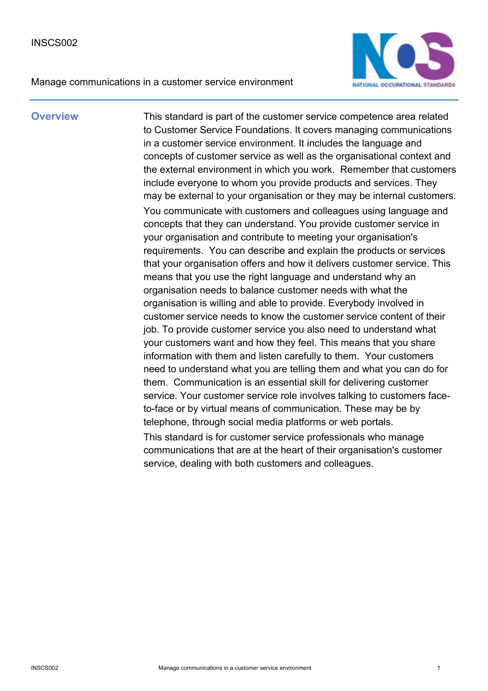Manage communications in a customer service environment



**Overview** This standard is part of the customer service competence area related to Customer Service Foundations. It covers managing communications in a customer service environment. It includes the language and concepts of customer service as well as the organisational context and the external environment in which you work. Remember that customers include everyone to whom you provide products and services. They may be external to your organisation or they may be internal customers. You communicate with customers and colleagues using language and concepts that they can understand. You provide customer service in your organisation and contribute to meeting your organisation's requirements. You can describe and explain the products or services that your organisation offers and how it delivers customer service. This means that you use the right language and understand why an organisation needs to balance customer needs with what the organisation is willing and able to provide. Everybody involved in customer service needs to know the customer service content of their job. To provide customer service you also need to understand what your customers want and how they feel. This means that you share information with them and listen carefully to them. Your customers need to understand what you are telling them and what you can do for them. Communication is an essential skill for delivering customer service. Your customer service role involves talking to customers faceto-face or by virtual means of communication. These may be by telephone, through social media platforms or web portals. This standard is for customer service professionals who manage communications that are at the heart of their organisation's customer service, dealing with both customers and colleagues.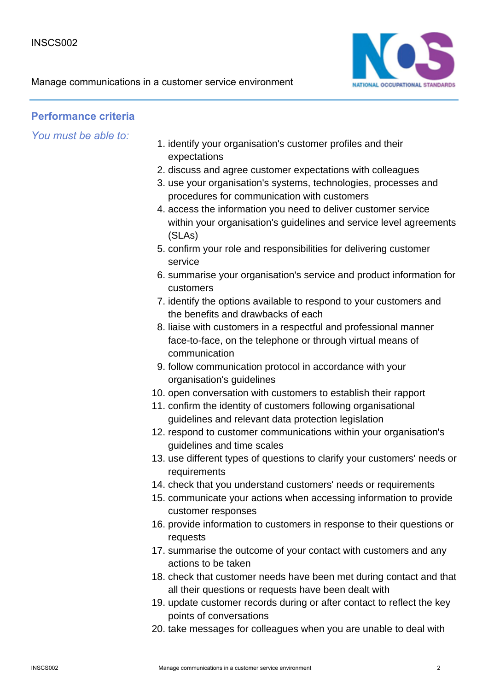

### **Performance criteria**

- 1. identify your organisation's customer profiles and their expectations
- 2. discuss and agree customer expectations with colleagues
- 3. use your organisation's systems, technologies, processes and procedures for communication with customers
- 4. access the information you need to deliver customer service within your organisation's guidelines and service level agreements (SLAs)
- 5. confirm your role and responsibilities for delivering customer service
- 6. summarise your organisation's service and product information for customers
- 7. identify the options available to respond to your customers and the benefits and drawbacks of each
- 8. liaise with customers in a respectful and professional manner face-to-face, on the telephone or through virtual means of communication
- 9. follow communication protocol in accordance with your organisation's guidelines
- 10. open conversation with customers to establish their rapport
- 11. confirm the identity of customers following organisational guidelines and relevant data protection legislation
- 12. respond to customer communications within your organisation's guidelines and time scales
- 13. use different types of questions to clarify your customers' needs or requirements
- 14. check that you understand customers' needs or requirements
- 15. communicate your actions when accessing information to provide customer responses
- 16. provide information to customers in response to their questions or requests
- 17. summarise the outcome of your contact with customers and any actions to be taken
- 18. check that customer needs have been met during contact and that all their questions or requests have been dealt with
- 19. update customer records during or after contact to reflect the key points of conversations
- 20. take messages for colleagues when you are unable to deal with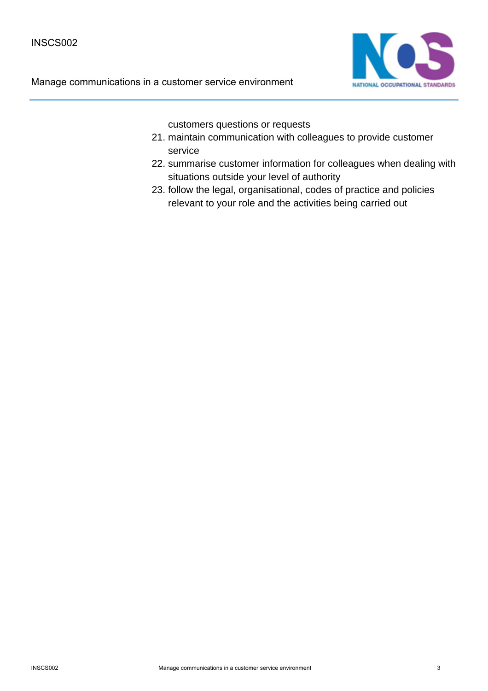

customers questions or requests

- 21. maintain communication with colleagues to provide customer service
- 22. summarise customer information for colleagues when dealing with situations outside your level of authority
- 23. follow the legal, organisational, codes of practice and policies relevant to your role and the activities being carried out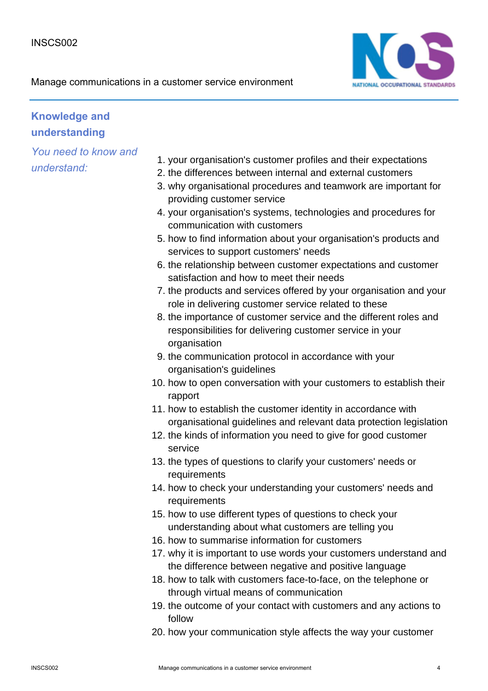

# **Knowledge and understanding**

- 1. your organisation's customer profiles and their expectations
- 2. the differences between internal and external customers
- 3. why organisational procedures and teamwork are important for providing customer service
- 4. your organisation's systems, technologies and procedures for communication with customers
- 5. how to find information about your organisation's products and services to support customers' needs
- 6. the relationship between customer expectations and customer satisfaction and how to meet their needs
- 7. the products and services offered by your organisation and your role in delivering customer service related to these
- 8. the importance of customer service and the different roles and responsibilities for delivering customer service in your organisation
- 9. the communication protocol in accordance with your organisation's guidelines
- 10. how to open conversation with your customers to establish their rapport
- 11. how to establish the customer identity in accordance with organisational guidelines and relevant data protection legislation
- 12. the kinds of information you need to give for good customer service
- 13. the types of questions to clarify your customers' needs or requirements
- 14. how to check your understanding your customers' needs and requirements
- 15. how to use different types of questions to check your understanding about what customers are telling you
- 16. how to summarise information for customers
- 17. why it is important to use words your customers understand and the difference between negative and positive language
- 18. how to talk with customers face-to-face, on the telephone or through virtual means of communication
- 19. the outcome of your contact with customers and any actions to follow
- 20. how your communication style affects the way your customer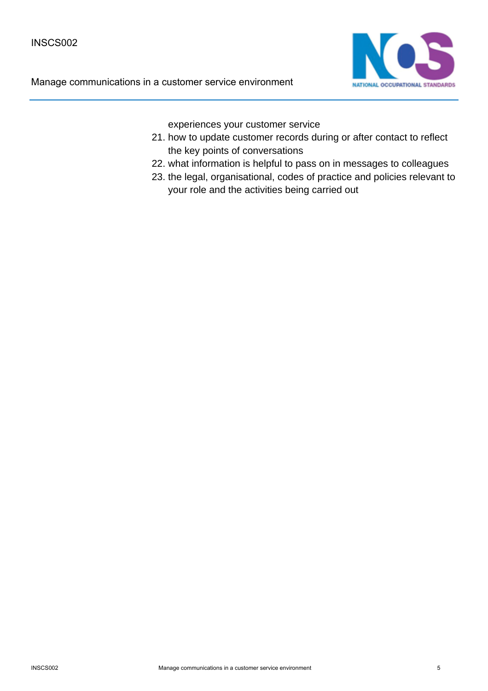

experiences your customer service

- 21. how to update customer records during or after contact to reflect the key points of conversations
- 22. what information is helpful to pass on in messages to colleagues
- 23. the legal, organisational, codes of practice and policies relevant to your role and the activities being carried out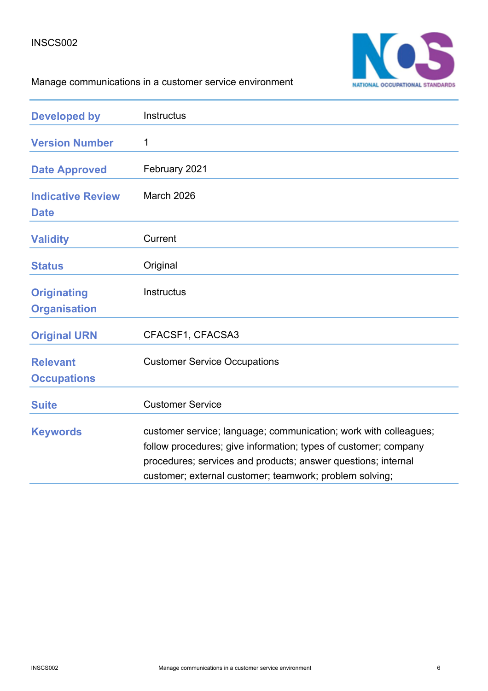#### INSCS002



# Manage communications in a customer service environment

| <b>Developed by</b>                       | Instructus                                                                                                                                                                                                                                                      |
|-------------------------------------------|-----------------------------------------------------------------------------------------------------------------------------------------------------------------------------------------------------------------------------------------------------------------|
| <b>Version Number</b>                     | 1                                                                                                                                                                                                                                                               |
| <b>Date Approved</b>                      | February 2021                                                                                                                                                                                                                                                   |
| <b>Indicative Review</b><br><b>Date</b>   | March 2026                                                                                                                                                                                                                                                      |
| <b>Validity</b>                           | Current                                                                                                                                                                                                                                                         |
| <b>Status</b>                             | Original                                                                                                                                                                                                                                                        |
| <b>Originating</b><br><b>Organisation</b> | Instructus                                                                                                                                                                                                                                                      |
| <b>Original URN</b>                       | CFACSF1, CFACSA3                                                                                                                                                                                                                                                |
| <b>Relevant</b><br><b>Occupations</b>     | <b>Customer Service Occupations</b>                                                                                                                                                                                                                             |
| <b>Suite</b>                              | <b>Customer Service</b>                                                                                                                                                                                                                                         |
| <b>Keywords</b>                           | customer service; language; communication; work with colleagues;<br>follow procedures; give information; types of customer; company<br>procedures; services and products; answer questions; internal<br>customer; external customer; teamwork; problem solving; |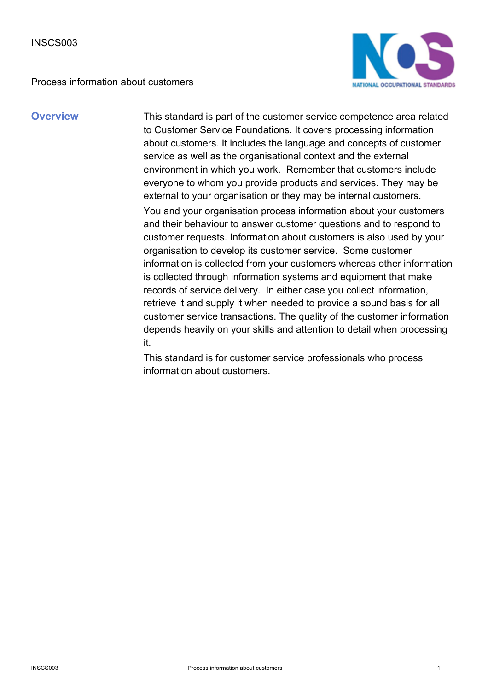Process information about customers



**Overview** This standard is part of the customer service competence area related to Customer Service Foundations. It covers processing information about customers. It includes the language and concepts of customer service as well as the organisational context and the external environment in which you work. Remember that customers include everyone to whom you provide products and services. They may be external to your organisation or they may be internal customers. You and your organisation process information about your customers and their behaviour to answer customer questions and to respond to customer requests. Information about customers is also used by your organisation to develop its customer service. Some customer information is collected from your customers whereas other information is collected through information systems and equipment that make records of service delivery. In either case you collect information, retrieve it and supply it when needed to provide a sound basis for all customer service transactions. The quality of the customer information depends heavily on your skills and attention to detail when processing it.

> This standard is for customer service professionals who process information about customers.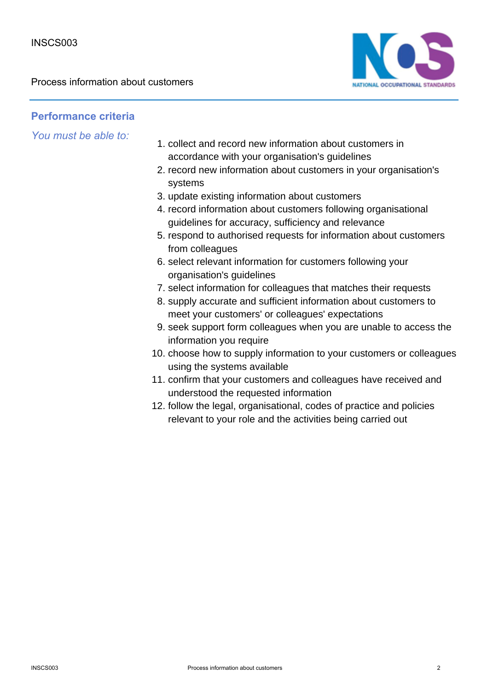Process information about customers



### **Performance criteria**

- 1. collect and record new information about customers in accordance with your organisation's guidelines
- 2. record new information about customers in your organisation's systems
- 3. update existing information about customers
- 4. record information about customers following organisational guidelines for accuracy, sufficiency and relevance
- 5. respond to authorised requests for information about customers from colleagues
- 6. select relevant information for customers following your organisation's guidelines
- 7. select information for colleagues that matches their requests
- 8. supply accurate and sufficient information about customers to meet your customers' or colleagues' expectations
- 9. seek support form colleagues when you are unable to access the information you require
- 10. choose how to supply information to your customers or colleagues using the systems available
- 11. confirm that your customers and colleagues have received and understood the requested information
- 12. follow the legal, organisational, codes of practice and policies relevant to your role and the activities being carried out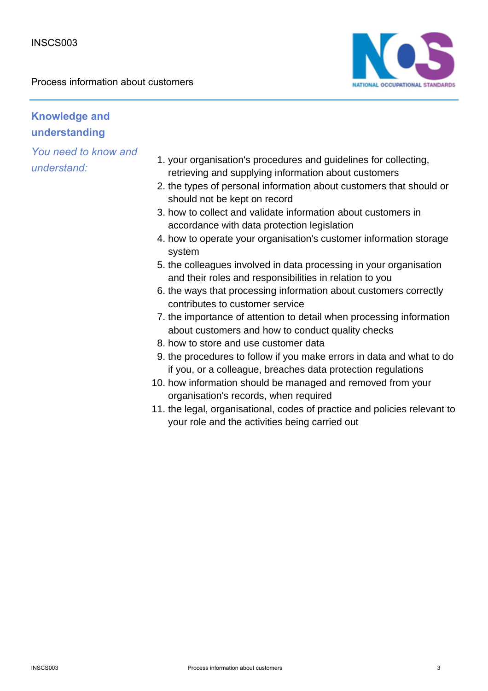Process information about customers



# **Knowledge and understanding**

- 1. your organisation's procedures and guidelines for collecting, retrieving and supplying information about customers
- 2. the types of personal information about customers that should or should not be kept on record
- 3. how to collect and validate information about customers in accordance with data protection legislation
- 4. how to operate your organisation's customer information storage system
- 5. the colleagues involved in data processing in your organisation and their roles and responsibilities in relation to you
- 6. the ways that processing information about customers correctly contributes to customer service
- 7. the importance of attention to detail when processing information about customers and how to conduct quality checks
- 8. how to store and use customer data
- 9. the procedures to follow if you make errors in data and what to do if you, or a colleague, breaches data protection regulations
- 10. how information should be managed and removed from your organisation's records, when required
- 11. the legal, organisational, codes of practice and policies relevant to your role and the activities being carried out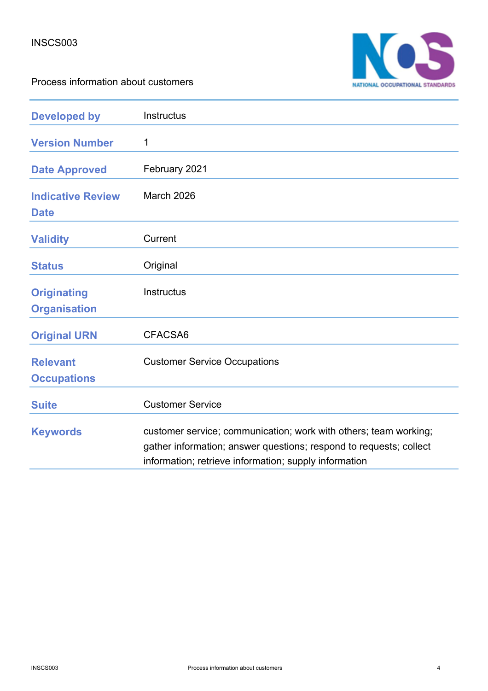



| <b>Developed by</b>                       | Instructus                                                                                                                                                                                      |
|-------------------------------------------|-------------------------------------------------------------------------------------------------------------------------------------------------------------------------------------------------|
| <b>Version Number</b>                     | 1                                                                                                                                                                                               |
| <b>Date Approved</b>                      | February 2021                                                                                                                                                                                   |
| <b>Indicative Review</b><br><b>Date</b>   | March 2026                                                                                                                                                                                      |
| <b>Validity</b>                           | Current                                                                                                                                                                                         |
| <b>Status</b>                             | Original                                                                                                                                                                                        |
| <b>Originating</b><br><b>Organisation</b> | <b>Instructus</b>                                                                                                                                                                               |
| <b>Original URN</b>                       | CFACSA6                                                                                                                                                                                         |
| <b>Relevant</b><br><b>Occupations</b>     | <b>Customer Service Occupations</b>                                                                                                                                                             |
| <b>Suite</b>                              | <b>Customer Service</b>                                                                                                                                                                         |
| <b>Keywords</b>                           | customer service; communication; work with others; team working;<br>gather information; answer questions; respond to requests; collect<br>information; retrieve information; supply information |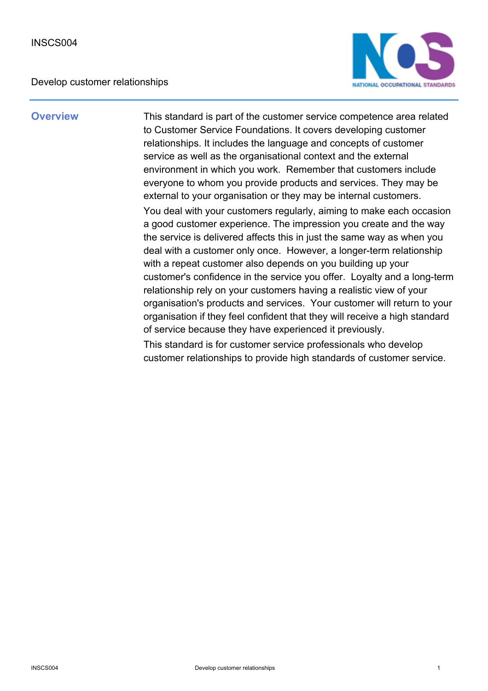

**Overview** This standard is part of the customer service competence area related to Customer Service Foundations. It covers developing customer relationships. It includes the language and concepts of customer service as well as the organisational context and the external environment in which you work. Remember that customers include everyone to whom you provide products and services. They may be external to your organisation or they may be internal customers. You deal with your customers regularly, aiming to make each occasion a good customer experience. The impression you create and the way the service is delivered affects this in just the same way as when you deal with a customer only once. However, a longer-term relationship with a repeat customer also depends on you building up your customer's confidence in the service you offer. Loyalty and a long-term relationship rely on your customers having a realistic view of your organisation's products and services. Your customer will return to your organisation if they feel confident that they will receive a high standard of service because they have experienced it previously.

> This standard is for customer service professionals who develop customer relationships to provide high standards of customer service.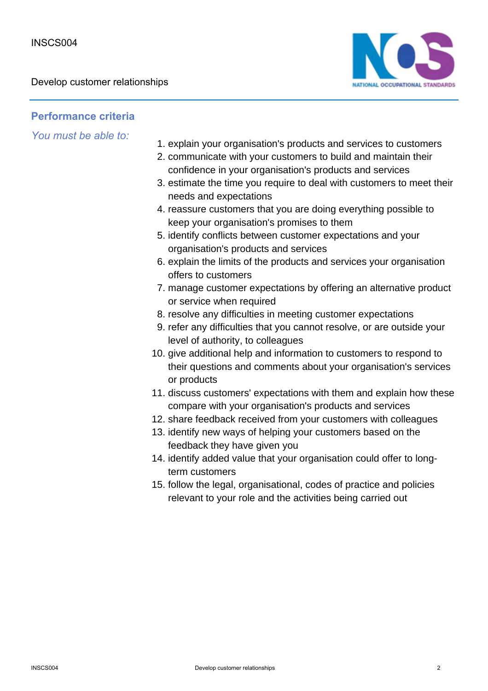

### **Performance criteria**

- 1. explain your organisation's products and services to customers
- 2. communicate with your customers to build and maintain their confidence in your organisation's products and services
- 3. estimate the time you require to deal with customers to meet their needs and expectations
- 4. reassure customers that you are doing everything possible to keep your organisation's promises to them
- 5. identify conflicts between customer expectations and your organisation's products and services
- 6. explain the limits of the products and services your organisation offers to customers
- 7. manage customer expectations by offering an alternative product or service when required
- 8. resolve any difficulties in meeting customer expectations
- 9. refer any difficulties that you cannot resolve, or are outside your level of authority, to colleagues
- 10. give additional help and information to customers to respond to their questions and comments about your organisation's services or products
- 11. discuss customers' expectations with them and explain how these compare with your organisation's products and services
- 12. share feedback received from your customers with colleagues
- 13. identify new ways of helping your customers based on the feedback they have given you
- 14. identify added value that your organisation could offer to longterm customers
- 15. follow the legal, organisational, codes of practice and policies relevant to your role and the activities being carried out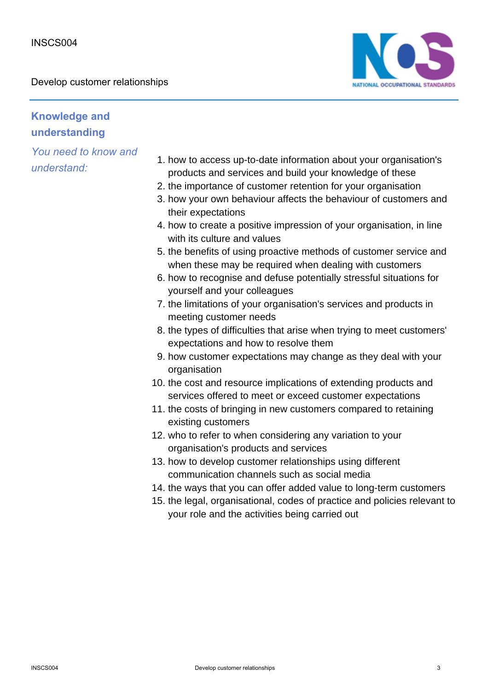

# **Knowledge and understanding**

- 1. how to access up-to-date information about your organisation's products and services and build your knowledge of these
- 2. the importance of customer retention for your organisation
- 3. how your own behaviour affects the behaviour of customers and their expectations
- 4. how to create a positive impression of your organisation, in line with its culture and values
- 5. the benefits of using proactive methods of customer service and when these may be required when dealing with customers
- 6. how to recognise and defuse potentially stressful situations for yourself and your colleagues
- 7. the limitations of your organisation's services and products in meeting customer needs
- 8. the types of difficulties that arise when trying to meet customers' expectations and how to resolve them
- 9. how customer expectations may change as they deal with your organisation
- 10. the cost and resource implications of extending products and services offered to meet or exceed customer expectations
- 11. the costs of bringing in new customers compared to retaining existing customers
- 12. who to refer to when considering any variation to your organisation's products and services
- 13. how to develop customer relationships using different communication channels such as social media
- 14. the ways that you can offer added value to long-term customers
- 15. the legal, organisational, codes of practice and policies relevant to your role and the activities being carried out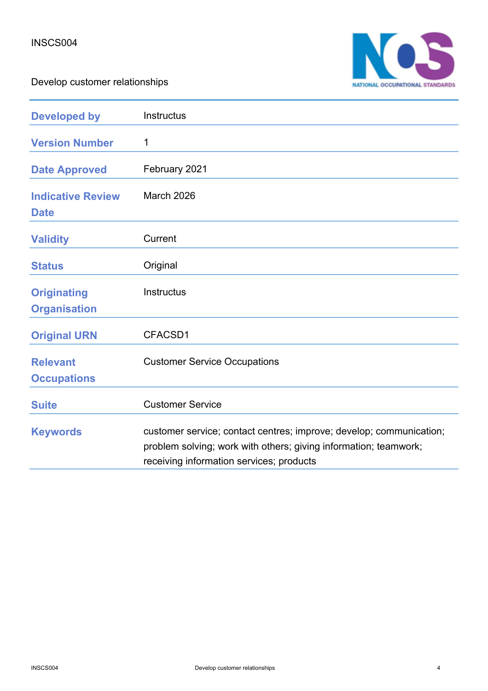

| <b>Developed by</b>                       | Instructus                                                                                                                                                                          |
|-------------------------------------------|-------------------------------------------------------------------------------------------------------------------------------------------------------------------------------------|
| <b>Version Number</b>                     | 1                                                                                                                                                                                   |
| <b>Date Approved</b>                      | February 2021                                                                                                                                                                       |
| <b>Indicative Review</b><br><b>Date</b>   | <b>March 2026</b>                                                                                                                                                                   |
| <b>Validity</b>                           | Current                                                                                                                                                                             |
| <b>Status</b>                             | Original                                                                                                                                                                            |
| <b>Originating</b><br><b>Organisation</b> | <b>Instructus</b>                                                                                                                                                                   |
| <b>Original URN</b>                       | CFACSD1                                                                                                                                                                             |
| <b>Relevant</b><br><b>Occupations</b>     | <b>Customer Service Occupations</b>                                                                                                                                                 |
| <b>Suite</b>                              | <b>Customer Service</b>                                                                                                                                                             |
| <b>Keywords</b>                           | customer service; contact centres; improve; develop; communication;<br>problem solving; work with others; giving information; teamwork;<br>receiving information services; products |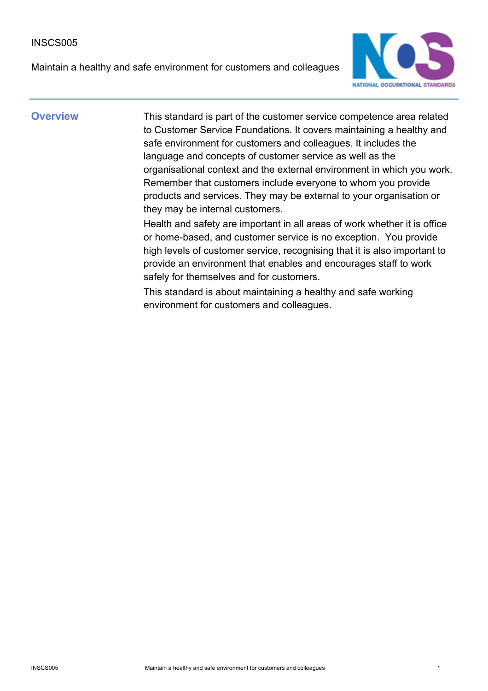#### INSCS005

Maintain a healthy and safe environment for customers and colleagues



**Overview** This standard is part of the customer service competence area related to Customer Service Foundations. It covers maintaining a healthy and safe environment for customers and colleagues. It includes the language and concepts of customer service as well as the organisational context and the external environment in which you work. Remember that customers include everyone to whom you provide products and services. They may be external to your organisation or they may be internal customers.

> Health and safety are important in all areas of work whether it is office or home-based, and customer service is no exception. You provide high levels of customer service, recognising that it is also important to provide an environment that enables and encourages staff to work safely for themselves and for customers.

This standard is about maintaining a healthy and safe working environment for customers and colleagues.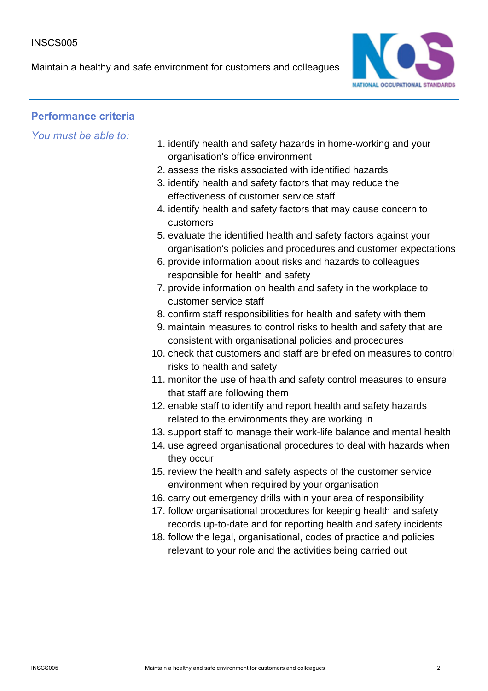Maintain a healthy and safe environment for customers and colleagues



### **Performance criteria**

- 1. identify health and safety hazards in home-working and your organisation's office environment
- 2. assess the risks associated with identified hazards
- 3. identify health and safety factors that may reduce the effectiveness of customer service staff
- 4. identify health and safety factors that may cause concern to customers
- 5. evaluate the identified health and safety factors against your organisation's policies and procedures and customer expectations
- 6. provide information about risks and hazards to colleagues responsible for health and safety
- 7. provide information on health and safety in the workplace to customer service staff
- 8. confirm staff responsibilities for health and safety with them
- 9. maintain measures to control risks to health and safety that are consistent with organisational policies and procedures
- 10. check that customers and staff are briefed on measures to control risks to health and safety
- 11. monitor the use of health and safety control measures to ensure that staff are following them
- 12. enable staff to identify and report health and safety hazards related to the environments they are working in
- 13. support staff to manage their work-life balance and mental health
- 14. use agreed organisational procedures to deal with hazards when they occur
- 15. review the health and safety aspects of the customer service environment when required by your organisation
- 16. carry out emergency drills within your area of responsibility
- 17. follow organisational procedures for keeping health and safety records up-to-date and for reporting health and safety incidents
- 18. follow the legal, organisational, codes of practice and policies relevant to your role and the activities being carried out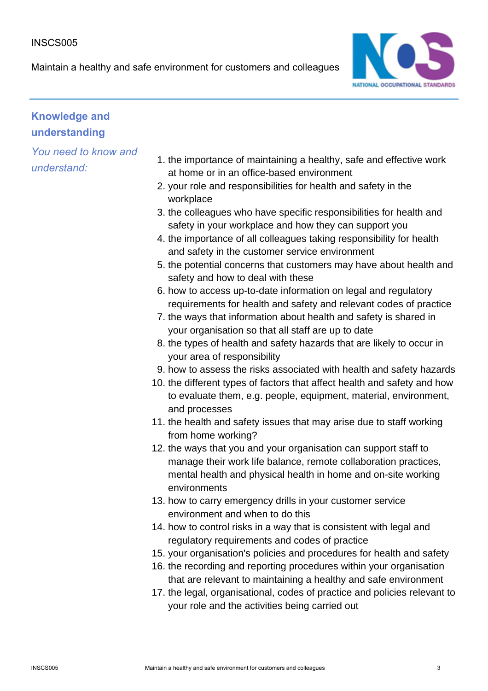#### INSCS005

Maintain a healthy and safe environment for customers and colleagues



# **Knowledge and understanding**

- 1. the importance of maintaining a healthy, safe and effective work at home or in an office-based environment
- 2. your role and responsibilities for health and safety in the workplace
- 3. the colleagues who have specific responsibilities for health and safety in your workplace and how they can support you
- 4. the importance of all colleagues taking responsibility for health and safety in the customer service environment
- 5. the potential concerns that customers may have about health and safety and how to deal with these
- 6. how to access up-to-date information on legal and regulatory requirements for health and safety and relevant codes of practice
- 7. the ways that information about health and safety is shared in your organisation so that all staff are up to date
- 8. the types of health and safety hazards that are likely to occur in your area of responsibility
- 9. how to assess the risks associated with health and safety hazards
- 10. the different types of factors that affect health and safety and how to evaluate them, e.g. people, equipment, material, environment, and processes
- 11. the health and safety issues that may arise due to staff working from home working?
- 12. the ways that you and your organisation can support staff to manage their work life balance, remote collaboration practices, mental health and physical health in home and on-site working environments
- 13. how to carry emergency drills in your customer service environment and when to do this
- 14. how to control risks in a way that is consistent with legal and regulatory requirements and codes of practice
- 15. your organisation's policies and procedures for health and safety
- 16. the recording and reporting procedures within your organisation that are relevant to maintaining a healthy and safe environment
- 17. the legal, organisational, codes of practice and policies relevant to your role and the activities being carried out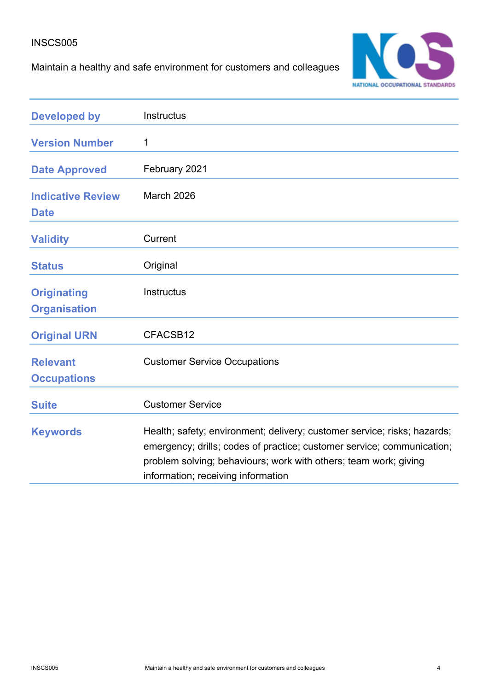### INSCS005

Maintain a healthy and safe environment for customers and colleagues



| <b>Developed by</b>                       | Instructus                                                                                                                                                                                                                                                   |
|-------------------------------------------|--------------------------------------------------------------------------------------------------------------------------------------------------------------------------------------------------------------------------------------------------------------|
| <b>Version Number</b>                     | 1                                                                                                                                                                                                                                                            |
| <b>Date Approved</b>                      | February 2021                                                                                                                                                                                                                                                |
| <b>Indicative Review</b><br><b>Date</b>   | March 2026                                                                                                                                                                                                                                                   |
| <b>Validity</b>                           | Current                                                                                                                                                                                                                                                      |
| <b>Status</b>                             | Original                                                                                                                                                                                                                                                     |
| <b>Originating</b><br><b>Organisation</b> | <b>Instructus</b>                                                                                                                                                                                                                                            |
| <b>Original URN</b>                       | CFACSB12                                                                                                                                                                                                                                                     |
| <b>Relevant</b><br><b>Occupations</b>     | <b>Customer Service Occupations</b>                                                                                                                                                                                                                          |
| <b>Suite</b>                              | <b>Customer Service</b>                                                                                                                                                                                                                                      |
| <b>Keywords</b>                           | Health; safety; environment; delivery; customer service; risks; hazards;<br>emergency; drills; codes of practice; customer service; communication;<br>problem solving; behaviours; work with others; team work; giving<br>information; receiving information |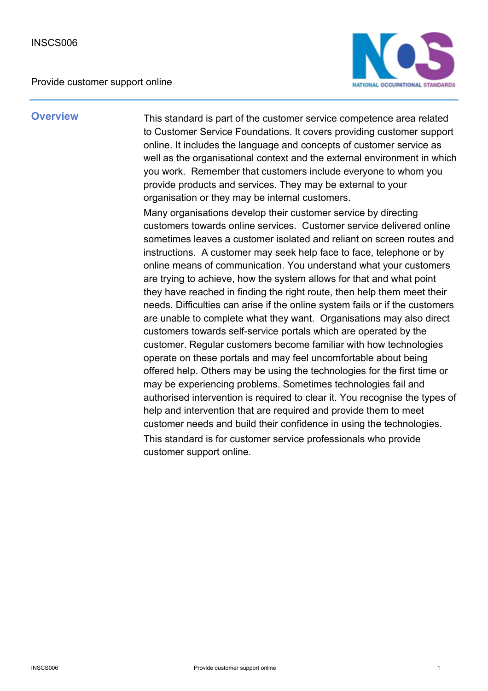

**Overview** This standard is part of the customer service competence area related to Customer Service Foundations. It covers providing customer support online. It includes the language and concepts of customer service as well as the organisational context and the external environment in which you work. Remember that customers include everyone to whom you provide products and services. They may be external to your organisation or they may be internal customers.

> Many organisations develop their customer service by directing customers towards online services. Customer service delivered online sometimes leaves a customer isolated and reliant on screen routes and instructions. A customer may seek help face to face, telephone or by online means of communication. You understand what your customers are trying to achieve, how the system allows for that and what point they have reached in finding the right route, then help them meet their needs. Difficulties can arise if the online system fails or if the customers are unable to complete what they want. Organisations may also direct customers towards self-service portals which are operated by the customer. Regular customers become familiar with how technologies operate on these portals and may feel uncomfortable about being offered help. Others may be using the technologies for the first time or may be experiencing problems. Sometimes technologies fail and authorised intervention is required to clear it. You recognise the types of help and intervention that are required and provide them to meet customer needs and build their confidence in using the technologies. This standard is for customer service professionals who provide customer support online.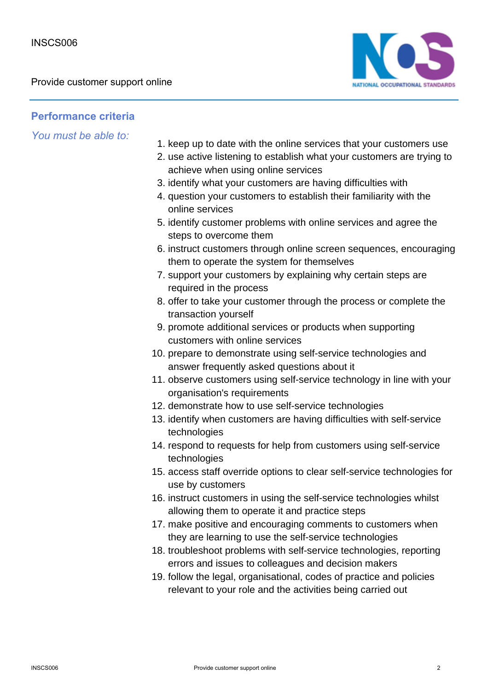

### **Performance criteria**

- 1. keep up to date with the online services that your customers use
- 2. use active listening to establish what your customers are trying to achieve when using online services
- 3. identify what your customers are having difficulties with
- 4. question your customers to establish their familiarity with the online services
- 5. identify customer problems with online services and agree the steps to overcome them
- 6. instruct customers through online screen sequences, encouraging them to operate the system for themselves
- 7. support your customers by explaining why certain steps are required in the process
- 8. offer to take your customer through the process or complete the transaction yourself
- 9. promote additional services or products when supporting customers with online services
- 10. prepare to demonstrate using self-service technologies and answer frequently asked questions about it
- 11. observe customers using self-service technology in line with your organisation's requirements
- 12. demonstrate how to use self-service technologies
- 13. identify when customers are having difficulties with self-service technologies
- 14. respond to requests for help from customers using self-service technologies
- 15. access staff override options to clear self-service technologies for use by customers
- 16. instruct customers in using the self-service technologies whilst allowing them to operate it and practice steps
- 17. make positive and encouraging comments to customers when they are learning to use the self-service technologies
- 18. troubleshoot problems with self-service technologies, reporting errors and issues to colleagues and decision makers
- 19. follow the legal, organisational, codes of practice and policies relevant to your role and the activities being carried out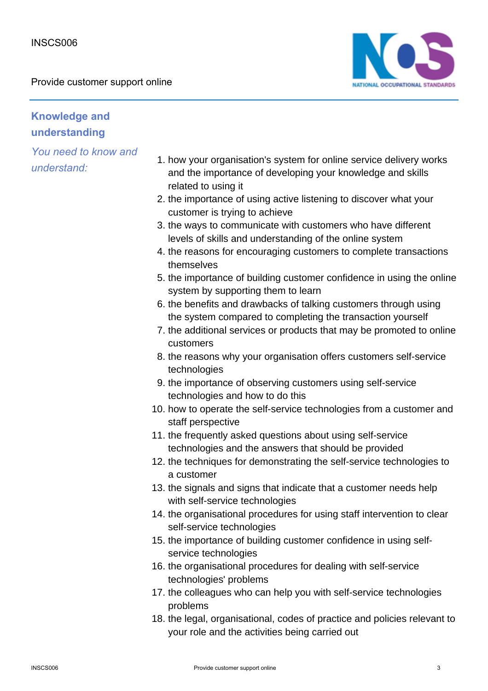

# **Knowledge and understanding**

- 1. how your organisation's system for online service delivery works and the importance of developing your knowledge and skills related to using it
- 2. the importance of using active listening to discover what your customer is trying to achieve
- 3. the ways to communicate with customers who have different levels of skills and understanding of the online system
- 4. the reasons for encouraging customers to complete transactions themselves
- 5. the importance of building customer confidence in using the online system by supporting them to learn
- 6. the benefits and drawbacks of talking customers through using the system compared to completing the transaction yourself
- 7. the additional services or products that may be promoted to online customers
- 8. the reasons why your organisation offers customers self-service technologies
- 9. the importance of observing customers using self-service technologies and how to do this
- 10. how to operate the self-service technologies from a customer and staff perspective
- 11. the frequently asked questions about using self-service technologies and the answers that should be provided
- 12. the techniques for demonstrating the self-service technologies to a customer
- 13. the signals and signs that indicate that a customer needs help with self-service technologies
- 14. the organisational procedures for using staff intervention to clear self-service technologies
- 15. the importance of building customer confidence in using selfservice technologies
- 16. the organisational procedures for dealing with self-service technologies' problems
- 17. the colleagues who can help you with self-service technologies problems
- 18. the legal, organisational, codes of practice and policies relevant to your role and the activities being carried out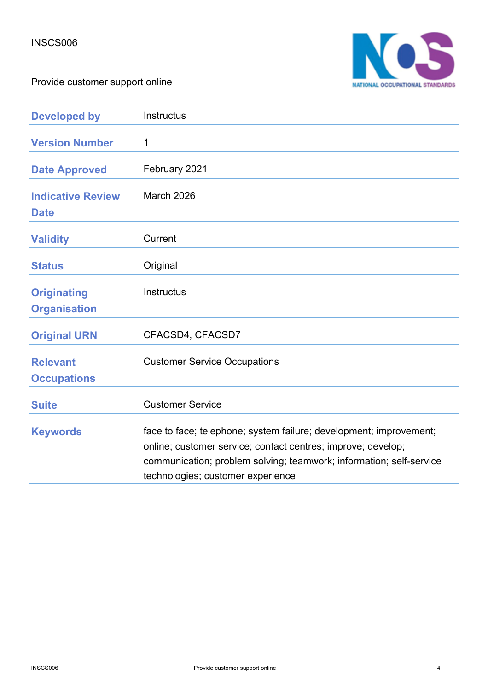

| <b>Developed by</b>                       | <b>Instructus</b>                                                                                                                                                                                                                              |
|-------------------------------------------|------------------------------------------------------------------------------------------------------------------------------------------------------------------------------------------------------------------------------------------------|
| <b>Version Number</b>                     | 1                                                                                                                                                                                                                                              |
| <b>Date Approved</b>                      | February 2021                                                                                                                                                                                                                                  |
| <b>Indicative Review</b><br><b>Date</b>   | March 2026                                                                                                                                                                                                                                     |
| <b>Validity</b>                           | Current                                                                                                                                                                                                                                        |
| <b>Status</b>                             | Original                                                                                                                                                                                                                                       |
| <b>Originating</b><br><b>Organisation</b> | <b>Instructus</b>                                                                                                                                                                                                                              |
| <b>Original URN</b>                       | CFACSD4, CFACSD7                                                                                                                                                                                                                               |
| <b>Relevant</b><br><b>Occupations</b>     | <b>Customer Service Occupations</b>                                                                                                                                                                                                            |
| <b>Suite</b>                              | <b>Customer Service</b>                                                                                                                                                                                                                        |
| <b>Keywords</b>                           | face to face; telephone; system failure; development; improvement;<br>online; customer service; contact centres; improve; develop;<br>communication; problem solving; teamwork; information; self-service<br>technologies; customer experience |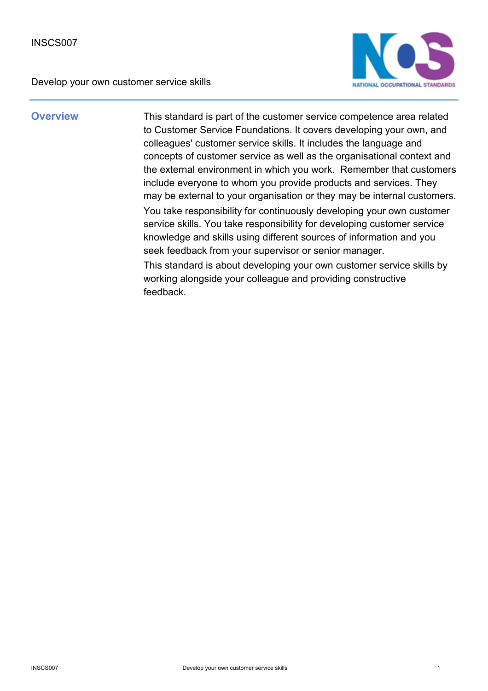

**Overview** This standard is part of the customer service competence area related to Customer Service Foundations. It covers developing your own, and colleagues' customer service skills. It includes the language and concepts of customer service as well as the organisational context and the external environment in which you work. Remember that customers include everyone to whom you provide products and services. They may be external to your organisation or they may be internal customers. You take responsibility for continuously developing your own customer service skills. You take responsibility for developing customer service knowledge and skills using different sources of information and you seek feedback from your supervisor or senior manager. This standard is about developing your own customer service skills by working alongside your colleague and providing constructive

feedback.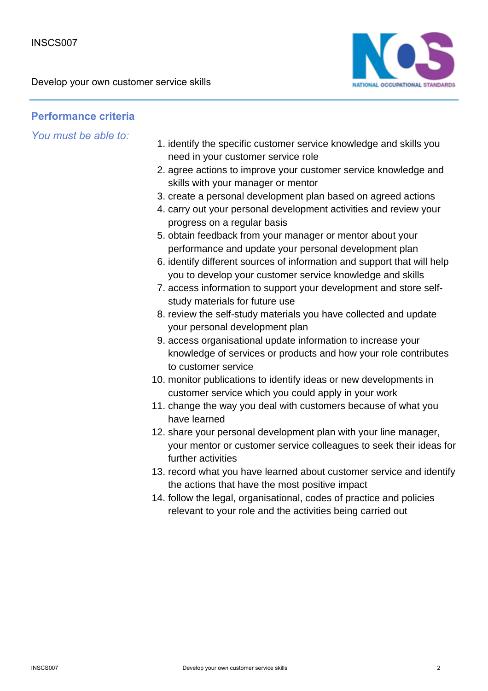

### **Performance criteria**

- 1. identify the specific customer service knowledge and skills you need in your customer service role
- 2. agree actions to improve your customer service knowledge and skills with your manager or mentor
- 3. create a personal development plan based on agreed actions
- 4. carry out your personal development activities and review your progress on a regular basis
- 5. obtain feedback from your manager or mentor about your performance and update your personal development plan
- 6. identify different sources of information and support that will help you to develop your customer service knowledge and skills
- 7. access information to support your development and store selfstudy materials for future use
- 8. review the self-study materials you have collected and update your personal development plan
- 9. access organisational update information to increase your knowledge of services or products and how your role contributes to customer service
- 10. monitor publications to identify ideas or new developments in customer service which you could apply in your work
- 11. change the way you deal with customers because of what you have learned
- 12. share your personal development plan with your line manager, your mentor or customer service colleagues to seek their ideas for further activities
- 13. record what you have learned about customer service and identify the actions that have the most positive impact
- 14. follow the legal, organisational, codes of practice and policies relevant to your role and the activities being carried out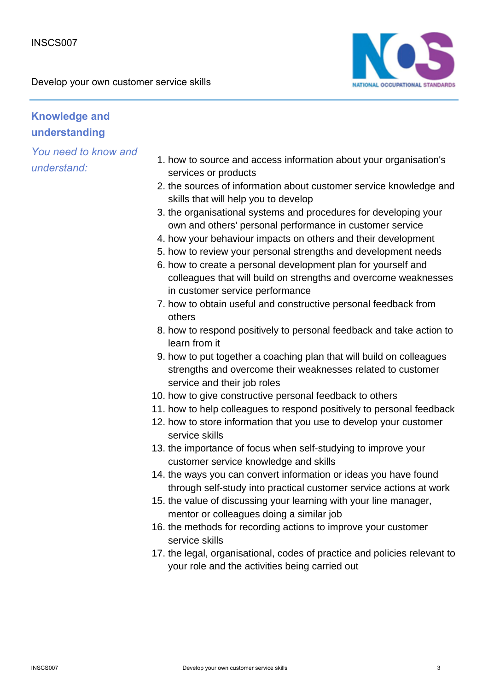

# **Knowledge and understanding**

- 1. how to source and access information about your organisation's services or products
- 2. the sources of information about customer service knowledge and skills that will help you to develop
- 3. the organisational systems and procedures for developing your own and others' personal performance in customer service
- 4. how your behaviour impacts on others and their development
- 5. how to review your personal strengths and development needs
- 6. how to create a personal development plan for yourself and colleagues that will build on strengths and overcome weaknesses in customer service performance
- 7. how to obtain useful and constructive personal feedback from others
- 8. how to respond positively to personal feedback and take action to learn from it
- 9. how to put together a coaching plan that will build on colleagues strengths and overcome their weaknesses related to customer service and their job roles
- 10. how to give constructive personal feedback to others
- 11. how to help colleagues to respond positively to personal feedback
- 12. how to store information that you use to develop your customer service skills
- 13. the importance of focus when self-studying to improve your customer service knowledge and skills
- 14. the ways you can convert information or ideas you have found through self-study into practical customer service actions at work
- 15. the value of discussing your learning with your line manager, mentor or colleagues doing a similar job
- 16. the methods for recording actions to improve your customer service skills
- 17. the legal, organisational, codes of practice and policies relevant to your role and the activities being carried out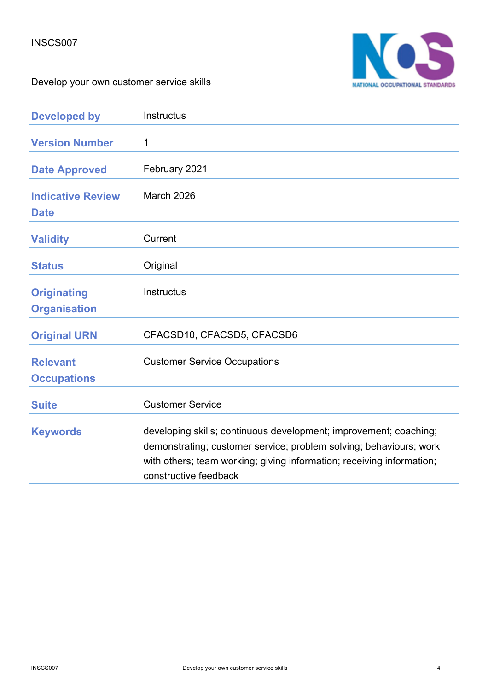

| <b>Developed by</b>                       | Instructus                                                                                                                                                                                                                                |
|-------------------------------------------|-------------------------------------------------------------------------------------------------------------------------------------------------------------------------------------------------------------------------------------------|
| <b>Version Number</b>                     | 1                                                                                                                                                                                                                                         |
| <b>Date Approved</b>                      | February 2021                                                                                                                                                                                                                             |
| <b>Indicative Review</b><br><b>Date</b>   | March 2026                                                                                                                                                                                                                                |
| <b>Validity</b>                           | Current                                                                                                                                                                                                                                   |
| <b>Status</b>                             | Original                                                                                                                                                                                                                                  |
| <b>Originating</b><br><b>Organisation</b> | <b>Instructus</b>                                                                                                                                                                                                                         |
| <b>Original URN</b>                       | CFACSD10, CFACSD5, CFACSD6                                                                                                                                                                                                                |
| <b>Relevant</b><br><b>Occupations</b>     | <b>Customer Service Occupations</b>                                                                                                                                                                                                       |
| <b>Suite</b>                              | <b>Customer Service</b>                                                                                                                                                                                                                   |
| <b>Keywords</b>                           | developing skills; continuous development; improvement; coaching;<br>demonstrating; customer service; problem solving; behaviours; work<br>with others; team working; giving information; receiving information;<br>constructive feedback |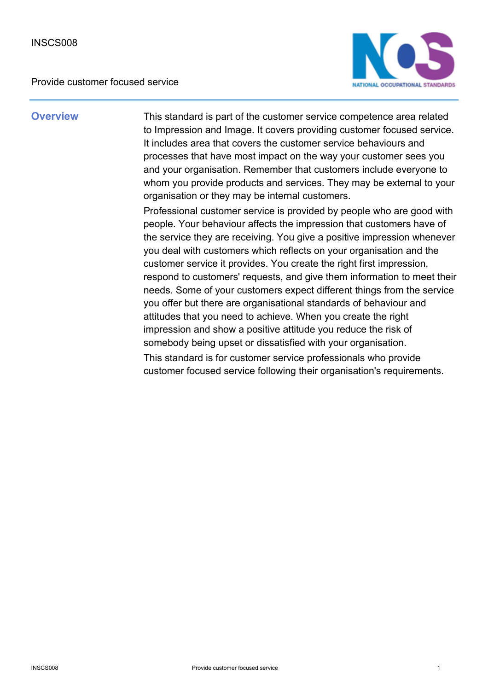Provide customer focused service



**Overview** This standard is part of the customer service competence area related to Impression and Image. It covers providing customer focused service. It includes area that covers the customer service behaviours and processes that have most impact on the way your customer sees you and your organisation. Remember that customers include everyone to whom you provide products and services. They may be external to your organisation or they may be internal customers.

> Professional customer service is provided by people who are good with people. Your behaviour affects the impression that customers have of the service they are receiving. You give a positive impression whenever you deal with customers which reflects on your organisation and the customer service it provides. You create the right first impression, respond to customers' requests, and give them information to meet their needs. Some of your customers expect different things from the service you offer but there are organisational standards of behaviour and attitudes that you need to achieve. When you create the right impression and show a positive attitude you reduce the risk of somebody being upset or dissatisfied with your organisation. This standard is for customer service professionals who provide customer focused service following their organisation's requirements.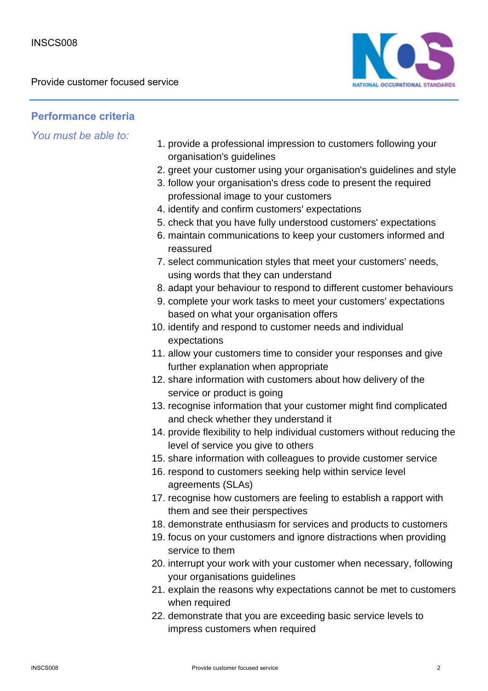

## **Performance criteria**

- 1. provide a professional impression to customers following your organisation's guidelines
- 2. greet your customer using your organisation's guidelines and style
- 3. follow your organisation's dress code to present the required professional image to your customers
- 4. identify and confirm customers' expectations
- 5. check that you have fully understood customers' expectations
- 6. maintain communications to keep your customers informed and reassured
- 7. select communication styles that meet your customers' needs, using words that they can understand
- 8. adapt your behaviour to respond to different customer behaviours
- 9. complete your work tasks to meet your customers' expectations based on what your organisation offers
- 10. identify and respond to customer needs and individual expectations
- 11. allow your customers time to consider your responses and give further explanation when appropriate
- 12. share information with customers about how delivery of the service or product is going
- 13. recognise information that your customer might find complicated and check whether they understand it
- 14. provide flexibility to help individual customers without reducing the level of service you give to others
- 15. share information with colleagues to provide customer service
- 16. respond to customers seeking help within service level agreements (SLAs)
- 17. recognise how customers are feeling to establish a rapport with them and see their perspectives
- 18. demonstrate enthusiasm for services and products to customers
- 19. focus on your customers and ignore distractions when providing service to them
- 20. interrupt your work with your customer when necessary, following your organisations guidelines
- 21. explain the reasons why expectations cannot be met to customers when required
- 22. demonstrate that you are exceeding basic service levels to impress customers when required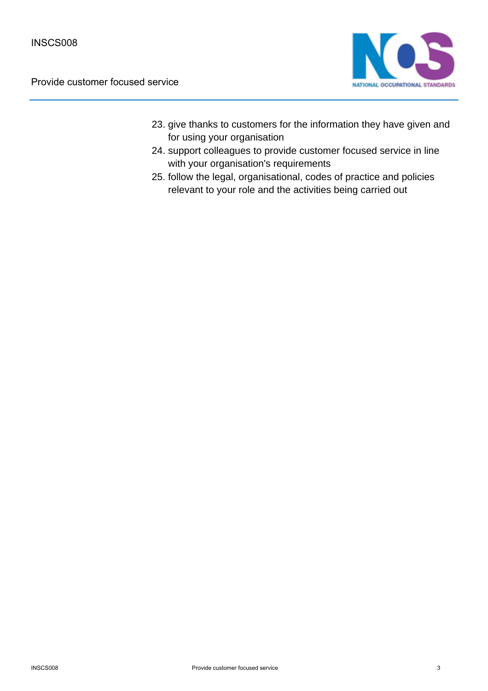

- 23. give thanks to customers for the information they have given and for using your organisation
- 24. support colleagues to provide customer focused service in line with your organisation's requirements
- 25. follow the legal, organisational, codes of practice and policies relevant to your role and the activities being carried out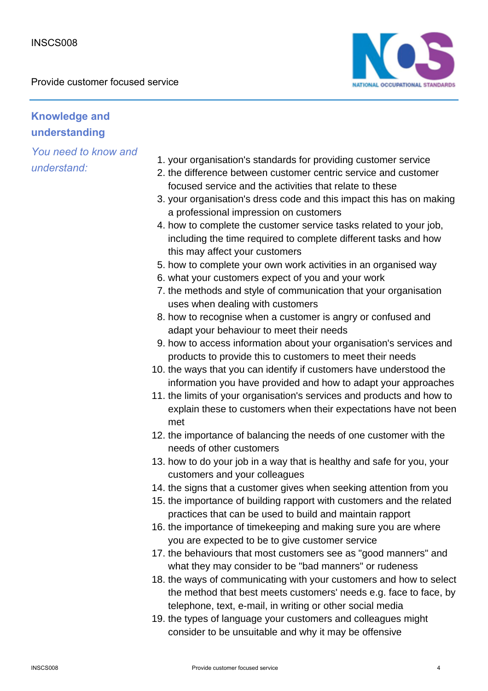

# **Knowledge and understanding**

- 1. your organisation's standards for providing customer service
- 2. the difference between customer centric service and customer focused service and the activities that relate to these
- 3. your organisation's dress code and this impact this has on making a professional impression on customers
- 4. how to complete the customer service tasks related to your job, including the time required to complete different tasks and how this may affect your customers
- 5. how to complete your own work activities in an organised way
- 6. what your customers expect of you and your work
- 7. the methods and style of communication that your organisation uses when dealing with customers
- 8. how to recognise when a customer is angry or confused and adapt your behaviour to meet their needs
- 9. how to access information about your organisation's services and products to provide this to customers to meet their needs
- 10. the ways that you can identify if customers have understood the information you have provided and how to adapt your approaches
- 11. the limits of your organisation's services and products and how to explain these to customers when their expectations have not been met
- 12. the importance of balancing the needs of one customer with the needs of other customers
- 13. how to do your job in a way that is healthy and safe for you, your customers and your colleagues
- 14. the signs that a customer gives when seeking attention from you
- 15. the importance of building rapport with customers and the related practices that can be used to build and maintain rapport
- 16. the importance of timekeeping and making sure you are where you are expected to be to give customer service
- 17. the behaviours that most customers see as "good manners" and what they may consider to be "bad manners" or rudeness
- 18. the ways of communicating with your customers and how to select the method that best meets customers' needs e.g. face to face, by telephone, text, e-mail, in writing or other social media
- 19. the types of language your customers and colleagues might consider to be unsuitable and why it may be offensive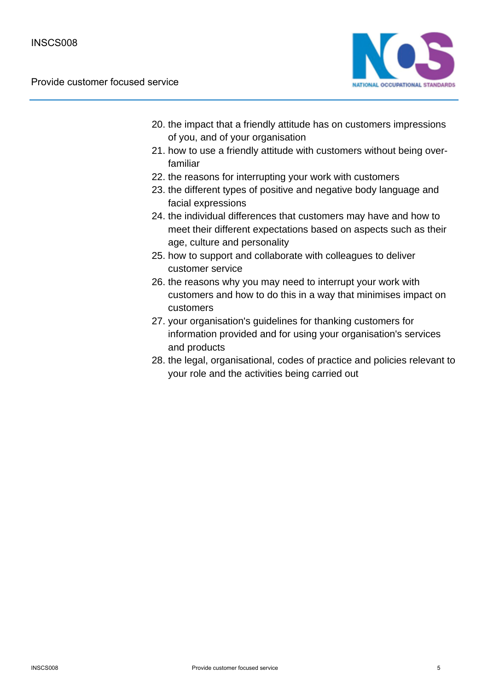

- 20. the impact that a friendly attitude has on customers impressions of you, and of your organisation
- 21. how to use a friendly attitude with customers without being overfamiliar
- 22. the reasons for interrupting your work with customers
- 23. the different types of positive and negative body language and facial expressions
- 24. the individual differences that customers may have and how to meet their different expectations based on aspects such as their age, culture and personality
- 25. how to support and collaborate with colleagues to deliver customer service
- 26. the reasons why you may need to interrupt your work with customers and how to do this in a way that minimises impact on customers
- 27. your organisation's guidelines for thanking customers for information provided and for using your organisation's services and products
- 28. the legal, organisational, codes of practice and policies relevant to your role and the activities being carried out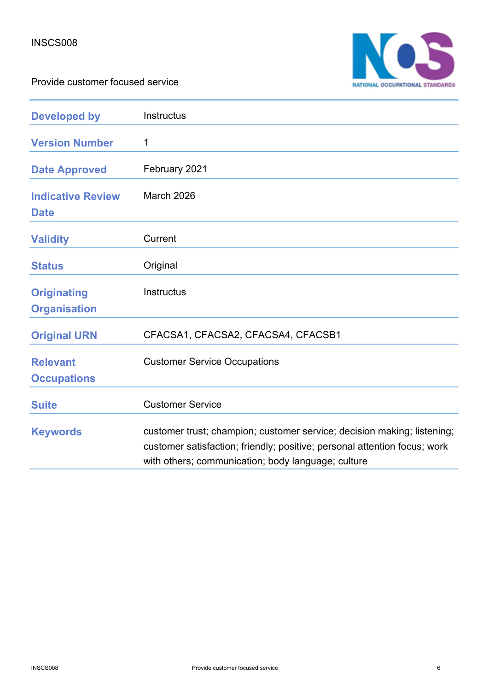



| <b>Developed by</b>                       | <b>Instructus</b>                                                                                                                                                                                          |
|-------------------------------------------|------------------------------------------------------------------------------------------------------------------------------------------------------------------------------------------------------------|
| <b>Version Number</b>                     | 1                                                                                                                                                                                                          |
| <b>Date Approved</b>                      | February 2021                                                                                                                                                                                              |
| <b>Indicative Review</b><br><b>Date</b>   | <b>March 2026</b>                                                                                                                                                                                          |
| <b>Validity</b>                           | Current                                                                                                                                                                                                    |
| <b>Status</b>                             | Original                                                                                                                                                                                                   |
| <b>Originating</b><br><b>Organisation</b> | <b>Instructus</b>                                                                                                                                                                                          |
| <b>Original URN</b>                       | CFACSA1, CFACSA2, CFACSA4, CFACSB1                                                                                                                                                                         |
| <b>Relevant</b><br><b>Occupations</b>     | <b>Customer Service Occupations</b>                                                                                                                                                                        |
| <b>Suite</b>                              | <b>Customer Service</b>                                                                                                                                                                                    |
| <b>Keywords</b>                           | customer trust; champion; customer service; decision making; listening;<br>customer satisfaction; friendly; positive; personal attention focus; work<br>with others; communication; body language; culture |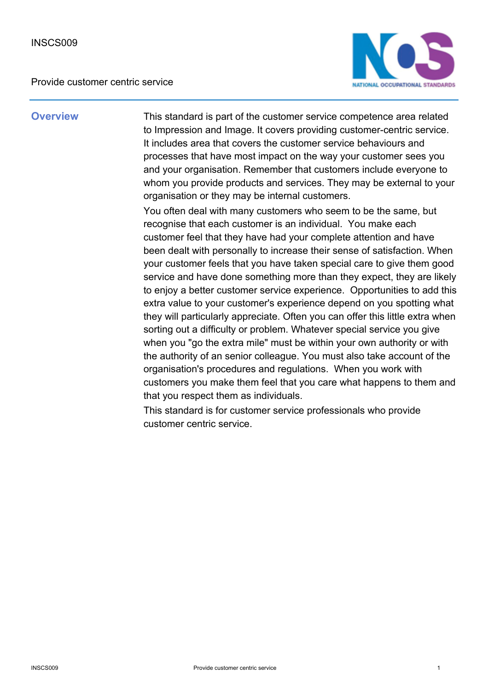

**Overview** This standard is part of the customer service competence area related to Impression and Image. It covers providing customer-centric service. It includes area that covers the customer service behaviours and processes that have most impact on the way your customer sees you and your organisation. Remember that customers include everyone to whom you provide products and services. They may be external to your organisation or they may be internal customers.

> You often deal with many customers who seem to be the same, but recognise that each customer is an individual. You make each customer feel that they have had your complete attention and have been dealt with personally to increase their sense of satisfaction. When your customer feels that you have taken special care to give them good service and have done something more than they expect, they are likely to enjoy a better customer service experience. Opportunities to add this extra value to your customer's experience depend on you spotting what they will particularly appreciate. Often you can offer this little extra when sorting out a difficulty or problem. Whatever special service you give when you "go the extra mile" must be within your own authority or with the authority of an senior colleague. You must also take account of the organisation's procedures and regulations. When you work with customers you make them feel that you care what happens to them and that you respect them as individuals.

This standard is for customer service professionals who provide customer centric service.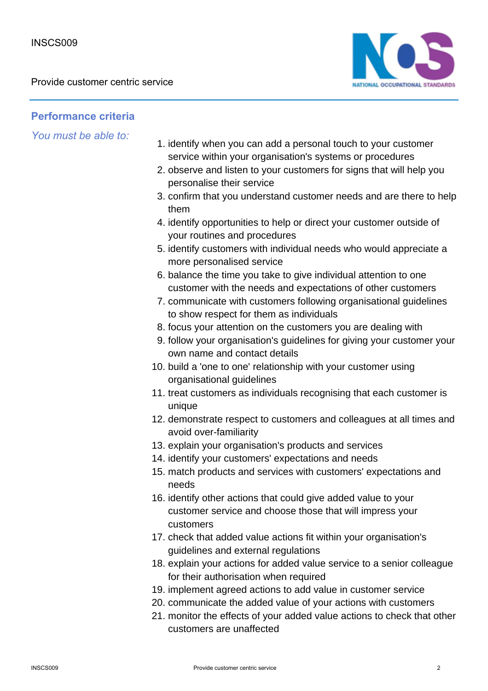

## **Performance criteria**

- 1. identify when you can add a personal touch to your customer service within your organisation's systems or procedures
- 2. observe and listen to your customers for signs that will help you personalise their service
- 3. confirm that you understand customer needs and are there to help them
- 4. identify opportunities to help or direct your customer outside of your routines and procedures
- 5. identify customers with individual needs who would appreciate a more personalised service
- 6. balance the time you take to give individual attention to one customer with the needs and expectations of other customers
- 7. communicate with customers following organisational guidelines to show respect for them as individuals
- 8. focus your attention on the customers you are dealing with
- 9. follow your organisation's guidelines for giving your customer your own name and contact details
- 10. build a 'one to one' relationship with your customer using organisational guidelines
- 11. treat customers as individuals recognising that each customer is unique
- 12. demonstrate respect to customers and colleagues at all times and avoid over-familiarity
- 13. explain your organisation's products and services
- 14. identify your customers' expectations and needs
- 15. match products and services with customers' expectations and needs
- 16. identify other actions that could give added value to your customer service and choose those that will impress your customers
- 17. check that added value actions fit within your organisation's guidelines and external regulations
- 18. explain your actions for added value service to a senior colleague for their authorisation when required
- 19. implement agreed actions to add value in customer service
- 20. communicate the added value of your actions with customers
- 21. monitor the effects of your added value actions to check that other customers are unaffected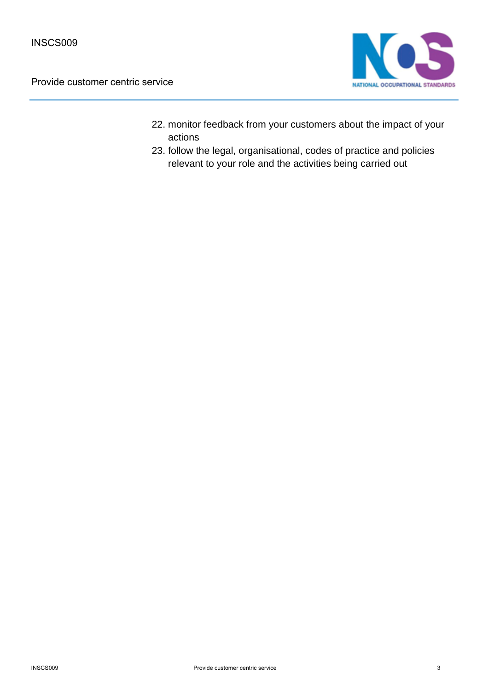

- 22. monitor feedback from your customers about the impact of your actions
- 23. follow the legal, organisational, codes of practice and policies relevant to your role and the activities being carried out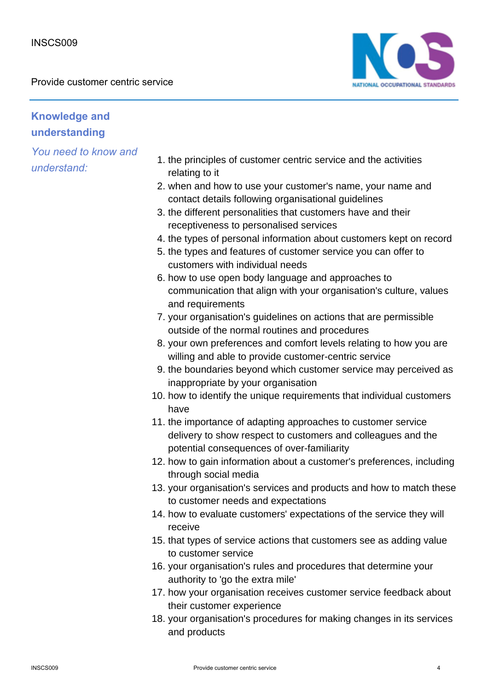

# **Knowledge and understanding**

- 1. the principles of customer centric service and the activities relating to it
- 2. when and how to use your customer's name, your name and contact details following organisational guidelines
- 3. the different personalities that customers have and their receptiveness to personalised services
- 4. the types of personal information about customers kept on record
- 5. the types and features of customer service you can offer to customers with individual needs
- 6. how to use open body language and approaches to communication that align with your organisation's culture, values and requirements
- 7. your organisation's guidelines on actions that are permissible outside of the normal routines and procedures
- 8. your own preferences and comfort levels relating to how you are willing and able to provide customer-centric service
- 9. the boundaries beyond which customer service may perceived as inappropriate by your organisation
- 10. how to identify the unique requirements that individual customers have
- 11. the importance of adapting approaches to customer service delivery to show respect to customers and colleagues and the potential consequences of over-familiarity
- 12. how to gain information about a customer's preferences, including through social media
- 13. your organisation's services and products and how to match these to customer needs and expectations
- 14. how to evaluate customers' expectations of the service they will receive
- 15. that types of service actions that customers see as adding value to customer service
- 16. your organisation's rules and procedures that determine your authority to 'go the extra mile'
- 17. how your organisation receives customer service feedback about their customer experience
- 18. your organisation's procedures for making changes in its services and products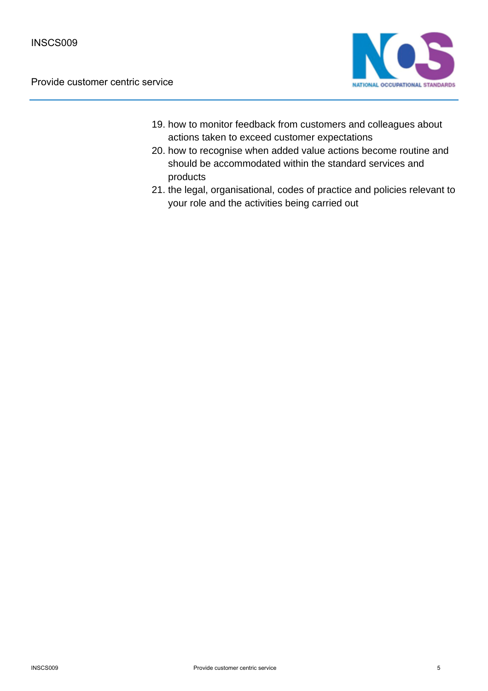

- 19. how to monitor feedback from customers and colleagues about actions taken to exceed customer expectations
- 20. how to recognise when added value actions become routine and should be accommodated within the standard services and products
- 21. the legal, organisational, codes of practice and policies relevant to your role and the activities being carried out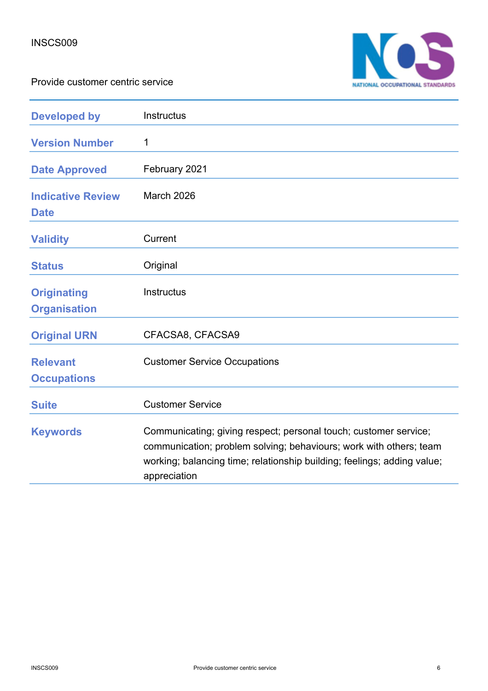

| <b>Developed by</b>                       | Instructus                                                                                                                                                                                                                        |
|-------------------------------------------|-----------------------------------------------------------------------------------------------------------------------------------------------------------------------------------------------------------------------------------|
| <b>Version Number</b>                     | 1                                                                                                                                                                                                                                 |
| <b>Date Approved</b>                      | February 2021                                                                                                                                                                                                                     |
| <b>Indicative Review</b><br><b>Date</b>   | March 2026                                                                                                                                                                                                                        |
| <b>Validity</b>                           | Current                                                                                                                                                                                                                           |
| <b>Status</b>                             | Original                                                                                                                                                                                                                          |
| <b>Originating</b><br><b>Organisation</b> | <b>Instructus</b>                                                                                                                                                                                                                 |
| <b>Original URN</b>                       | CFACSA8, CFACSA9                                                                                                                                                                                                                  |
| <b>Relevant</b><br><b>Occupations</b>     | <b>Customer Service Occupations</b>                                                                                                                                                                                               |
| <b>Suite</b>                              | <b>Customer Service</b>                                                                                                                                                                                                           |
| <b>Keywords</b>                           | Communicating; giving respect; personal touch; customer service;<br>communication; problem solving; behaviours; work with others; team<br>working; balancing time; relationship building; feelings; adding value;<br>appreciation |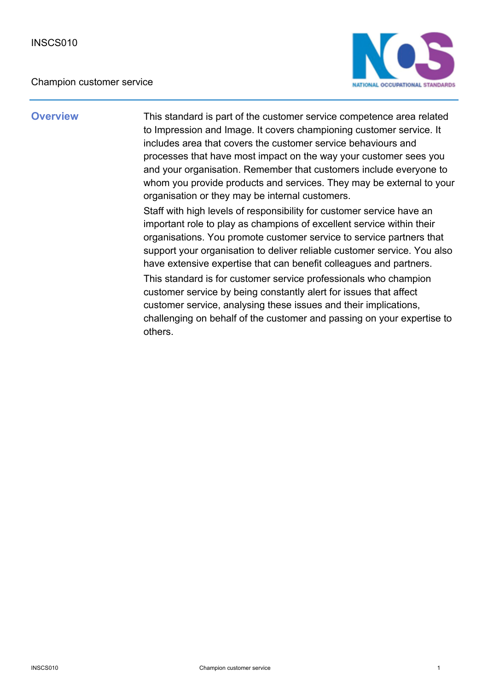### Champion customer service



**Overview** This standard is part of the customer service competence area related to Impression and Image. It covers championing customer service. It includes area that covers the customer service behaviours and processes that have most impact on the way your customer sees you and your organisation. Remember that customers include everyone to whom you provide products and services. They may be external to your organisation or they may be internal customers.

> Staff with high levels of responsibility for customer service have an important role to play as champions of excellent service within their organisations. You promote customer service to service partners that support your organisation to deliver reliable customer service. You also have extensive expertise that can benefit colleagues and partners.

> This standard is for customer service professionals who champion customer service by being constantly alert for issues that affect customer service, analysing these issues and their implications, challenging on behalf of the customer and passing on your expertise to others.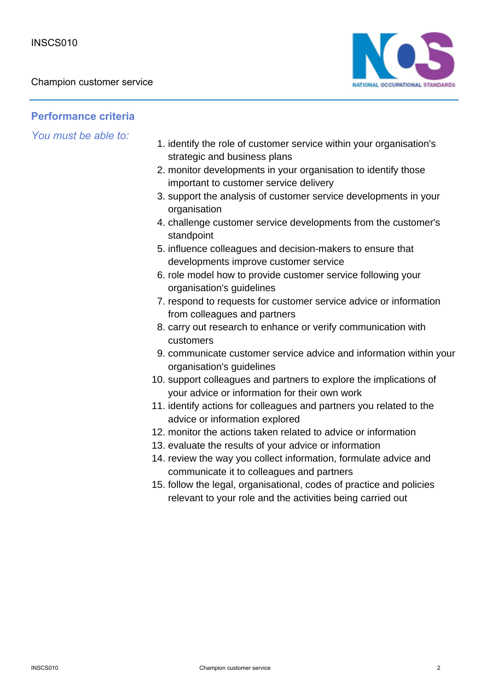

**Performance criteria**

- 1. identify the role of customer service within your organisation's strategic and business plans
- 2. monitor developments in your organisation to identify those important to customer service delivery
- 3. support the analysis of customer service developments in your organisation
- challenge customer service developments from the customer's 4. standpoint
- 5. influence colleagues and decision-makers to ensure that developments improve customer service
- 6. role model how to provide customer service following your organisation's guidelines
- 7. respond to requests for customer service advice or information from colleagues and partners
- 8. carry out research to enhance or verify communication with customers
- 9. communicate customer service advice and information within your organisation's guidelines
- 10. support colleagues and partners to explore the implications of your advice or information for their own work
- 11. identify actions for colleagues and partners you related to the advice or information explored
- 12. monitor the actions taken related to advice or information
- 13. evaluate the results of your advice or information
- 14. review the way you collect information, formulate advice and communicate it to colleagues and partners
- 15. follow the legal, organisational, codes of practice and policies relevant to your role and the activities being carried out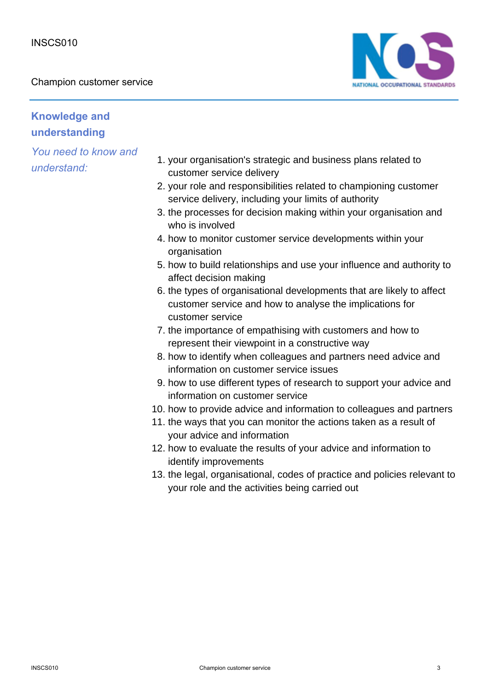Champion customer service



# **Knowledge and understanding**

- 1. your organisation's strategic and business plans related to customer service delivery
- 2. your role and responsibilities related to championing customer service delivery, including your limits of authority
- 3. the processes for decision making within your organisation and who is involved
- 4. how to monitor customer service developments within your organisation
- 5. how to build relationships and use your influence and authority to affect decision making
- 6. the types of organisational developments that are likely to affect customer service and how to analyse the implications for customer service
- 7. the importance of empathising with customers and how to represent their viewpoint in a constructive way
- 8. how to identify when colleagues and partners need advice and information on customer service issues
- 9. how to use different types of research to support your advice and information on customer service
- 10. how to provide advice and information to colleagues and partners
- 11. the ways that you can monitor the actions taken as a result of your advice and information
- 12. how to evaluate the results of your advice and information to identify improvements
- 13. the legal, organisational, codes of practice and policies relevant to your role and the activities being carried out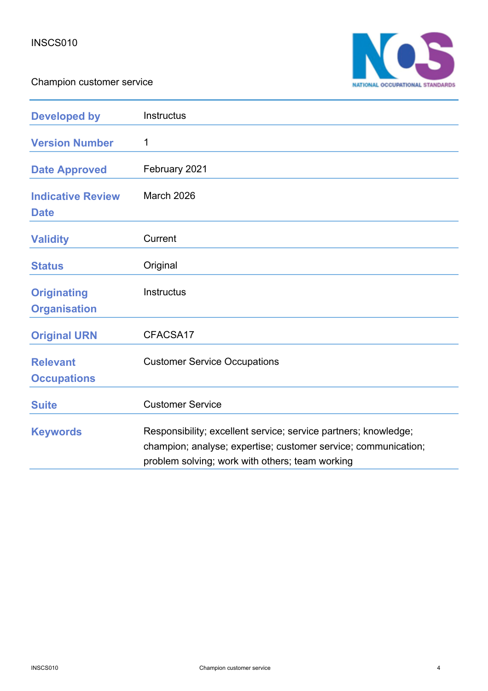Champion customer service



| <b>Developed by</b>                       | Instructus                                                                                                                                                                           |
|-------------------------------------------|--------------------------------------------------------------------------------------------------------------------------------------------------------------------------------------|
| <b>Version Number</b>                     | 1                                                                                                                                                                                    |
| <b>Date Approved</b>                      | February 2021                                                                                                                                                                        |
| <b>Indicative Review</b><br><b>Date</b>   | March 2026                                                                                                                                                                           |
| <b>Validity</b>                           | Current                                                                                                                                                                              |
| <b>Status</b>                             | Original                                                                                                                                                                             |
| <b>Originating</b><br><b>Organisation</b> | <b>Instructus</b>                                                                                                                                                                    |
| <b>Original URN</b>                       | CFACSA17                                                                                                                                                                             |
| <b>Relevant</b><br><b>Occupations</b>     | <b>Customer Service Occupations</b>                                                                                                                                                  |
| <b>Suite</b>                              | <b>Customer Service</b>                                                                                                                                                              |
| <b>Keywords</b>                           | Responsibility; excellent service; service partners; knowledge;<br>champion; analyse; expertise; customer service; communication;<br>problem solving; work with others; team working |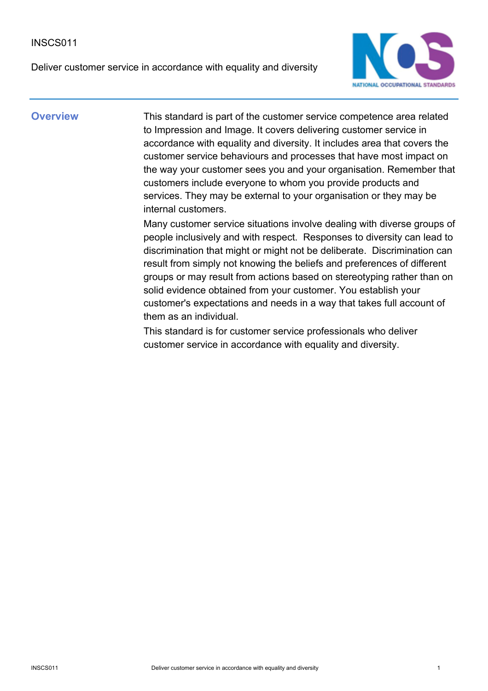### INSCS011

Deliver customer service in accordance with equality and diversity



**Overview** This standard is part of the customer service competence area related to Impression and Image. It covers delivering customer service in accordance with equality and diversity. It includes area that covers the customer service behaviours and processes that have most impact on the way your customer sees you and your organisation. Remember that customers include everyone to whom you provide products and services. They may be external to your organisation or they may be internal customers.

> Many customer service situations involve dealing with diverse groups of people inclusively and with respect. Responses to diversity can lead to discrimination that might or might not be deliberate. Discrimination can result from simply not knowing the beliefs and preferences of different groups or may result from actions based on stereotyping rather than on solid evidence obtained from your customer. You establish your customer's expectations and needs in a way that takes full account of them as an individual.

This standard is for customer service professionals who deliver customer service in accordance with equality and diversity.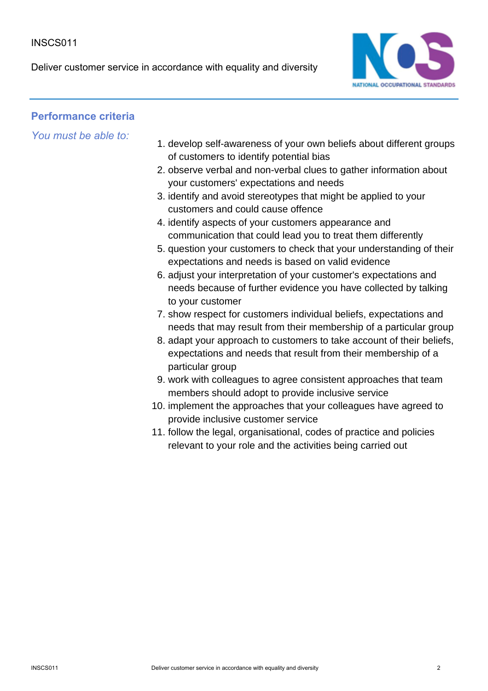Deliver customer service in accordance with equality and diversity



## **Performance criteria**

- 1. develop self-awareness of your own beliefs about different groups of customers to identify potential bias
- 2. observe verbal and non-verbal clues to gather information about your customers' expectations and needs
- 3. identify and avoid stereotypes that might be applied to your customers and could cause offence
- 4. identify aspects of your customers appearance and communication that could lead you to treat them differently
- 5. question your customers to check that your understanding of their expectations and needs is based on valid evidence
- 6. adjust your interpretation of your customer's expectations and needs because of further evidence you have collected by talking to your customer
- 7. show respect for customers individual beliefs, expectations and needs that may result from their membership of a particular group
- 8. adapt your approach to customers to take account of their beliefs, expectations and needs that result from their membership of a particular group
- 9. work with colleagues to agree consistent approaches that team members should adopt to provide inclusive service
- 10. implement the approaches that your colleagues have agreed to provide inclusive customer service
- 11. follow the legal, organisational, codes of practice and policies relevant to your role and the activities being carried out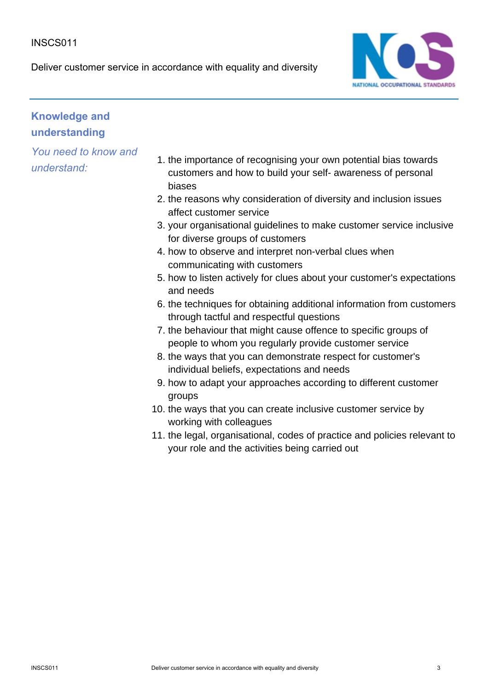### INSCS011

Deliver customer service in accordance with equality and diversity



# **Knowledge and understanding**

- 1. the importance of recognising your own potential bias towards customers and how to build your self- awareness of personal biases
- 2. the reasons why consideration of diversity and inclusion issues affect customer service
- 3. your organisational guidelines to make customer service inclusive for diverse groups of customers
- 4. how to observe and interpret non-verbal clues when communicating with customers
- 5. how to listen actively for clues about your customer's expectations and needs
- 6. the techniques for obtaining additional information from customers through tactful and respectful questions
- 7. the behaviour that might cause offence to specific groups of people to whom you regularly provide customer service
- 8. the ways that you can demonstrate respect for customer's individual beliefs, expectations and needs
- 9. how to adapt your approaches according to different customer groups
- 10. the ways that you can create inclusive customer service by working with colleagues
- 11. the legal, organisational, codes of practice and policies relevant to your role and the activities being carried out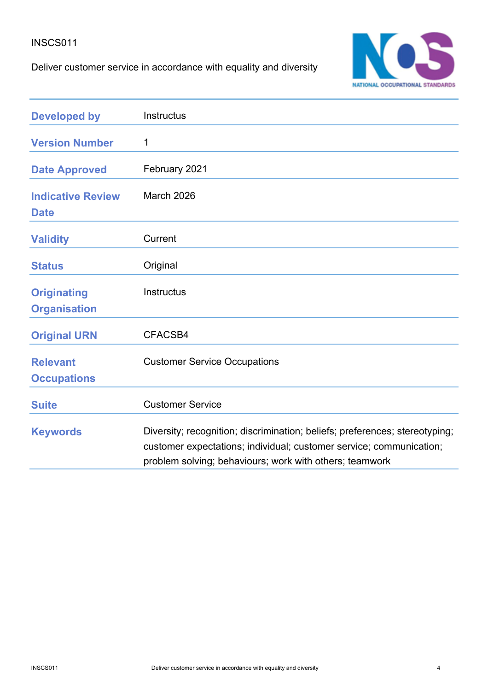### INSCS011

Deliver customer service in accordance with equality and diversity



| <b>Developed by</b>                       | Instructus                                                                                                                                                                                                    |
|-------------------------------------------|---------------------------------------------------------------------------------------------------------------------------------------------------------------------------------------------------------------|
| <b>Version Number</b>                     | 1                                                                                                                                                                                                             |
| <b>Date Approved</b>                      | February 2021                                                                                                                                                                                                 |
| <b>Indicative Review</b><br><b>Date</b>   | <b>March 2026</b>                                                                                                                                                                                             |
| <b>Validity</b>                           | Current                                                                                                                                                                                                       |
| <b>Status</b>                             | Original                                                                                                                                                                                                      |
| <b>Originating</b><br><b>Organisation</b> | <b>Instructus</b>                                                                                                                                                                                             |
| <b>Original URN</b>                       | CFACSB4                                                                                                                                                                                                       |
| <b>Relevant</b><br><b>Occupations</b>     | <b>Customer Service Occupations</b>                                                                                                                                                                           |
| <b>Suite</b>                              | <b>Customer Service</b>                                                                                                                                                                                       |
| <b>Keywords</b>                           | Diversity; recognition; discrimination; beliefs; preferences; stereotyping;<br>customer expectations; individual; customer service; communication;<br>problem solving; behaviours; work with others; teamwork |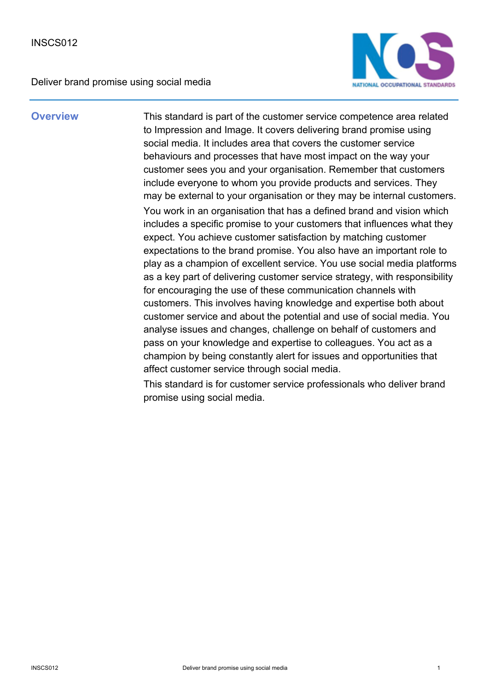

**Overview** This standard is part of the customer service competence area related to Impression and Image. It covers delivering brand promise using social media. It includes area that covers the customer service behaviours and processes that have most impact on the way your customer sees you and your organisation. Remember that customers include everyone to whom you provide products and services. They may be external to your organisation or they may be internal customers. You work in an organisation that has a defined brand and vision which includes a specific promise to your customers that influences what they expect. You achieve customer satisfaction by matching customer expectations to the brand promise. You also have an important role to play as a champion of excellent service. You use social media platforms as a key part of delivering customer service strategy, with responsibility for encouraging the use of these communication channels with customers. This involves having knowledge and expertise both about customer service and about the potential and use of social media. You analyse issues and changes, challenge on behalf of customers and pass on your knowledge and expertise to colleagues. You act as a champion by being constantly alert for issues and opportunities that affect customer service through social media.

> This standard is for customer service professionals who deliver brand promise using social media.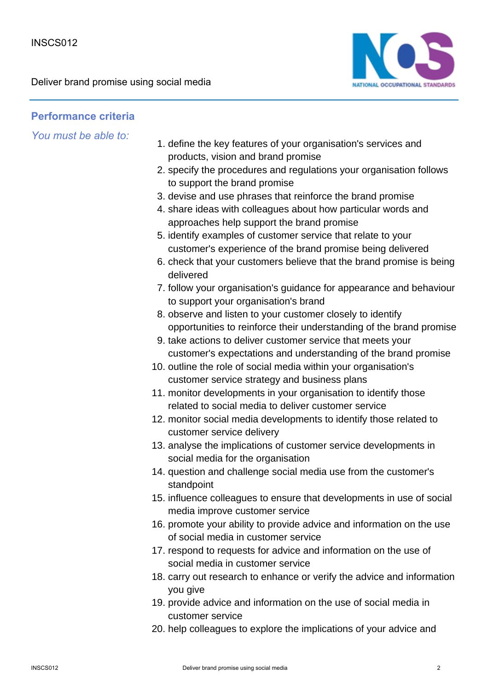

## **Performance criteria**

- 1. define the key features of your organisation's services and products, vision and brand promise
- 2. specify the procedures and regulations your organisation follows to support the brand promise
- 3. devise and use phrases that reinforce the brand promise
- 4. share ideas with colleagues about how particular words and approaches help support the brand promise
- 5. identify examples of customer service that relate to your customer's experience of the brand promise being delivered
- 6. check that your customers believe that the brand promise is being delivered
- 7. follow your organisation's guidance for appearance and behaviour to support your organisation's brand
- 8. observe and listen to your customer closely to identify opportunities to reinforce their understanding of the brand promise
- 9. take actions to deliver customer service that meets your customer's expectations and understanding of the brand promise
- 10. outline the role of social media within your organisation's customer service strategy and business plans
- 11. monitor developments in your organisation to identify those related to social media to deliver customer service
- 12. monitor social media developments to identify those related to customer service delivery
- 13. analyse the implications of customer service developments in social media for the organisation
- 14. question and challenge social media use from the customer's standpoint
- 15. influence colleagues to ensure that developments in use of social media improve customer service
- 16. promote your ability to provide advice and information on the use of social media in customer service
- 17. respond to requests for advice and information on the use of social media in customer service
- 18. carry out research to enhance or verify the advice and information you give
- 19. provide advice and information on the use of social media in customer service
- 20. help colleagues to explore the implications of your advice and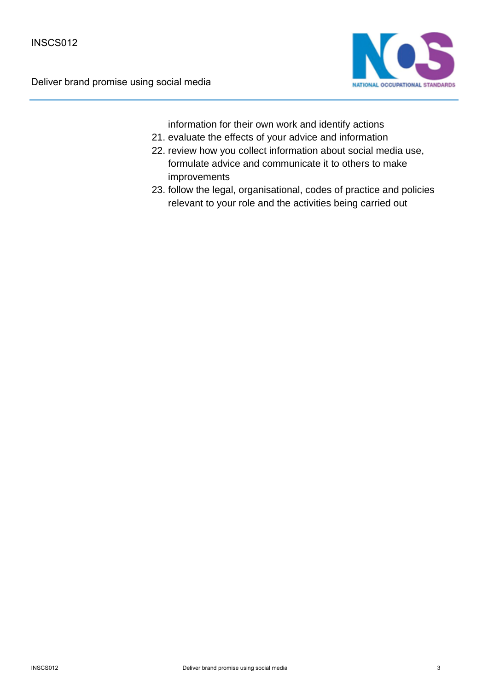

information for their own work and identify actions

- 21. evaluate the effects of your advice and information
- 22. review how you collect information about social media use, formulate advice and communicate it to others to make improvements
- 23. follow the legal, organisational, codes of practice and policies relevant to your role and the activities being carried out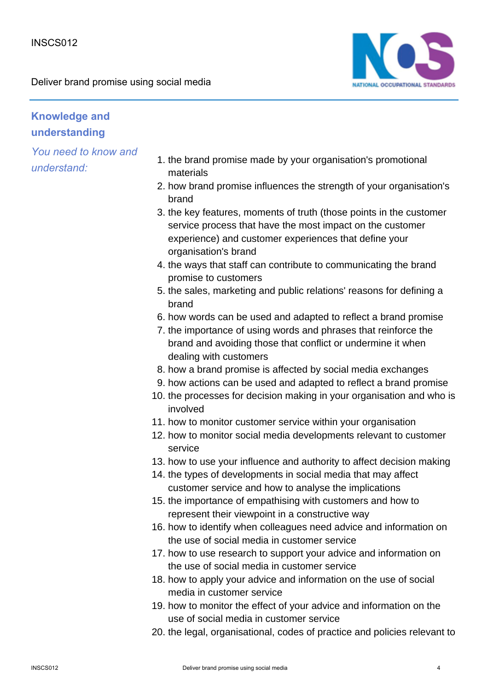

# **Knowledge and understanding**

- 1. the brand promise made by your organisation's promotional materials
- 2. how brand promise influences the strength of your organisation's brand
- 3. the key features, moments of truth (those points in the customer service process that have the most impact on the customer experience) and customer experiences that define your organisation's brand
- 4. the ways that staff can contribute to communicating the brand promise to customers
- 5. the sales, marketing and public relations' reasons for defining a brand
- 6. how words can be used and adapted to reflect a brand promise
- 7. the importance of using words and phrases that reinforce the brand and avoiding those that conflict or undermine it when dealing with customers
- 8. how a brand promise is affected by social media exchanges
- 9. how actions can be used and adapted to reflect a brand promise
- 10. the processes for decision making in your organisation and who is involved
- 11. how to monitor customer service within your organisation
- 12. how to monitor social media developments relevant to customer service
- 13. how to use your influence and authority to affect decision making
- 14. the types of developments in social media that may affect customer service and how to analyse the implications
- 15. the importance of empathising with customers and how to represent their viewpoint in a constructive way
- 16. how to identify when colleagues need advice and information on the use of social media in customer service
- 17. how to use research to support your advice and information on the use of social media in customer service
- 18. how to apply your advice and information on the use of social media in customer service
- 19. how to monitor the effect of your advice and information on the use of social media in customer service
- 20. the legal, organisational, codes of practice and policies relevant to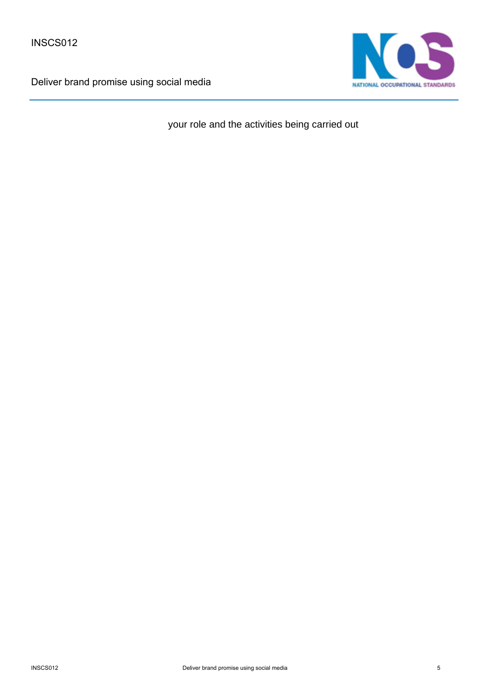

your role and the activities being carried out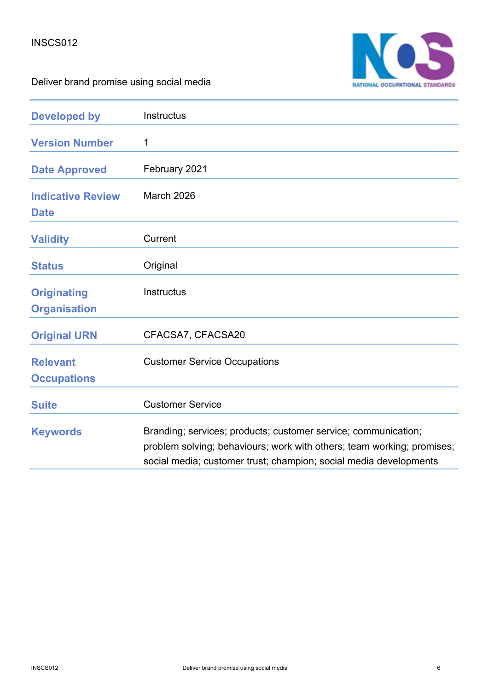

| <b>Developed by</b>                       | Instructus                                                                                                                                                                                                    |
|-------------------------------------------|---------------------------------------------------------------------------------------------------------------------------------------------------------------------------------------------------------------|
| <b>Version Number</b>                     | 1                                                                                                                                                                                                             |
| <b>Date Approved</b>                      | February 2021                                                                                                                                                                                                 |
| <b>Indicative Review</b><br><b>Date</b>   | <b>March 2026</b>                                                                                                                                                                                             |
| <b>Validity</b>                           | Current                                                                                                                                                                                                       |
| <b>Status</b>                             | Original                                                                                                                                                                                                      |
| <b>Originating</b><br><b>Organisation</b> | Instructus                                                                                                                                                                                                    |
| <b>Original URN</b>                       | CFACSA7, CFACSA20                                                                                                                                                                                             |
| <b>Relevant</b><br><b>Occupations</b>     | <b>Customer Service Occupations</b>                                                                                                                                                                           |
| <b>Suite</b>                              | <b>Customer Service</b>                                                                                                                                                                                       |
| <b>Keywords</b>                           | Branding; services; products; customer service; communication;<br>problem solving; behaviours; work with others; team working; promises;<br>social media; customer trust; champion; social media developments |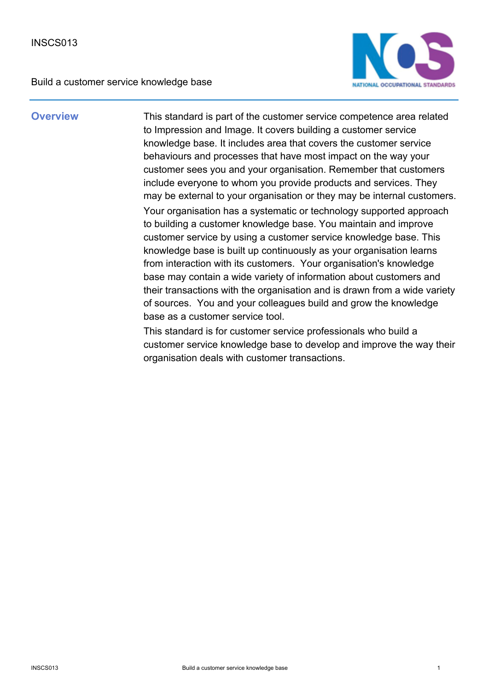Build a customer service knowledge base



**Overview** This standard is part of the customer service competence area related to Impression and Image. It covers building a customer service knowledge base. It includes area that covers the customer service behaviours and processes that have most impact on the way your customer sees you and your organisation. Remember that customers include everyone to whom you provide products and services. They may be external to your organisation or they may be internal customers. Your organisation has a systematic or technology supported approach to building a customer knowledge base. You maintain and improve customer service by using a customer service knowledge base. This knowledge base is built up continuously as your organisation learns from interaction with its customers. Your organisation's knowledge base may contain a wide variety of information about customers and their transactions with the organisation and is drawn from a wide variety of sources. You and your colleagues build and grow the knowledge base as a customer service tool.

> This standard is for customer service professionals who build a customer service knowledge base to develop and improve the way their organisation deals with customer transactions.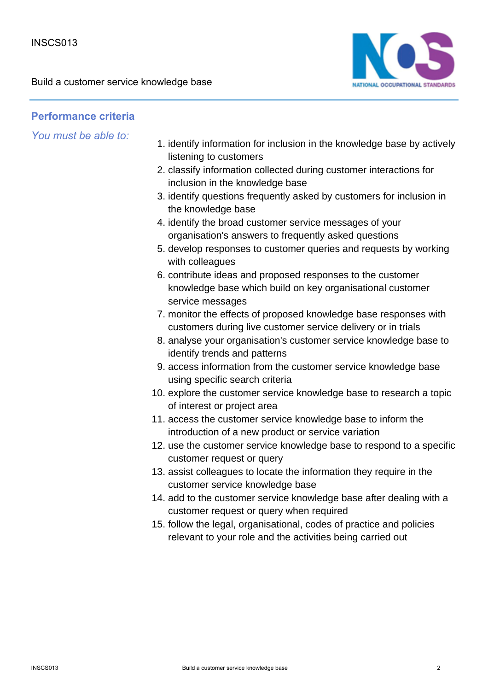

## **Performance criteria**

- 1. identify information for inclusion in the knowledge base by actively listening to customers
- 2. classify information collected during customer interactions for inclusion in the knowledge base
- 3. identify questions frequently asked by customers for inclusion in the knowledge base
- 4. identify the broad customer service messages of your organisation's answers to frequently asked questions
- 5. develop responses to customer queries and requests by working with colleagues
- 6. contribute ideas and proposed responses to the customer knowledge base which build on key organisational customer service messages
- 7. monitor the effects of proposed knowledge base responses with customers during live customer service delivery or in trials
- 8. analyse your organisation's customer service knowledge base to identify trends and patterns
- 9. access information from the customer service knowledge base using specific search criteria
- 10. explore the customer service knowledge base to research a topic of interest or project area
- 11. access the customer service knowledge base to inform the introduction of a new product or service variation
- 12. use the customer service knowledge base to respond to a specific customer request or query
- 13. assist colleagues to locate the information they require in the customer service knowledge base
- 14. add to the customer service knowledge base after dealing with a customer request or query when required
- 15. follow the legal, organisational, codes of practice and policies relevant to your role and the activities being carried out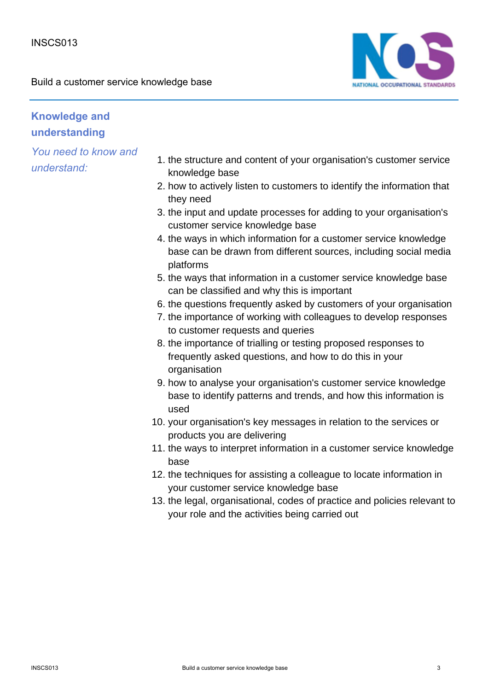Build a customer service knowledge base



# **Knowledge and understanding**

- 1. the structure and content of your organisation's customer service knowledge base
- 2. how to actively listen to customers to identify the information that they need
- 3. the input and update processes for adding to your organisation's customer service knowledge base
- 4. the ways in which information for a customer service knowledge base can be drawn from different sources, including social media platforms
- 5. the ways that information in a customer service knowledge base can be classified and why this is important
- 6. the questions frequently asked by customers of your organisation
- 7. the importance of working with colleagues to develop responses to customer requests and queries
- 8. the importance of trialling or testing proposed responses to frequently asked questions, and how to do this in your organisation
- 9. how to analyse your organisation's customer service knowledge base to identify patterns and trends, and how this information is used
- 10. your organisation's key messages in relation to the services or products you are delivering
- 11. the ways to interpret information in a customer service knowledge base
- 12. the techniques for assisting a colleague to locate information in your customer service knowledge base
- 13. the legal, organisational, codes of practice and policies relevant to your role and the activities being carried out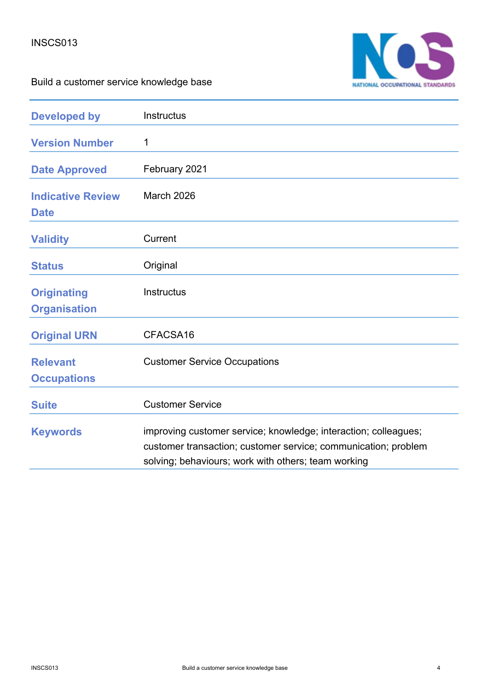

Build a customer service knowledge base

| <b>Developed by</b>                       | Instructus                                                                                                                                                                               |
|-------------------------------------------|------------------------------------------------------------------------------------------------------------------------------------------------------------------------------------------|
| <b>Version Number</b>                     | 1                                                                                                                                                                                        |
| <b>Date Approved</b>                      | February 2021                                                                                                                                                                            |
| <b>Indicative Review</b><br><b>Date</b>   | <b>March 2026</b>                                                                                                                                                                        |
| <b>Validity</b>                           | Current                                                                                                                                                                                  |
| <b>Status</b>                             | Original                                                                                                                                                                                 |
| <b>Originating</b><br><b>Organisation</b> | Instructus                                                                                                                                                                               |
| <b>Original URN</b>                       | CFACSA16                                                                                                                                                                                 |
| <b>Relevant</b><br><b>Occupations</b>     | <b>Customer Service Occupations</b>                                                                                                                                                      |
| <b>Suite</b>                              | <b>Customer Service</b>                                                                                                                                                                  |
| <b>Keywords</b>                           | improving customer service; knowledge; interaction; colleagues;<br>customer transaction; customer service; communication; problem<br>solving; behaviours; work with others; team working |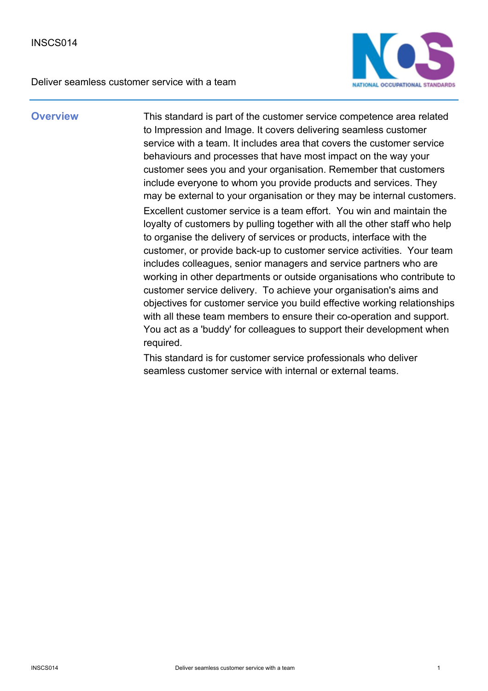

**Overview** This standard is part of the customer service competence area related to Impression and Image. It covers delivering seamless customer service with a team. It includes area that covers the customer service behaviours and processes that have most impact on the way your customer sees you and your organisation. Remember that customers include everyone to whom you provide products and services. They may be external to your organisation or they may be internal customers. Excellent customer service is a team effort. You win and maintain the loyalty of customers by pulling together with all the other staff who help to organise the delivery of services or products, interface with the customer, or provide back-up to customer service activities. Your team includes colleagues, senior managers and service partners who are working in other departments or outside organisations who contribute to customer service delivery. To achieve your organisation's aims and objectives for customer service you build effective working relationships with all these team members to ensure their co-operation and support. You act as a 'buddy' for colleagues to support their development when required.

> This standard is for customer service professionals who deliver seamless customer service with internal or external teams.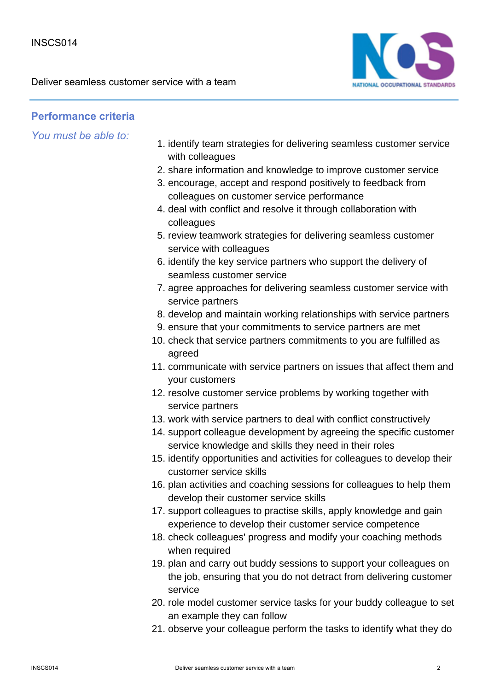

## **Performance criteria**

- 1. identify team strategies for delivering seamless customer service with colleagues
- 2. share information and knowledge to improve customer service
- 3. encourage, accept and respond positively to feedback from colleagues on customer service performance
- 4. deal with conflict and resolve it through collaboration with colleagues
- 5. review teamwork strategies for delivering seamless customer service with colleagues
- 6. identify the key service partners who support the delivery of seamless customer service
- 7. agree approaches for delivering seamless customer service with service partners
- 8. develop and maintain working relationships with service partners
- 9. ensure that your commitments to service partners are met
- 10. check that service partners commitments to you are fulfilled as agreed
- 11. communicate with service partners on issues that affect them and your customers
- 12. resolve customer service problems by working together with service partners
- 13. work with service partners to deal with conflict constructively
- 14. support colleague development by agreeing the specific customer service knowledge and skills they need in their roles
- 15. identify opportunities and activities for colleagues to develop their customer service skills
- 16. plan activities and coaching sessions for colleagues to help them develop their customer service skills
- 17. support colleagues to practise skills, apply knowledge and gain experience to develop their customer service competence
- 18. check colleagues' progress and modify your coaching methods when required
- 19. plan and carry out buddy sessions to support your colleagues on the job, ensuring that you do not detract from delivering customer service
- 20. role model customer service tasks for your buddy colleague to set an example they can follow
- 21. observe your colleague perform the tasks to identify what they do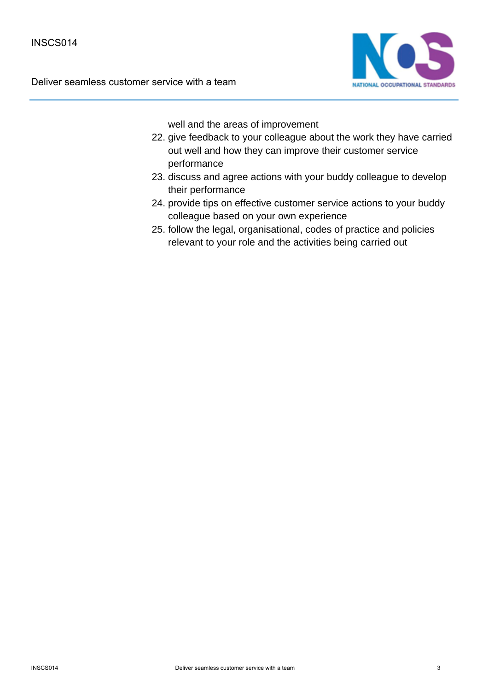

well and the areas of improvement

- 22. give feedback to your colleague about the work they have carried out well and how they can improve their customer service performance
- 23. discuss and agree actions with your buddy colleague to develop their performance
- 24. provide tips on effective customer service actions to your buddy colleague based on your own experience
- 25. follow the legal, organisational, codes of practice and policies relevant to your role and the activities being carried out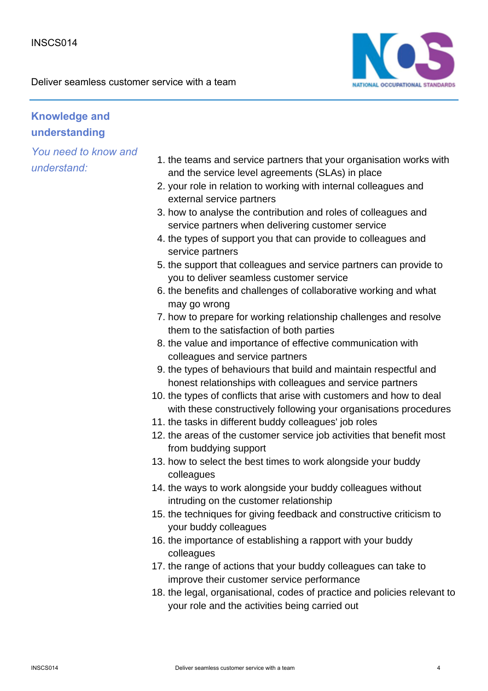

# **Knowledge and understanding**

- 1. the teams and service partners that your organisation works with and the service level agreements (SLAs) in place
- 2. your role in relation to working with internal colleagues and external service partners
- 3. how to analyse the contribution and roles of colleagues and service partners when delivering customer service
- 4. the types of support you that can provide to colleagues and service partners
- 5. the support that colleagues and service partners can provide to you to deliver seamless customer service
- 6. the benefits and challenges of collaborative working and what may go wrong
- 7. how to prepare for working relationship challenges and resolve them to the satisfaction of both parties
- 8. the value and importance of effective communication with colleagues and service partners
- 9. the types of behaviours that build and maintain respectful and honest relationships with colleagues and service partners
- 10. the types of conflicts that arise with customers and how to deal with these constructively following your organisations procedures
- 11. the tasks in different buddy colleagues' job roles
- 12. the areas of the customer service job activities that benefit most from buddying support
- 13. how to select the best times to work alongside your buddy colleagues
- 14. the ways to work alongside your buddy colleagues without intruding on the customer relationship
- 15. the techniques for giving feedback and constructive criticism to your buddy colleagues
- 16. the importance of establishing a rapport with your buddy colleagues
- 17. the range of actions that your buddy colleagues can take to improve their customer service performance
- 18. the legal, organisational, codes of practice and policies relevant to your role and the activities being carried out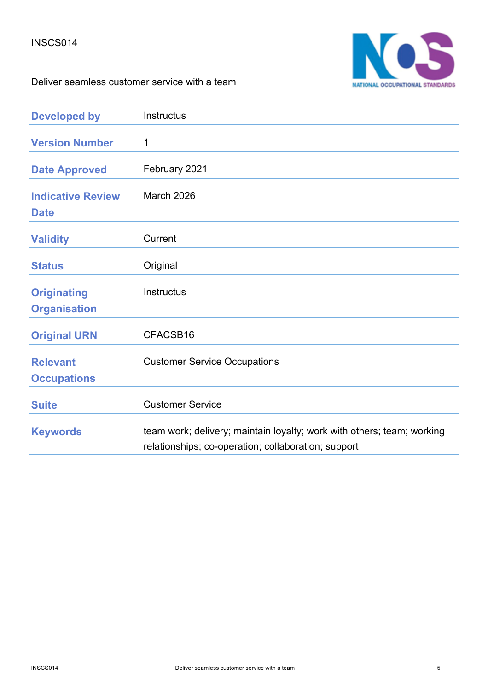

| <b>Developed by</b>                       | <b>Instructus</b>                                                                                                             |
|-------------------------------------------|-------------------------------------------------------------------------------------------------------------------------------|
| <b>Version Number</b>                     | 1                                                                                                                             |
| <b>Date Approved</b>                      | February 2021                                                                                                                 |
| <b>Indicative Review</b><br><b>Date</b>   | March 2026                                                                                                                    |
| <b>Validity</b>                           | Current                                                                                                                       |
| <b>Status</b>                             | Original                                                                                                                      |
| <b>Originating</b><br><b>Organisation</b> | <b>Instructus</b>                                                                                                             |
| <b>Original URN</b>                       | CFACSB16                                                                                                                      |
| <b>Relevant</b><br><b>Occupations</b>     | <b>Customer Service Occupations</b>                                                                                           |
| <b>Suite</b>                              | <b>Customer Service</b>                                                                                                       |
| <b>Keywords</b>                           | team work; delivery; maintain loyalty; work with others; team; working<br>relationships; co-operation; collaboration; support |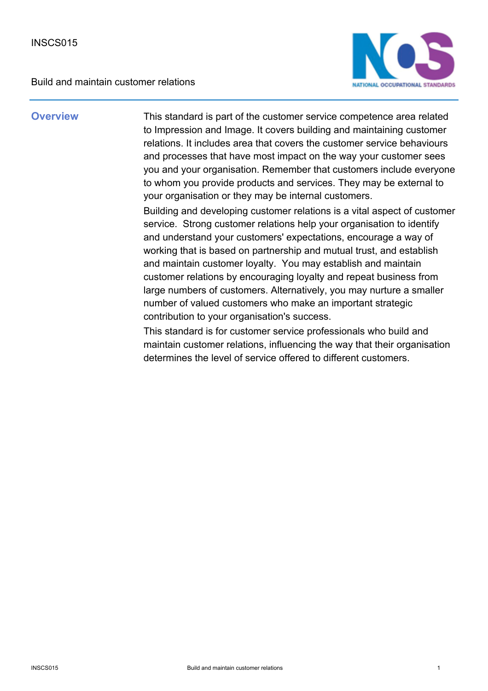Build and maintain customer relations



**Overview** This standard is part of the customer service competence area related to Impression and Image. It covers building and maintaining customer relations. It includes area that covers the customer service behaviours and processes that have most impact on the way your customer sees you and your organisation. Remember that customers include everyone to whom you provide products and services. They may be external to your organisation or they may be internal customers.

> Building and developing customer relations is a vital aspect of customer service. Strong customer relations help your organisation to identify and understand your customers' expectations, encourage a way of working that is based on partnership and mutual trust, and establish and maintain customer loyalty. You may establish and maintain customer relations by encouraging loyalty and repeat business from large numbers of customers. Alternatively, you may nurture a smaller number of valued customers who make an important strategic contribution to your organisation's success.

This standard is for customer service professionals who build and maintain customer relations, influencing the way that their organisation determines the level of service offered to different customers.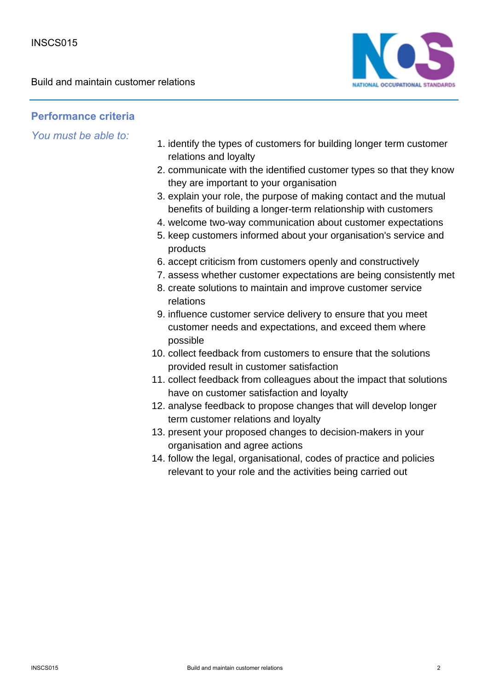Build and maintain customer relations



## **Performance criteria**

- 1. identify the types of customers for building longer term customer relations and loyalty
- 2. communicate with the identified customer types so that they know they are important to your organisation
- 3. explain your role, the purpose of making contact and the mutual benefits of building a longer-term relationship with customers
- 4. welcome two-way communication about customer expectations
- 5. keep customers informed about your organisation's service and products
- 6. accept criticism from customers openly and constructively
- 7. assess whether customer expectations are being consistently met
- 8. create solutions to maintain and improve customer service relations
- 9. influence customer service delivery to ensure that you meet customer needs and expectations, and exceed them where possible
- 10. collect feedback from customers to ensure that the solutions provided result in customer satisfaction
- 11. collect feedback from colleagues about the impact that solutions have on customer satisfaction and loyalty
- 12. analyse feedback to propose changes that will develop longer term customer relations and loyalty
- 13. present your proposed changes to decision-makers in your organisation and agree actions
- 14. follow the legal, organisational, codes of practice and policies relevant to your role and the activities being carried out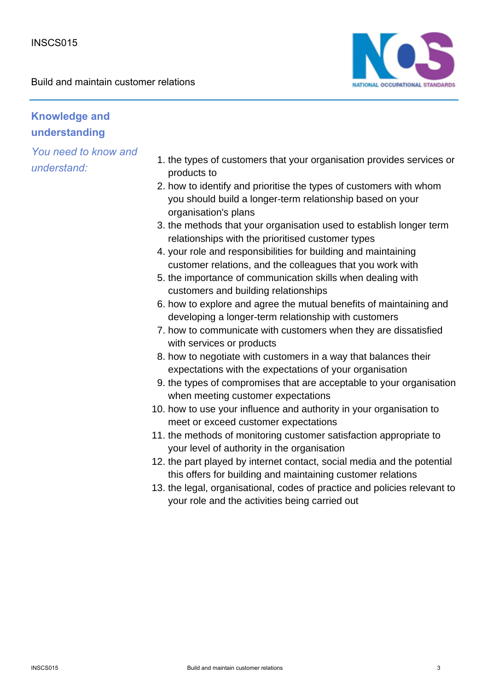Build and maintain customer relations



## **Knowledge and understanding**

- 1. the types of customers that your organisation provides services or products to
- 2. how to identify and prioritise the types of customers with whom you should build a longer-term relationship based on your organisation's plans
- 3. the methods that your organisation used to establish longer term relationships with the prioritised customer types
- 4. your role and responsibilities for building and maintaining customer relations, and the colleagues that you work with
- 5. the importance of communication skills when dealing with customers and building relationships
- 6. how to explore and agree the mutual benefits of maintaining and developing a longer-term relationship with customers
- 7. how to communicate with customers when they are dissatisfied with services or products
- 8. how to negotiate with customers in a way that balances their expectations with the expectations of your organisation
- 9. the types of compromises that are acceptable to your organisation when meeting customer expectations
- 10. how to use your influence and authority in your organisation to meet or exceed customer expectations
- 11. the methods of monitoring customer satisfaction appropriate to your level of authority in the organisation
- 12. the part played by internet contact, social media and the potential this offers for building and maintaining customer relations
- 13. the legal, organisational, codes of practice and policies relevant to your role and the activities being carried out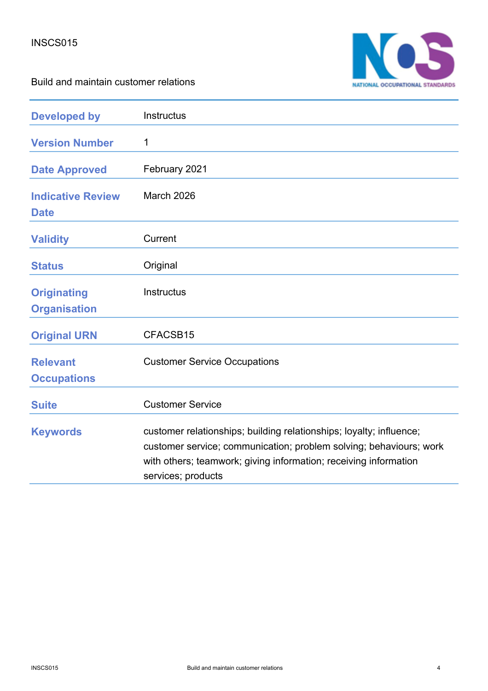

Build and maintain customer relations

| <b>Developed by</b>                       | Instructus                                                                                                                                                                                                                          |
|-------------------------------------------|-------------------------------------------------------------------------------------------------------------------------------------------------------------------------------------------------------------------------------------|
| <b>Version Number</b>                     | 1                                                                                                                                                                                                                                   |
| <b>Date Approved</b>                      | February 2021                                                                                                                                                                                                                       |
| <b>Indicative Review</b><br><b>Date</b>   | March 2026                                                                                                                                                                                                                          |
| <b>Validity</b>                           | Current                                                                                                                                                                                                                             |
| <b>Status</b>                             | Original                                                                                                                                                                                                                            |
| <b>Originating</b><br><b>Organisation</b> | Instructus                                                                                                                                                                                                                          |
| <b>Original URN</b>                       | CFACSB15                                                                                                                                                                                                                            |
| <b>Relevant</b><br><b>Occupations</b>     | <b>Customer Service Occupations</b>                                                                                                                                                                                                 |
| <b>Suite</b>                              | <b>Customer Service</b>                                                                                                                                                                                                             |
| <b>Keywords</b>                           | customer relationships; building relationships; loyalty; influence;<br>customer service; communication; problem solving; behaviours; work<br>with others; teamwork; giving information; receiving information<br>services; products |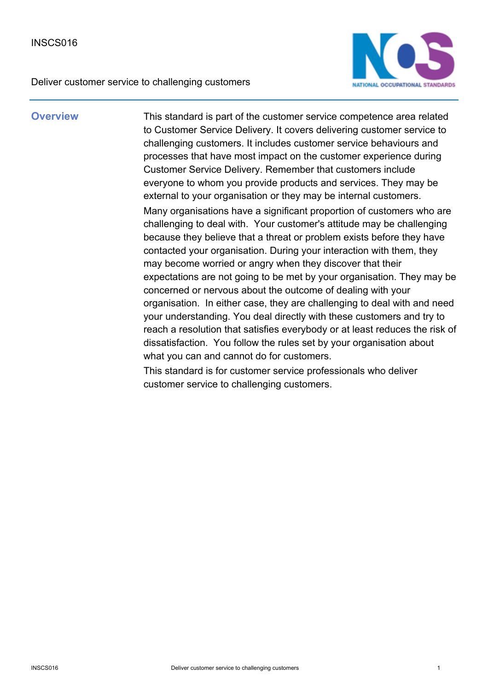Deliver customer service to challenging customers



**Overview** This standard is part of the customer service competence area related to Customer Service Delivery. It covers delivering customer service to challenging customers. It includes customer service behaviours and processes that have most impact on the customer experience during Customer Service Delivery. Remember that customers include everyone to whom you provide products and services. They may be external to your organisation or they may be internal customers. Many organisations have a significant proportion of customers who are challenging to deal with. Your customer's attitude may be challenging because they believe that a threat or problem exists before they have contacted your organisation. During your interaction with them, they may become worried or angry when they discover that their expectations are not going to be met by your organisation. They may be concerned or nervous about the outcome of dealing with your organisation. In either case, they are challenging to deal with and need your understanding. You deal directly with these customers and try to reach a resolution that satisfies everybody or at least reduces the risk of dissatisfaction. You follow the rules set by your organisation about what you can and cannot do for customers.

> This standard is for customer service professionals who deliver customer service to challenging customers.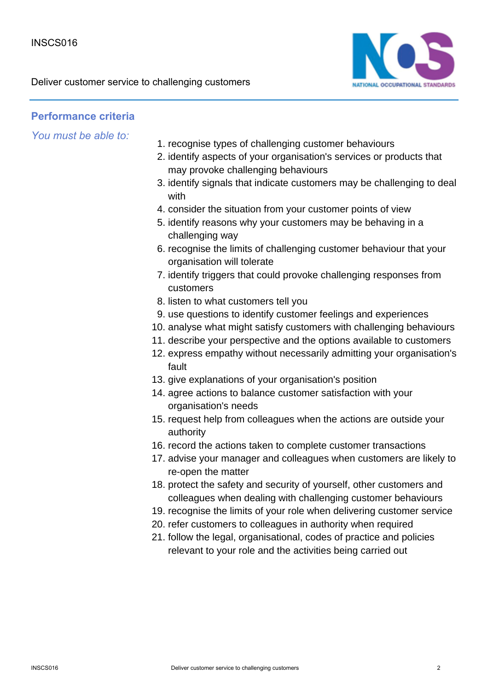Deliver customer service to challenging customers



## **Performance criteria**

*You must be able to:*

- 1. recognise types of challenging customer behaviours
- 2. identify aspects of your organisation's services or products that may provoke challenging behaviours
- 3. identify signals that indicate customers may be challenging to deal with
- 4. consider the situation from your customer points of view
- 5. identify reasons why your customers may be behaving in a challenging way
- 6. recognise the limits of challenging customer behaviour that your organisation will tolerate
- 7. identify triggers that could provoke challenging responses from customers
- 8. listen to what customers tell you
- 9. use questions to identify customer feelings and experiences
- 10. analyse what might satisfy customers with challenging behaviours
- 11. describe your perspective and the options available to customers
- 12. express empathy without necessarily admitting your organisation's fault
- 13. give explanations of your organisation's position
- 14. agree actions to balance customer satisfaction with your organisation's needs
- 15. request help from colleagues when the actions are outside your authority
- 16. record the actions taken to complete customer transactions
- 17. advise your manager and colleagues when customers are likely to re-open the matter
- 18. protect the safety and security of yourself, other customers and colleagues when dealing with challenging customer behaviours
- 19. recognise the limits of your role when delivering customer service
- 20. refer customers to colleagues in authority when required
- 21. follow the legal, organisational, codes of practice and policies relevant to your role and the activities being carried out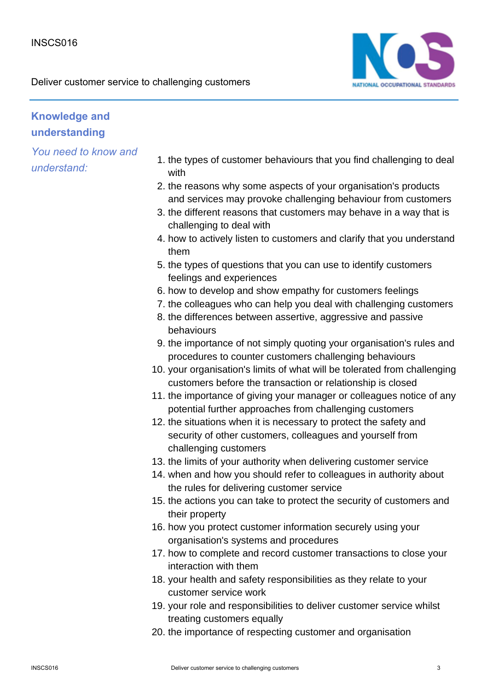

## **Knowledge and understanding**

- 1. the types of customer behaviours that you find challenging to deal with
- 2. the reasons why some aspects of your organisation's products and services may provoke challenging behaviour from customers
- 3. the different reasons that customers may behave in a way that is challenging to deal with
- 4. how to actively listen to customers and clarify that you understand them
- 5. the types of questions that you can use to identify customers feelings and experiences
- 6. how to develop and show empathy for customers feelings
- 7. the colleagues who can help you deal with challenging customers
- 8. the differences between assertive, aggressive and passive behaviours
- 9. the importance of not simply quoting your organisation's rules and procedures to counter customers challenging behaviours
- 10. your organisation's limits of what will be tolerated from challenging customers before the transaction or relationship is closed
- 11. the importance of giving your manager or colleagues notice of any potential further approaches from challenging customers
- 12. the situations when it is necessary to protect the safety and security of other customers, colleagues and yourself from challenging customers
- 13. the limits of your authority when delivering customer service
- 14. when and how you should refer to colleagues in authority about the rules for delivering customer service
- 15. the actions you can take to protect the security of customers and their property
- 16. how you protect customer information securely using your organisation's systems and procedures
- 17. how to complete and record customer transactions to close your interaction with them
- 18. your health and safety responsibilities as they relate to your customer service work
- 19. your role and responsibilities to deliver customer service whilst treating customers equally
- 20. the importance of respecting customer and organisation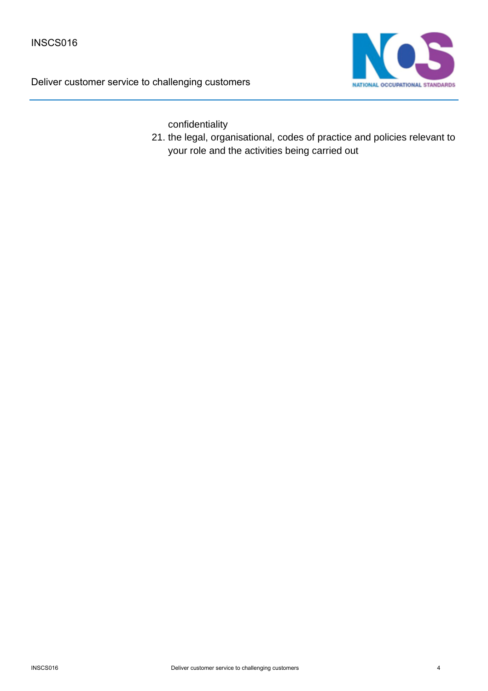Deliver customer service to challenging customers



confidentiality

21. the legal, organisational, codes of practice and policies relevant to your role and the activities being carried out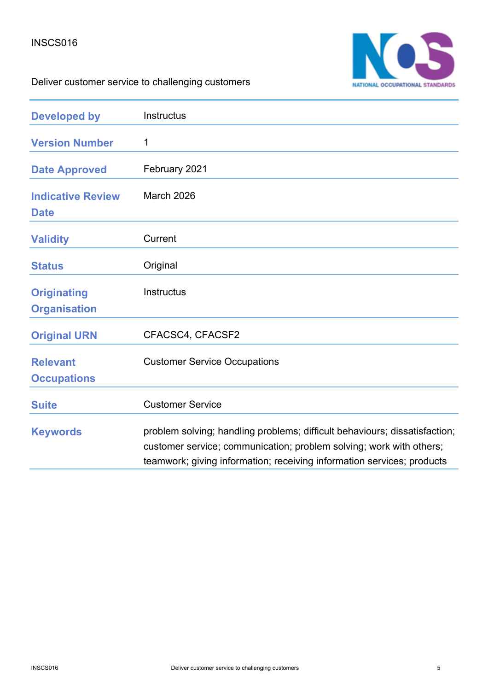

# Deliver customer service to challenging customers

| <b>Developed by</b>                       | Instructus                                                                                                                                                                                                                  |
|-------------------------------------------|-----------------------------------------------------------------------------------------------------------------------------------------------------------------------------------------------------------------------------|
| <b>Version Number</b>                     | 1                                                                                                                                                                                                                           |
| <b>Date Approved</b>                      | February 2021                                                                                                                                                                                                               |
| <b>Indicative Review</b><br><b>Date</b>   | March 2026                                                                                                                                                                                                                  |
| <b>Validity</b>                           | Current                                                                                                                                                                                                                     |
| <b>Status</b>                             | Original                                                                                                                                                                                                                    |
| <b>Originating</b><br><b>Organisation</b> | <b>Instructus</b>                                                                                                                                                                                                           |
| <b>Original URN</b>                       | CFACSC4, CFACSF2                                                                                                                                                                                                            |
| <b>Relevant</b><br><b>Occupations</b>     | <b>Customer Service Occupations</b>                                                                                                                                                                                         |
| <b>Suite</b>                              | <b>Customer Service</b>                                                                                                                                                                                                     |
| <b>Keywords</b>                           | problem solving; handling problems; difficult behaviours; dissatisfaction;<br>customer service; communication; problem solving; work with others;<br>teamwork; giving information; receiving information services; products |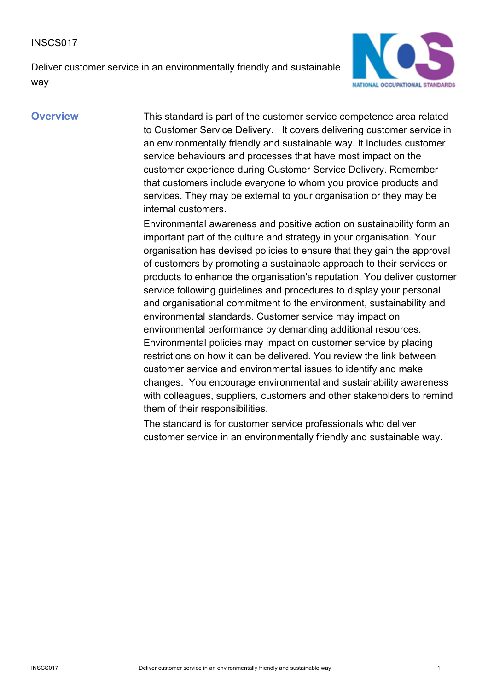Deliver customer service in an environmentally friendly and sustainable way



**Overview** This standard is part of the customer service competence area related to Customer Service Delivery. It covers delivering customer service in an environmentally friendly and sustainable way. It includes customer service behaviours and processes that have most impact on the customer experience during Customer Service Delivery. Remember that customers include everyone to whom you provide products and services. They may be external to your organisation or they may be internal customers.

> Environmental awareness and positive action on sustainability form an important part of the culture and strategy in your organisation. Your organisation has devised policies to ensure that they gain the approval of customers by promoting a sustainable approach to their services or products to enhance the organisation's reputation. You deliver customer service following guidelines and procedures to display your personal and organisational commitment to the environment, sustainability and environmental standards. Customer service may impact on environmental performance by demanding additional resources. Environmental policies may impact on customer service by placing restrictions on how it can be delivered. You review the link between customer service and environmental issues to identify and make changes. You encourage environmental and sustainability awareness with colleagues, suppliers, customers and other stakeholders to remind them of their responsibilities.

The standard is for customer service professionals who deliver customer service in an environmentally friendly and sustainable way.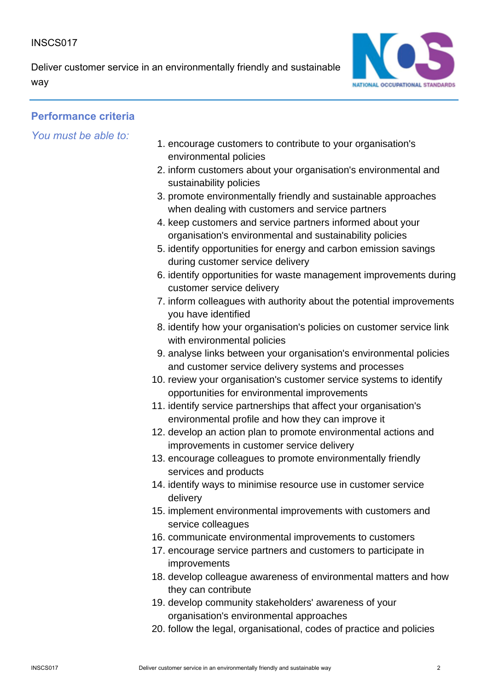Deliver customer service in an environmentally friendly and sustainable way



## **Performance criteria**

*You must be able to:*

- 1. encourage customers to contribute to your organisation's environmental policies
- 2. inform customers about your organisation's environmental and sustainability policies
- 3. promote environmentally friendly and sustainable approaches when dealing with customers and service partners
- 4. keep customers and service partners informed about your organisation's environmental and sustainability policies
- 5. identify opportunities for energy and carbon emission savings during customer service delivery
- 6. identify opportunities for waste management improvements during customer service delivery
- 7. inform colleagues with authority about the potential improvements you have identified
- 8. identify how your organisation's policies on customer service link with environmental policies
- 9. analyse links between your organisation's environmental policies and customer service delivery systems and processes
- 10. review your organisation's customer service systems to identify opportunities for environmental improvements
- 11. identify service partnerships that affect your organisation's environmental profile and how they can improve it
- 12. develop an action plan to promote environmental actions and improvements in customer service delivery
- 13. encourage colleagues to promote environmentally friendly services and products
- 14. identify ways to minimise resource use in customer service delivery
- 15. implement environmental improvements with customers and service colleagues
- 16. communicate environmental improvements to customers
- 17. encourage service partners and customers to participate in improvements
- 18. develop colleague awareness of environmental matters and how they can contribute
- 19. develop community stakeholders' awareness of your organisation's environmental approaches
- 20. follow the legal, organisational, codes of practice and policies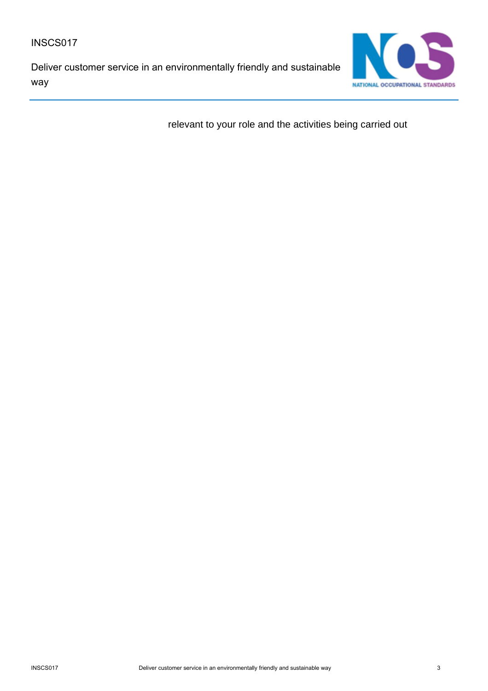Deliver customer service in an environmentally friendly and sustainable way



relevant to your role and the activities being carried out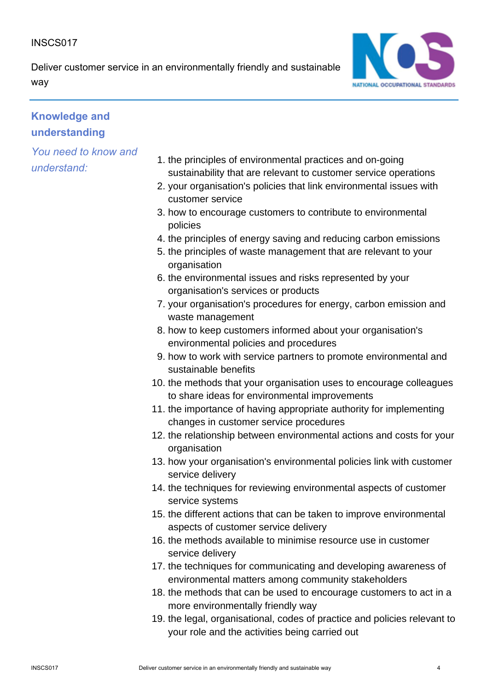Deliver customer service in an environmentally friendly and sustainable way



## **Knowledge and understanding**

- 1. the principles of environmental practices and on-going sustainability that are relevant to customer service operations
- 2. your organisation's policies that link environmental issues with customer service
- 3. how to encourage customers to contribute to environmental policies
- 4. the principles of energy saving and reducing carbon emissions
- 5. the principles of waste management that are relevant to your organisation
- 6. the environmental issues and risks represented by your organisation's services or products
- 7. your organisation's procedures for energy, carbon emission and waste management
- 8. how to keep customers informed about your organisation's environmental policies and procedures
- 9. how to work with service partners to promote environmental and sustainable benefits
- 10. the methods that your organisation uses to encourage colleagues to share ideas for environmental improvements
- 11. the importance of having appropriate authority for implementing changes in customer service procedures
- 12. the relationship between environmental actions and costs for your organisation
- 13. how your organisation's environmental policies link with customer service delivery
- 14. the techniques for reviewing environmental aspects of customer service systems
- 15. the different actions that can be taken to improve environmental aspects of customer service delivery
- 16. the methods available to minimise resource use in customer service delivery
- 17. the techniques for communicating and developing awareness of environmental matters among community stakeholders
- 18. the methods that can be used to encourage customers to act in a more environmentally friendly way
- 19. the legal, organisational, codes of practice and policies relevant to your role and the activities being carried out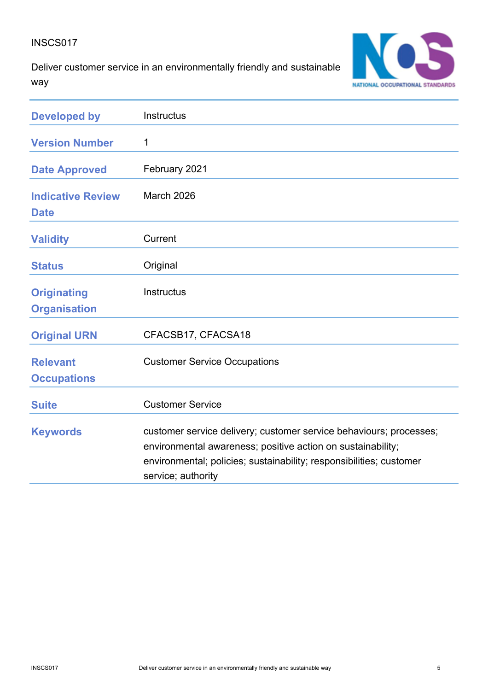Deliver customer service in an environmentally friendly and sustainable way



| <b>Developed by</b>                       | Instructus                                                                                                                                                                                                                     |
|-------------------------------------------|--------------------------------------------------------------------------------------------------------------------------------------------------------------------------------------------------------------------------------|
| <b>Version Number</b>                     | 1                                                                                                                                                                                                                              |
| <b>Date Approved</b>                      | February 2021                                                                                                                                                                                                                  |
| <b>Indicative Review</b><br><b>Date</b>   | March 2026                                                                                                                                                                                                                     |
| <b>Validity</b>                           | Current                                                                                                                                                                                                                        |
| <b>Status</b>                             | Original                                                                                                                                                                                                                       |
| <b>Originating</b><br><b>Organisation</b> | <b>Instructus</b>                                                                                                                                                                                                              |
| <b>Original URN</b>                       | CFACSB17, CFACSA18                                                                                                                                                                                                             |
| <b>Relevant</b><br><b>Occupations</b>     | <b>Customer Service Occupations</b>                                                                                                                                                                                            |
| <b>Suite</b>                              | <b>Customer Service</b>                                                                                                                                                                                                        |
| <b>Keywords</b>                           | customer service delivery; customer service behaviours; processes;<br>environmental awareness; positive action on sustainability;<br>environmental; policies; sustainability; responsibilities; customer<br>service; authority |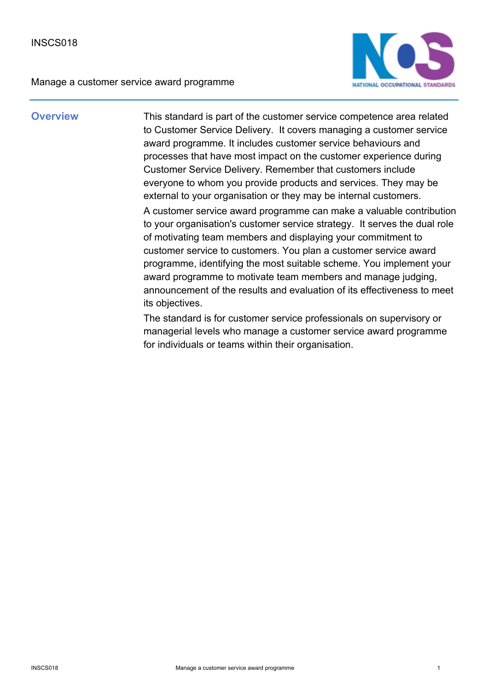

**Overview** This standard is part of the customer service competence area related to Customer Service Delivery. It covers managing a customer service award programme. It includes customer service behaviours and processes that have most impact on the customer experience during Customer Service Delivery. Remember that customers include everyone to whom you provide products and services. They may be external to your organisation or they may be internal customers. A customer service award programme can make a valuable contribution to your organisation's customer service strategy. It serves the dual role of motivating team members and displaying your commitment to customer service to customers. You plan a customer service award programme, identifying the most suitable scheme. You implement your award programme to motivate team members and manage judging, announcement of the results and evaluation of its effectiveness to meet its objectives.

> The standard is for customer service professionals on supervisory or managerial levels who manage a customer service award programme for individuals or teams within their organisation.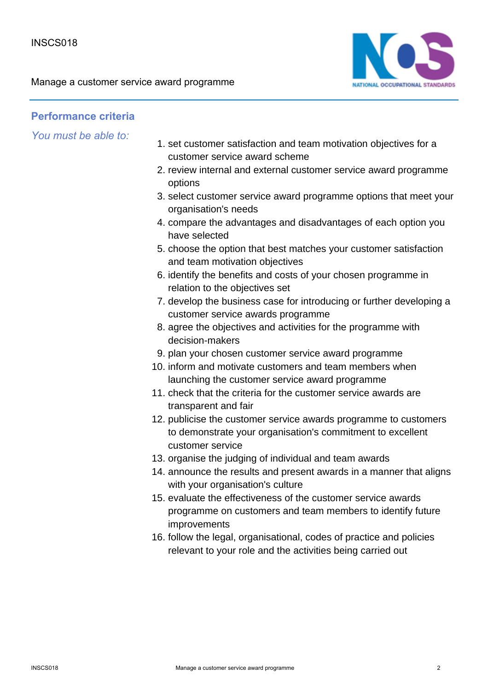

### **Performance criteria**

*You must be able to:*

- 1. set customer satisfaction and team motivation objectives for a customer service award scheme
- 2. review internal and external customer service award programme options
- 3. select customer service award programme options that meet your organisation's needs
- compare the advantages and disadvantages of each option you 4. have selected
- 5. choose the option that best matches your customer satisfaction and team motivation objectives
- 6. identify the benefits and costs of your chosen programme in relation to the objectives set
- 7. develop the business case for introducing or further developing a customer service awards programme
- 8. agree the objectives and activities for the programme with decision-makers
- 9. plan your chosen customer service award programme
- 10. inform and motivate customers and team members when launching the customer service award programme
- 11. check that the criteria for the customer service awards are transparent and fair
- 12. publicise the customer service awards programme to customers to demonstrate your organisation's commitment to excellent customer service
- 13. organise the judging of individual and team awards
- 14. announce the results and present awards in a manner that aligns with your organisation's culture
- 15. evaluate the effectiveness of the customer service awards programme on customers and team members to identify future improvements
- 16. follow the legal, organisational, codes of practice and policies relevant to your role and the activities being carried out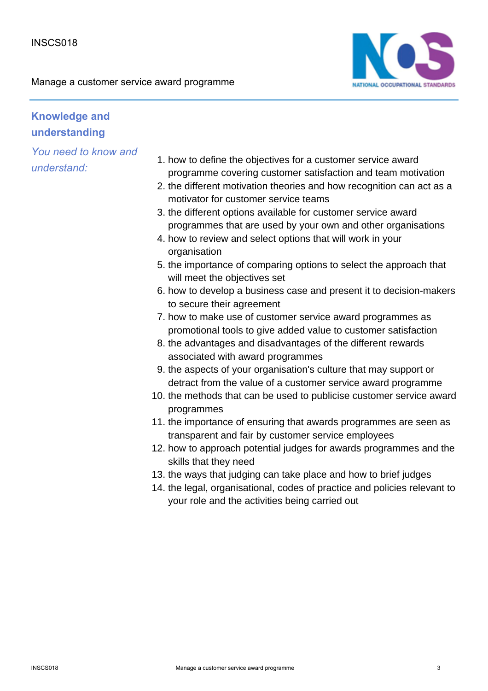

## **Knowledge and understanding**

- 1. how to define the objectives for a customer service award programme covering customer satisfaction and team motivation
- 2. the different motivation theories and how recognition can act as a motivator for customer service teams
- 3. the different options available for customer service award programmes that are used by your own and other organisations
- 4. how to review and select options that will work in your organisation
- 5. the importance of comparing options to select the approach that will meet the objectives set
- 6. how to develop a business case and present it to decision-makers to secure their agreement
- 7. how to make use of customer service award programmes as promotional tools to give added value to customer satisfaction
- 8. the advantages and disadvantages of the different rewards associated with award programmes
- 9. the aspects of your organisation's culture that may support or detract from the value of a customer service award programme
- 10. the methods that can be used to publicise customer service award programmes
- 11. the importance of ensuring that awards programmes are seen as transparent and fair by customer service employees
- 12. how to approach potential judges for awards programmes and the skills that they need
- 13. the ways that judging can take place and how to brief judges
- 14. the legal, organisational, codes of practice and policies relevant to your role and the activities being carried out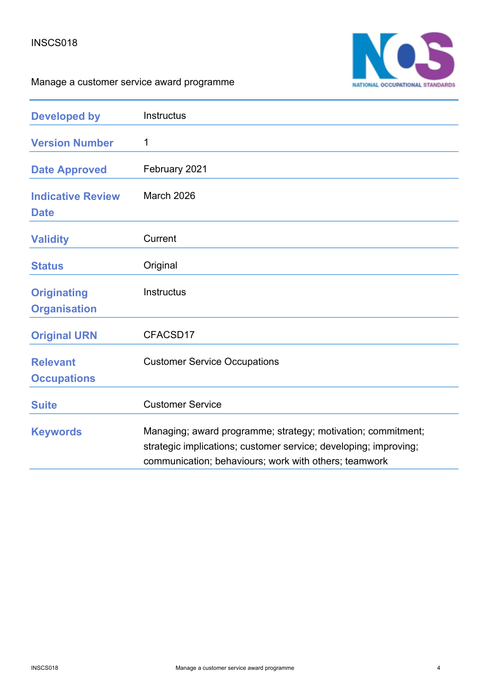

| <b>Developed by</b>                       | Instructus                                                                                                                                                                                |
|-------------------------------------------|-------------------------------------------------------------------------------------------------------------------------------------------------------------------------------------------|
| <b>Version Number</b>                     | 1                                                                                                                                                                                         |
| <b>Date Approved</b>                      | February 2021                                                                                                                                                                             |
| <b>Indicative Review</b><br><b>Date</b>   | <b>March 2026</b>                                                                                                                                                                         |
| <b>Validity</b>                           | Current                                                                                                                                                                                   |
| <b>Status</b>                             | Original                                                                                                                                                                                  |
| <b>Originating</b><br><b>Organisation</b> | Instructus                                                                                                                                                                                |
| <b>Original URN</b>                       | CFACSD17                                                                                                                                                                                  |
| <b>Relevant</b><br><b>Occupations</b>     | <b>Customer Service Occupations</b>                                                                                                                                                       |
| <b>Suite</b>                              | <b>Customer Service</b>                                                                                                                                                                   |
| <b>Keywords</b>                           | Managing; award programme; strategy; motivation; commitment;<br>strategic implications; customer service; developing; improving;<br>communication; behaviours; work with others; teamwork |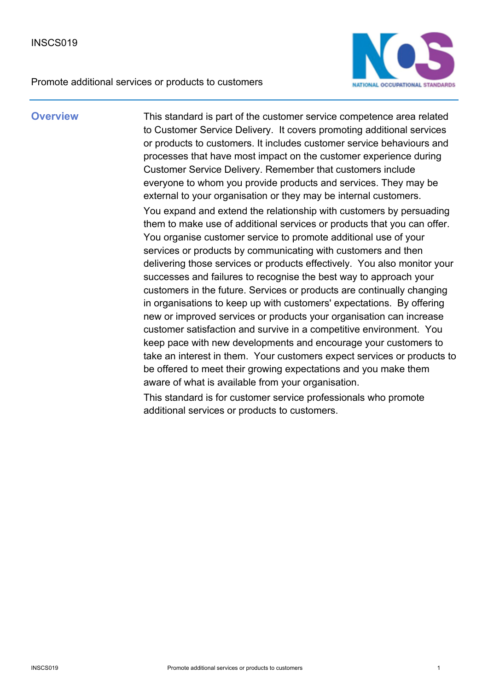

**Overview** This standard is part of the customer service competence area related to Customer Service Delivery. It covers promoting additional services or products to customers. It includes customer service behaviours and processes that have most impact on the customer experience during Customer Service Delivery. Remember that customers include everyone to whom you provide products and services. They may be external to your organisation or they may be internal customers. You expand and extend the relationship with customers by persuading them to make use of additional services or products that you can offer. You organise customer service to promote additional use of your services or products by communicating with customers and then delivering those services or products effectively. You also monitor your successes and failures to recognise the best way to approach your customers in the future. Services or products are continually changing in organisations to keep up with customers' expectations. By offering new or improved services or products your organisation can increase customer satisfaction and survive in a competitive environment. You keep pace with new developments and encourage your customers to take an interest in them. Your customers expect services or products to be offered to meet their growing expectations and you make them aware of what is available from your organisation.

> This standard is for customer service professionals who promote additional services or products to customers.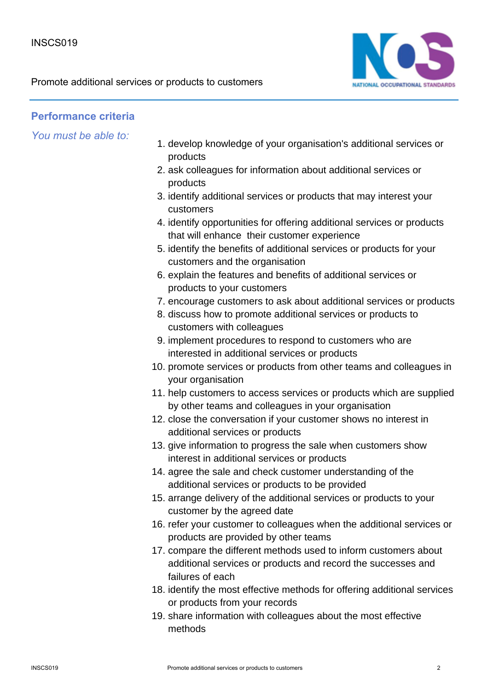

## **Performance criteria**

*You must be able to:*

- 1. develop knowledge of your organisation's additional services or products
- 2. ask colleagues for information about additional services or products
- 3. identify additional services or products that may interest your customers
- 4. identify opportunities for offering additional services or products that will enhance their customer experience
- 5. identify the benefits of additional services or products for your customers and the organisation
- 6. explain the features and benefits of additional services or products to your customers
- 7. encourage customers to ask about additional services or products
- 8. discuss how to promote additional services or products to customers with colleagues
- 9. implement procedures to respond to customers who are interested in additional services or products
- 10. promote services or products from other teams and colleagues in your organisation
- 11. help customers to access services or products which are supplied by other teams and colleagues in your organisation
- 12. close the conversation if your customer shows no interest in additional services or products
- 13. give information to progress the sale when customers show interest in additional services or products
- 14. agree the sale and check customer understanding of the additional services or products to be provided
- 15. arrange delivery of the additional services or products to your customer by the agreed date
- 16. refer your customer to colleagues when the additional services or products are provided by other teams
- 17. compare the different methods used to inform customers about additional services or products and record the successes and failures of each
- 18. identify the most effective methods for offering additional services or products from your records
- 19. share information with colleagues about the most effective methods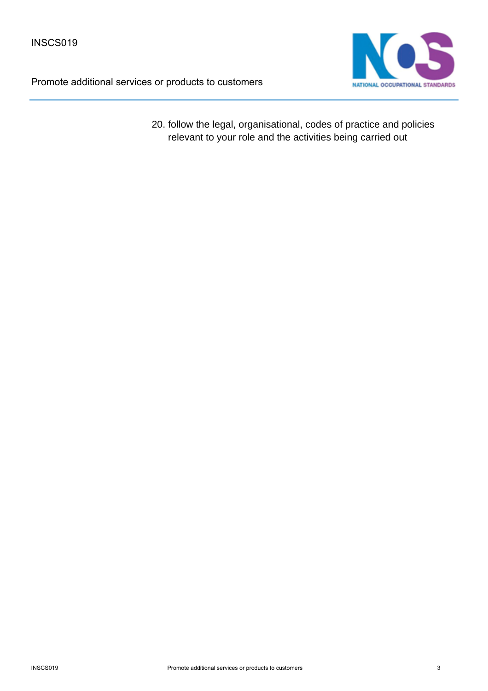

20. follow the legal, organisational, codes of practice and policies relevant to your role and the activities being carried out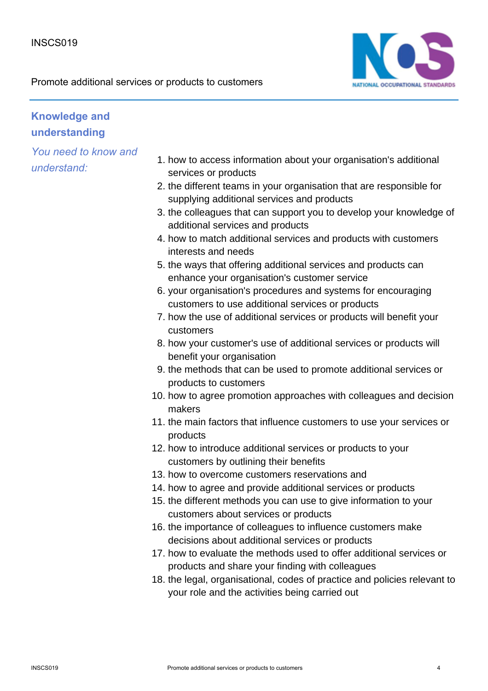

## **Knowledge and understanding**

- 1. how to access information about your organisation's additional services or products
- 2. the different teams in your organisation that are responsible for supplying additional services and products
- 3. the colleagues that can support you to develop your knowledge of additional services and products
- 4. how to match additional services and products with customers interests and needs
- 5. the ways that offering additional services and products can enhance your organisation's customer service
- 6. your organisation's procedures and systems for encouraging customers to use additional services or products
- 7. how the use of additional services or products will benefit your customers
- 8. how your customer's use of additional services or products will benefit your organisation
- 9. the methods that can be used to promote additional services or products to customers
- 10. how to agree promotion approaches with colleagues and decision makers
- 11. the main factors that influence customers to use your services or products
- 12. how to introduce additional services or products to your customers by outlining their benefits
- 13. how to overcome customers reservations and
- 14. how to agree and provide additional services or products
- 15. the different methods you can use to give information to your customers about services or products
- 16. the importance of colleagues to influence customers make decisions about additional services or products
- 17. how to evaluate the methods used to offer additional services or products and share your finding with colleagues
- 18. the legal, organisational, codes of practice and policies relevant to your role and the activities being carried out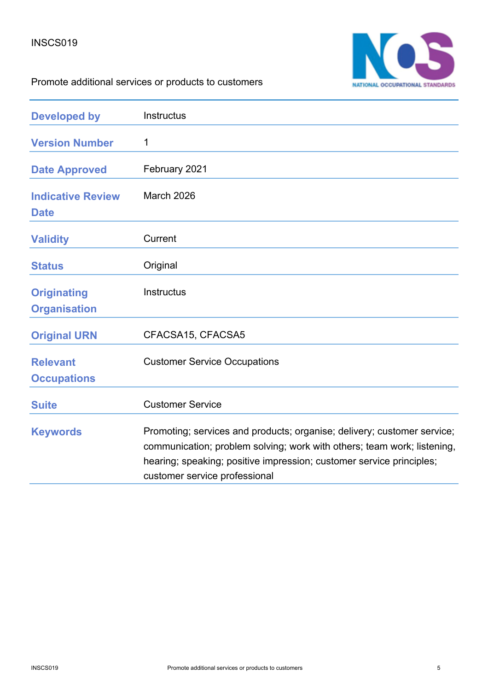

| <b>Developed by</b>                       | Instructus                                                                                                                                                                                                                                                  |
|-------------------------------------------|-------------------------------------------------------------------------------------------------------------------------------------------------------------------------------------------------------------------------------------------------------------|
| <b>Version Number</b>                     | 1                                                                                                                                                                                                                                                           |
| <b>Date Approved</b>                      | February 2021                                                                                                                                                                                                                                               |
| <b>Indicative Review</b><br><b>Date</b>   | March 2026                                                                                                                                                                                                                                                  |
| <b>Validity</b>                           | Current                                                                                                                                                                                                                                                     |
| <b>Status</b>                             | Original                                                                                                                                                                                                                                                    |
| <b>Originating</b><br><b>Organisation</b> | Instructus                                                                                                                                                                                                                                                  |
| <b>Original URN</b>                       | CFACSA15, CFACSA5                                                                                                                                                                                                                                           |
| <b>Relevant</b><br><b>Occupations</b>     | <b>Customer Service Occupations</b>                                                                                                                                                                                                                         |
| <b>Suite</b>                              | <b>Customer Service</b>                                                                                                                                                                                                                                     |
| <b>Keywords</b>                           | Promoting; services and products; organise; delivery; customer service;<br>communication; problem solving; work with others; team work; listening,<br>hearing; speaking; positive impression; customer service principles;<br>customer service professional |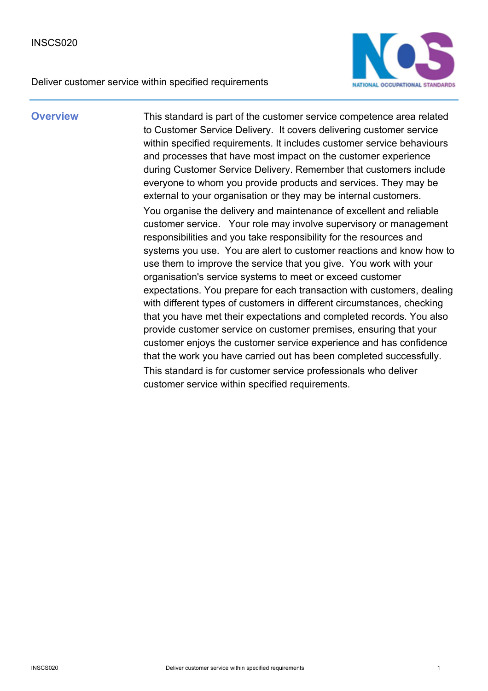

**Overview** This standard is part of the customer service competence area related to Customer Service Delivery. It covers delivering customer service within specified requirements. It includes customer service behaviours and processes that have most impact on the customer experience during Customer Service Delivery. Remember that customers include everyone to whom you provide products and services. They may be external to your organisation or they may be internal customers. You organise the delivery and maintenance of excellent and reliable customer service. Your role may involve supervisory or management responsibilities and you take responsibility for the resources and systems you use. You are alert to customer reactions and know how to use them to improve the service that you give. You work with your organisation's service systems to meet or exceed customer expectations. You prepare for each transaction with customers, dealing with different types of customers in different circumstances, checking that you have met their expectations and completed records. You also provide customer service on customer premises, ensuring that your customer enjoys the customer service experience and has confidence that the work you have carried out has been completed successfully. This standard is for customer service professionals who deliver customer service within specified requirements.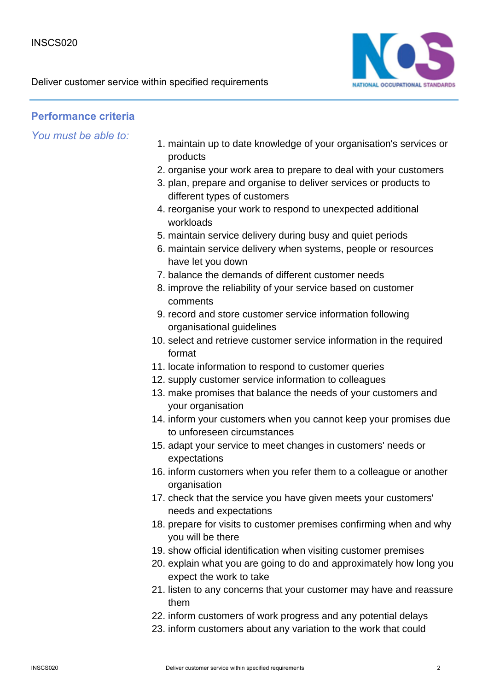

## **Performance criteria**

*You must be able to:*

- maintain up to date knowledge of your organisation's services or 1. products
- 2. organise your work area to prepare to deal with your customers
- 3. plan, prepare and organise to deliver services or products to different types of customers
- 4. reorganise your work to respond to unexpected additional workloads
- 5. maintain service delivery during busy and quiet periods
- 6. maintain service delivery when systems, people or resources have let you down
- 7. balance the demands of different customer needs
- 8. improve the reliability of your service based on customer comments
- 9. record and store customer service information following organisational guidelines
- 10. select and retrieve customer service information in the required format
- 11. locate information to respond to customer queries
- 12. supply customer service information to colleagues
- 13. make promises that balance the needs of your customers and your organisation
- 14. inform your customers when you cannot keep your promises due to unforeseen circumstances
- 15. adapt your service to meet changes in customers' needs or expectations
- 16. inform customers when you refer them to a colleague or another organisation
- 17. check that the service you have given meets your customers' needs and expectations
- 18. prepare for visits to customer premises confirming when and why you will be there
- 19. show official identification when visiting customer premises
- 20. explain what you are going to do and approximately how long you expect the work to take
- 21. listen to any concerns that your customer may have and reassure them
- 22. inform customers of work progress and any potential delays
- 23. inform customers about any variation to the work that could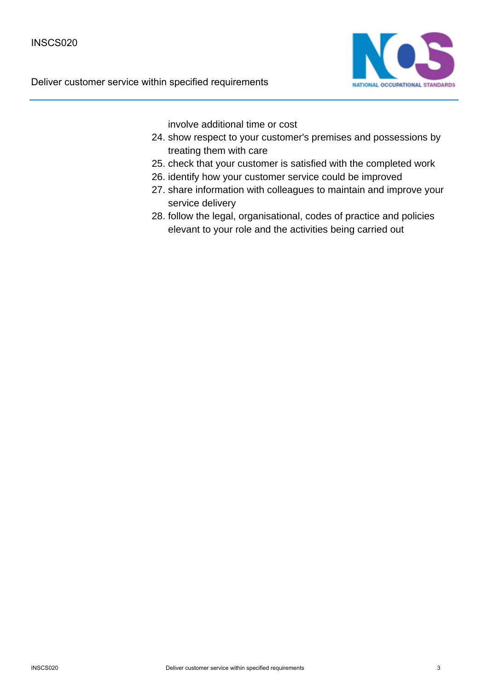

involve additional time or cost

- 24. show respect to your customer's premises and possessions by treating them with care
- 25. check that your customer is satisfied with the completed work
- 26. identify how your customer service could be improved
- 27. share information with colleagues to maintain and improve your service delivery
- 28. follow the legal, organisational, codes of practice and policies elevant to your role and the activities being carried out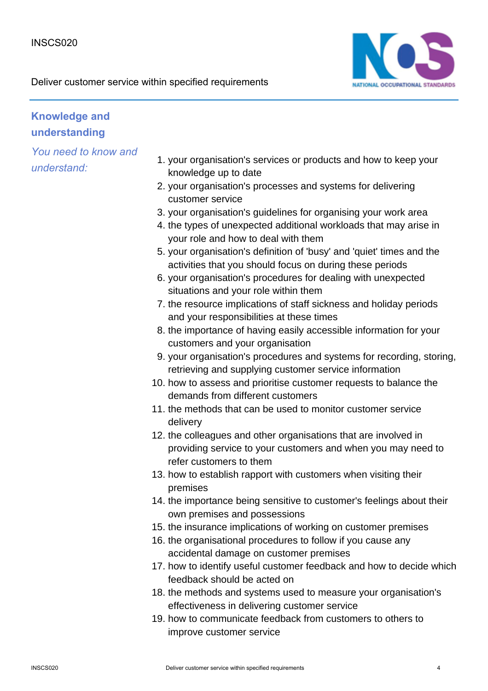

## **Knowledge and understanding**

- 1. your organisation's services or products and how to keep your knowledge up to date
- 2. your organisation's processes and systems for delivering customer service
- 3. your organisation's guidelines for organising your work area
- 4. the types of unexpected additional workloads that may arise in your role and how to deal with them
- 5. your organisation's definition of 'busy' and 'quiet' times and the activities that you should focus on during these periods
- 6. your organisation's procedures for dealing with unexpected situations and your role within them
- 7. the resource implications of staff sickness and holiday periods and your responsibilities at these times
- 8. the importance of having easily accessible information for your customers and your organisation
- 9. your organisation's procedures and systems for recording, storing, retrieving and supplying customer service information
- 10. how to assess and prioritise customer requests to balance the demands from different customers
- 11. the methods that can be used to monitor customer service delivery
- 12. the colleagues and other organisations that are involved in providing service to your customers and when you may need to refer customers to them
- 13. how to establish rapport with customers when visiting their premises
- 14. the importance being sensitive to customer's feelings about their own premises and possessions
- 15. the insurance implications of working on customer premises
- 16. the organisational procedures to follow if you cause any accidental damage on customer premises
- 17. how to identify useful customer feedback and how to decide which feedback should be acted on
- 18. the methods and systems used to measure your organisation's effectiveness in delivering customer service
- 19. how to communicate feedback from customers to others to improve customer service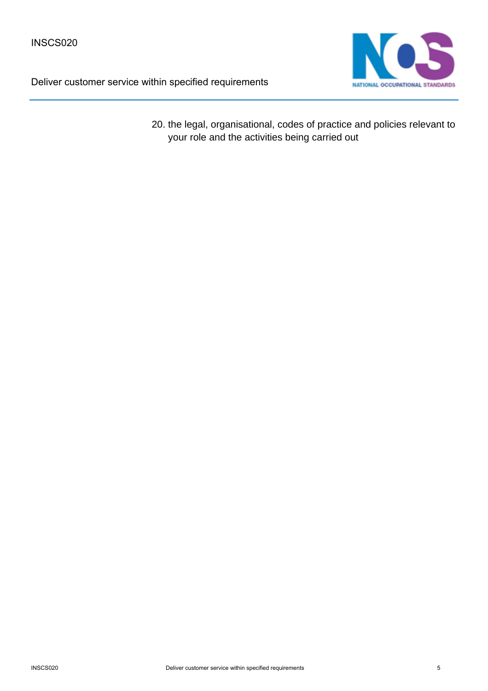

20. the legal, organisational, codes of practice and policies relevant to your role and the activities being carried out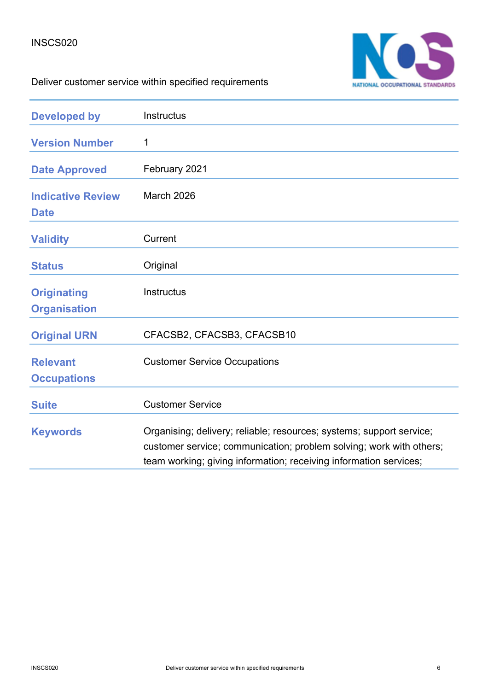

| <b>Developed by</b>                       | Instructus                                                                                                                                                                                                       |
|-------------------------------------------|------------------------------------------------------------------------------------------------------------------------------------------------------------------------------------------------------------------|
| <b>Version Number</b>                     | 1                                                                                                                                                                                                                |
| <b>Date Approved</b>                      | February 2021                                                                                                                                                                                                    |
| <b>Indicative Review</b><br><b>Date</b>   | <b>March 2026</b>                                                                                                                                                                                                |
| <b>Validity</b>                           | Current                                                                                                                                                                                                          |
| <b>Status</b>                             | Original                                                                                                                                                                                                         |
| <b>Originating</b><br><b>Organisation</b> | <b>Instructus</b>                                                                                                                                                                                                |
| <b>Original URN</b>                       | CFACSB2, CFACSB3, CFACSB10                                                                                                                                                                                       |
| <b>Relevant</b><br><b>Occupations</b>     | <b>Customer Service Occupations</b>                                                                                                                                                                              |
| <b>Suite</b>                              | <b>Customer Service</b>                                                                                                                                                                                          |
| <b>Keywords</b>                           | Organising; delivery; reliable; resources; systems; support service;<br>customer service; communication; problem solving; work with others;<br>team working; giving information; receiving information services; |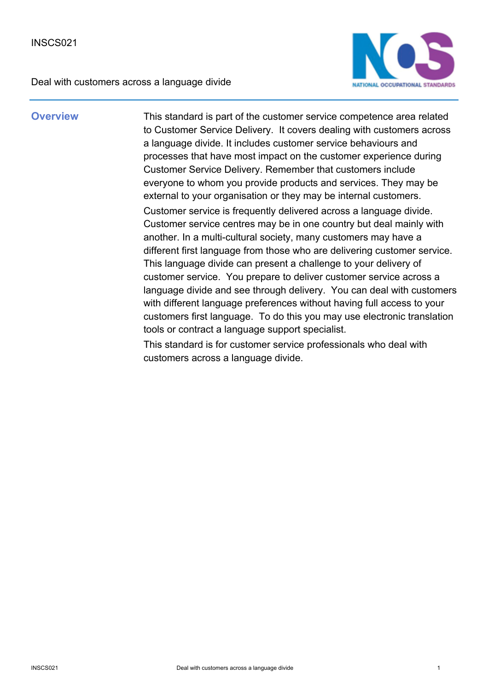

**Overview** This standard is part of the customer service competence area related to Customer Service Delivery. It covers dealing with customers across a language divide. It includes customer service behaviours and processes that have most impact on the customer experience during Customer Service Delivery. Remember that customers include everyone to whom you provide products and services. They may be external to your organisation or they may be internal customers. Customer service is frequently delivered across a language divide. Customer service centres may be in one country but deal mainly with another. In a multi-cultural society, many customers may have a different first language from those who are delivering customer service. This language divide can present a challenge to your delivery of customer service. You prepare to deliver customer service across a language divide and see through delivery. You can deal with customers with different language preferences without having full access to your customers first language. To do this you may use electronic translation tools or contract a language support specialist.

> This standard is for customer service professionals who deal with customers across a language divide.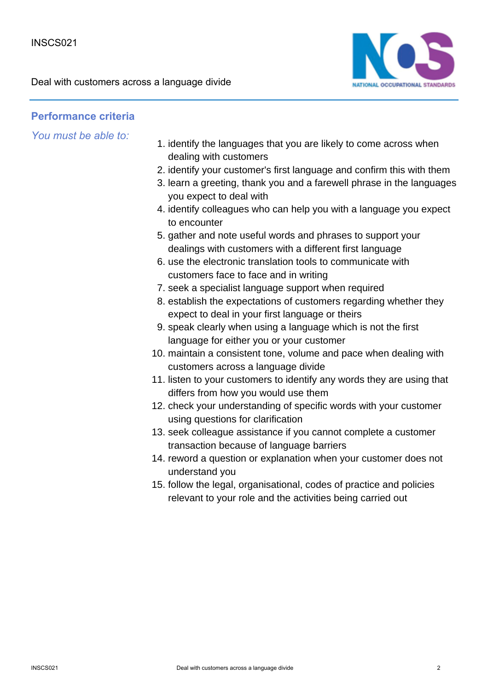

## **Performance criteria**

*You must be able to:*

- 1. identify the languages that you are likely to come across when dealing with customers
- 2. identify your customer's first language and confirm this with them
- 3. learn a greeting, thank you and a farewell phrase in the languages you expect to deal with
- 4. identify colleagues who can help you with a language you expect to encounter
- 5. gather and note useful words and phrases to support your dealings with customers with a different first language
- 6. use the electronic translation tools to communicate with customers face to face and in writing
- 7. seek a specialist language support when required
- 8. establish the expectations of customers regarding whether they expect to deal in your first language or theirs
- 9. speak clearly when using a language which is not the first language for either you or your customer
- 10. maintain a consistent tone, volume and pace when dealing with customers across a language divide
- 11. listen to your customers to identify any words they are using that differs from how you would use them
- 12. check your understanding of specific words with your customer using questions for clarification
- 13. seek colleague assistance if you cannot complete a customer transaction because of language barriers
- 14. reword a question or explanation when your customer does not understand you
- 15. follow the legal, organisational, codes of practice and policies relevant to your role and the activities being carried out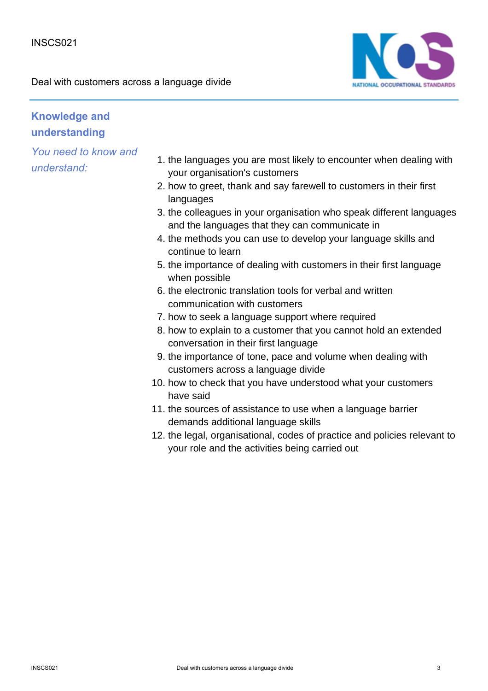

## **Knowledge and understanding**

- 1. the languages you are most likely to encounter when dealing with your organisation's customers
- 2. how to greet, thank and say farewell to customers in their first languages
- 3. the colleagues in your organisation who speak different languages and the languages that they can communicate in
- 4. the methods you can use to develop your language skills and continue to learn
- 5. the importance of dealing with customers in their first language when possible
- 6. the electronic translation tools for verbal and written communication with customers
- 7. how to seek a language support where required
- 8. how to explain to a customer that you cannot hold an extended conversation in their first language
- 9. the importance of tone, pace and volume when dealing with customers across a language divide
- 10. how to check that you have understood what your customers have said
- 11. the sources of assistance to use when a language barrier demands additional language skills
- 12. the legal, organisational, codes of practice and policies relevant to your role and the activities being carried out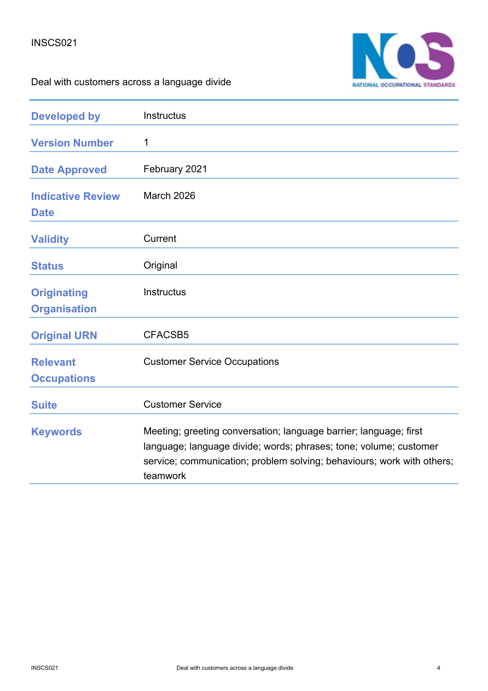

| <b>Developed by</b>                       | Instructus                                                                                                                                                                                                                   |
|-------------------------------------------|------------------------------------------------------------------------------------------------------------------------------------------------------------------------------------------------------------------------------|
| <b>Version Number</b>                     | 1                                                                                                                                                                                                                            |
| <b>Date Approved</b>                      | February 2021                                                                                                                                                                                                                |
| <b>Indicative Review</b><br><b>Date</b>   | <b>March 2026</b>                                                                                                                                                                                                            |
| <b>Validity</b>                           | Current                                                                                                                                                                                                                      |
| <b>Status</b>                             | Original                                                                                                                                                                                                                     |
| <b>Originating</b><br><b>Organisation</b> | <b>Instructus</b>                                                                                                                                                                                                            |
| <b>Original URN</b>                       | CFACSB5                                                                                                                                                                                                                      |
| <b>Relevant</b><br><b>Occupations</b>     | <b>Customer Service Occupations</b>                                                                                                                                                                                          |
| <b>Suite</b>                              | <b>Customer Service</b>                                                                                                                                                                                                      |
| <b>Keywords</b>                           | Meeting; greeting conversation; language barrier; language; first<br>language; language divide; words; phrases; tone; volume; customer<br>service; communication; problem solving; behaviours; work with others;<br>teamwork |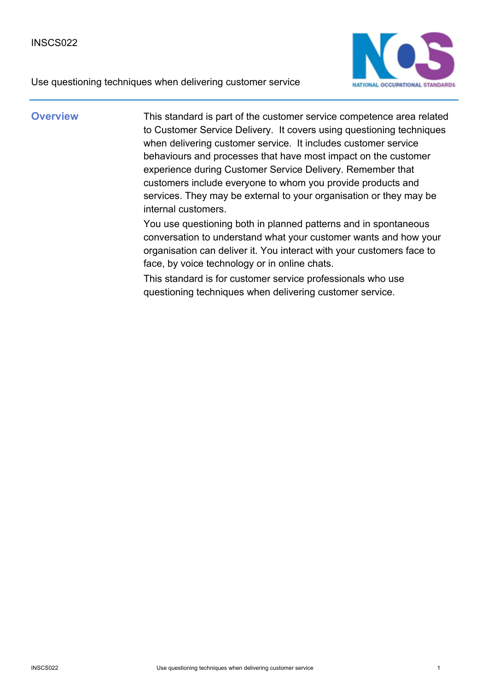



**Overview** This standard is part of the customer service competence area related to Customer Service Delivery. It covers using questioning techniques when delivering customer service. It includes customer service behaviours and processes that have most impact on the customer experience during Customer Service Delivery. Remember that customers include everyone to whom you provide products and services. They may be external to your organisation or they may be internal customers.

> You use questioning both in planned patterns and in spontaneous conversation to understand what your customer wants and how your organisation can deliver it. You interact with your customers face to face, by voice technology or in online chats.

This standard is for customer service professionals who use questioning techniques when delivering customer service.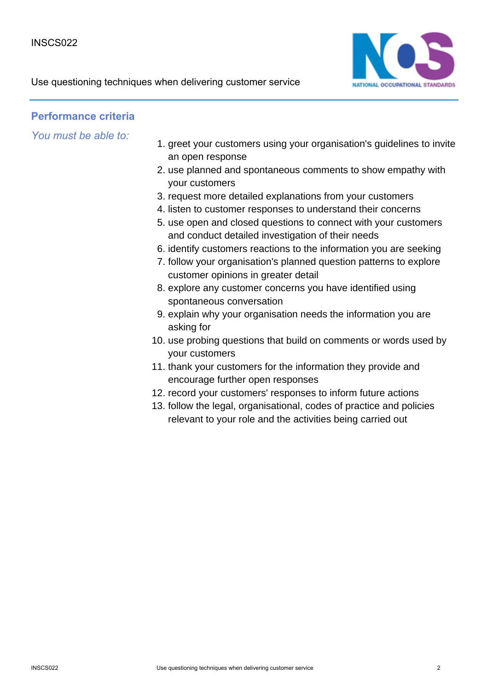

### **Performance criteria**

*You must be able to:*

- 1. greet your customers using your organisation's guidelines to invite an open response
- 2. use planned and spontaneous comments to show empathy with your customers
- 3. request more detailed explanations from your customers
- 4. listen to customer responses to understand their concerns
- 5. use open and closed questions to connect with your customers and conduct detailed investigation of their needs
- 6. identify customers reactions to the information you are seeking
- 7. follow your organisation's planned question patterns to explore customer opinions in greater detail
- 8. explore any customer concerns you have identified using spontaneous conversation
- 9. explain why your organisation needs the information you are asking for
- 10. use probing questions that build on comments or words used by your customers
- 11. thank your customers for the information they provide and encourage further open responses
- 12. record your customers' responses to inform future actions
- 13. follow the legal, organisational, codes of practice and policies relevant to your role and the activities being carried out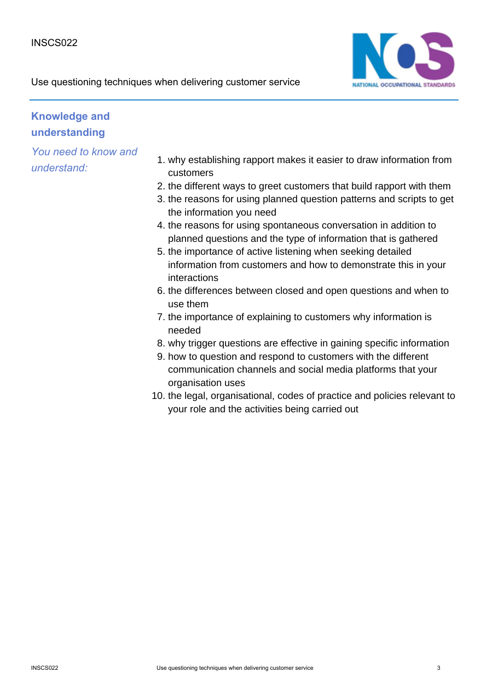

Use questioning techniques when delivering customer service

# **Knowledge and understanding**

- 1. why establishing rapport makes it easier to draw information from customers
- 2. the different ways to greet customers that build rapport with them
- 3. the reasons for using planned question patterns and scripts to get the information you need
- 4. the reasons for using spontaneous conversation in addition to planned questions and the type of information that is gathered
- 5. the importance of active listening when seeking detailed information from customers and how to demonstrate this in your interactions
- 6. the differences between closed and open questions and when to use them
- 7. the importance of explaining to customers why information is needed
- 8. why trigger questions are effective in gaining specific information
- 9. how to question and respond to customers with the different communication channels and social media platforms that your organisation uses
- 10. the legal, organisational, codes of practice and policies relevant to your role and the activities being carried out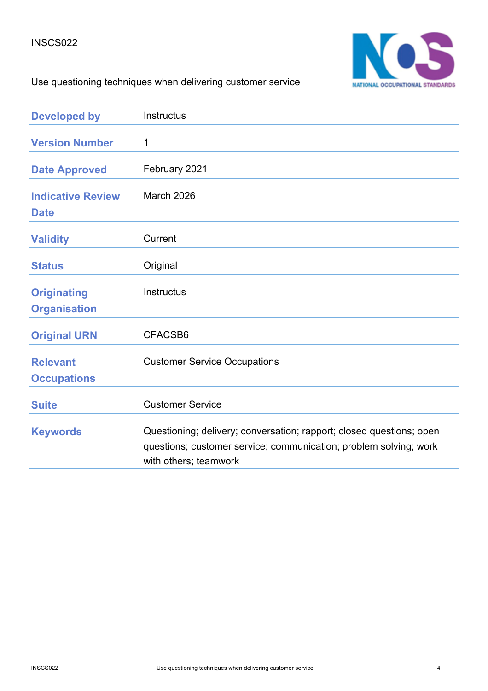

# Use questioning techniques when delivering customer service

| <b>Developed by</b>                       | <b>Instructus</b>                                                                                                                                                  |
|-------------------------------------------|--------------------------------------------------------------------------------------------------------------------------------------------------------------------|
| <b>Version Number</b>                     | 1                                                                                                                                                                  |
| <b>Date Approved</b>                      | February 2021                                                                                                                                                      |
| <b>Indicative Review</b><br><b>Date</b>   | <b>March 2026</b>                                                                                                                                                  |
| <b>Validity</b>                           | Current                                                                                                                                                            |
| <b>Status</b>                             | Original                                                                                                                                                           |
| <b>Originating</b><br><b>Organisation</b> | Instructus                                                                                                                                                         |
| <b>Original URN</b>                       | CFACSB6                                                                                                                                                            |
| <b>Relevant</b><br><b>Occupations</b>     | <b>Customer Service Occupations</b>                                                                                                                                |
| <b>Suite</b>                              | <b>Customer Service</b>                                                                                                                                            |
| <b>Keywords</b>                           | Questioning; delivery; conversation; rapport; closed questions; open<br>questions; customer service; communication; problem solving; work<br>with others; teamwork |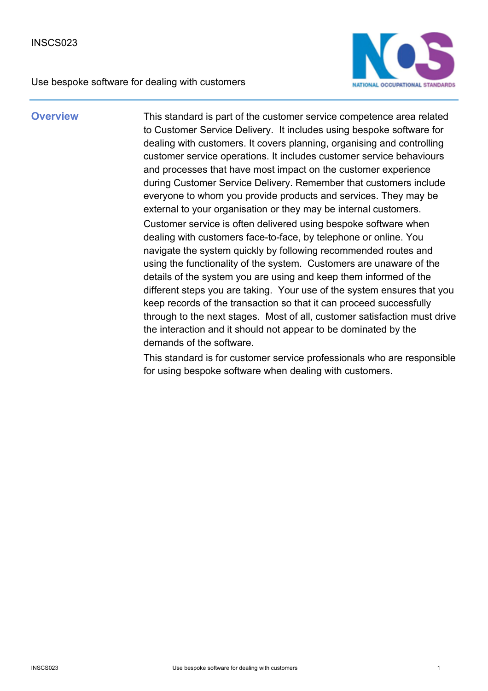Use bespoke software for dealing with customers



**Overview** This standard is part of the customer service competence area related to Customer Service Delivery. It includes using bespoke software for dealing with customers. It covers planning, organising and controlling customer service operations. It includes customer service behaviours and processes that have most impact on the customer experience during Customer Service Delivery. Remember that customers include everyone to whom you provide products and services. They may be external to your organisation or they may be internal customers. Customer service is often delivered using bespoke software when dealing with customers face-to-face, by telephone or online. You navigate the system quickly by following recommended routes and using the functionality of the system. Customers are unaware of the details of the system you are using and keep them informed of the different steps you are taking. Your use of the system ensures that you keep records of the transaction so that it can proceed successfully through to the next stages. Most of all, customer satisfaction must drive the interaction and it should not appear to be dominated by the demands of the software.

> This standard is for customer service professionals who are responsible for using bespoke software when dealing with customers.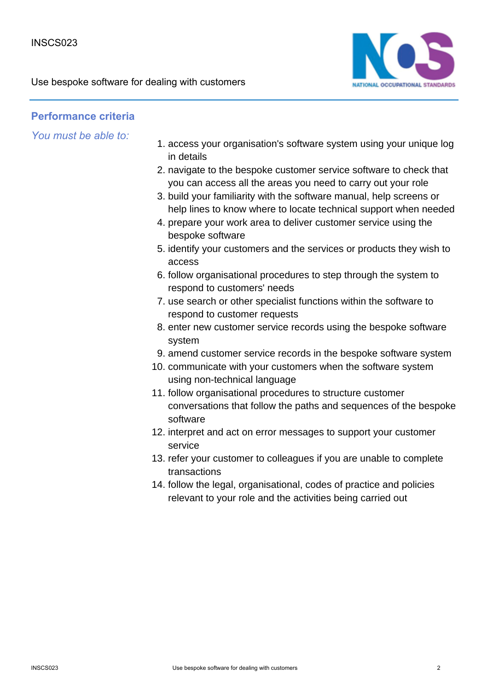Use bespoke software for dealing with customers



### **Performance criteria**

- 1. access your organisation's software system using your unique log in details
- 2. navigate to the bespoke customer service software to check that you can access all the areas you need to carry out your role
- 3. build your familiarity with the software manual, help screens or help lines to know where to locate technical support when needed
- 4. prepare your work area to deliver customer service using the bespoke software
- 5. identify your customers and the services or products they wish to access
- 6. follow organisational procedures to step through the system to respond to customers' needs
- 7. use search or other specialist functions within the software to respond to customer requests
- 8. enter new customer service records using the bespoke software system
- 9. amend customer service records in the bespoke software system
- 10. communicate with your customers when the software system using non-technical language
- 11. follow organisational procedures to structure customer conversations that follow the paths and sequences of the bespoke software
- 12. interpret and act on error messages to support your customer service
- 13. refer your customer to colleagues if you are unable to complete transactions
- 14. follow the legal, organisational, codes of practice and policies relevant to your role and the activities being carried out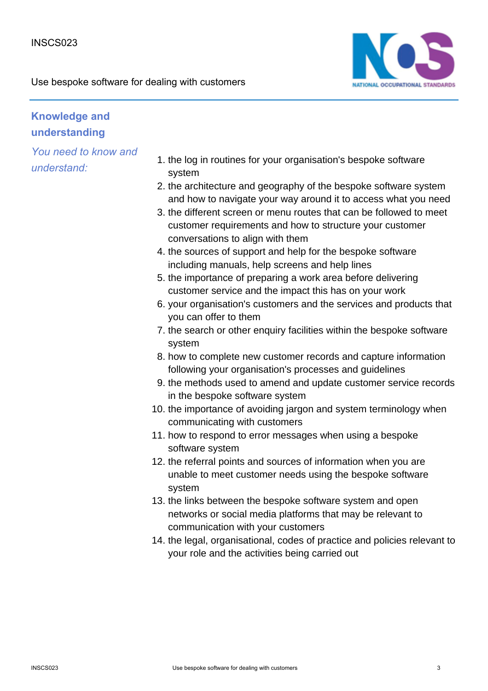

## **Knowledge and understanding**

- 1. the log in routines for your organisation's bespoke software system
- 2. the architecture and geography of the bespoke software system and how to navigate your way around it to access what you need
- 3. the different screen or menu routes that can be followed to meet customer requirements and how to structure your customer conversations to align with them
- 4. the sources of support and help for the bespoke software including manuals, help screens and help lines
- 5. the importance of preparing a work area before delivering customer service and the impact this has on your work
- 6. your organisation's customers and the services and products that you can offer to them
- 7. the search or other enquiry facilities within the bespoke software system
- 8. how to complete new customer records and capture information following your organisation's processes and guidelines
- 9. the methods used to amend and update customer service records in the bespoke software system
- 10. the importance of avoiding jargon and system terminology when communicating with customers
- 11. how to respond to error messages when using a bespoke software system
- 12. the referral points and sources of information when you are unable to meet customer needs using the bespoke software system
- 13. the links between the bespoke software system and open networks or social media platforms that may be relevant to communication with your customers
- 14. the legal, organisational, codes of practice and policies relevant to your role and the activities being carried out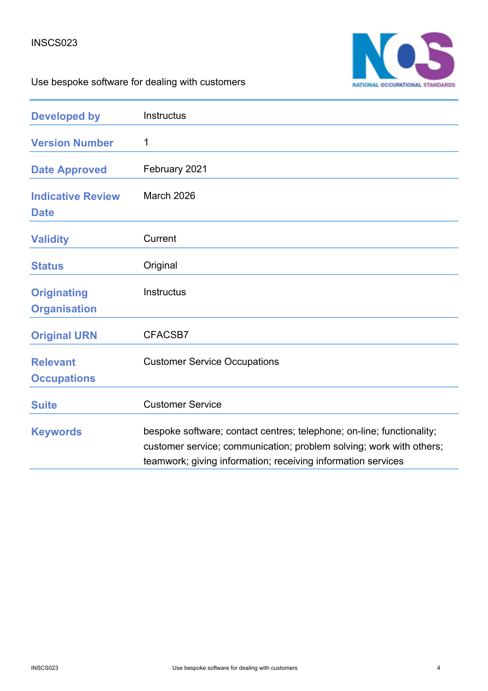### INSCS023



# Use bespoke software for dealing with customers

| <b>Developed by</b>                       | Instructus                                                                                                                                                                                                   |
|-------------------------------------------|--------------------------------------------------------------------------------------------------------------------------------------------------------------------------------------------------------------|
| <b>Version Number</b>                     | 1                                                                                                                                                                                                            |
| <b>Date Approved</b>                      | February 2021                                                                                                                                                                                                |
| <b>Indicative Review</b><br><b>Date</b>   | <b>March 2026</b>                                                                                                                                                                                            |
| <b>Validity</b>                           | Current                                                                                                                                                                                                      |
| <b>Status</b>                             | Original                                                                                                                                                                                                     |
| <b>Originating</b><br><b>Organisation</b> | Instructus                                                                                                                                                                                                   |
| <b>Original URN</b>                       | CFACSB7                                                                                                                                                                                                      |
| <b>Relevant</b><br><b>Occupations</b>     | <b>Customer Service Occupations</b>                                                                                                                                                                          |
| <b>Suite</b>                              | <b>Customer Service</b>                                                                                                                                                                                      |
| <b>Keywords</b>                           | bespoke software; contact centres; telephone; on-line; functionality;<br>customer service; communication; problem solving; work with others;<br>teamwork; giving information; receiving information services |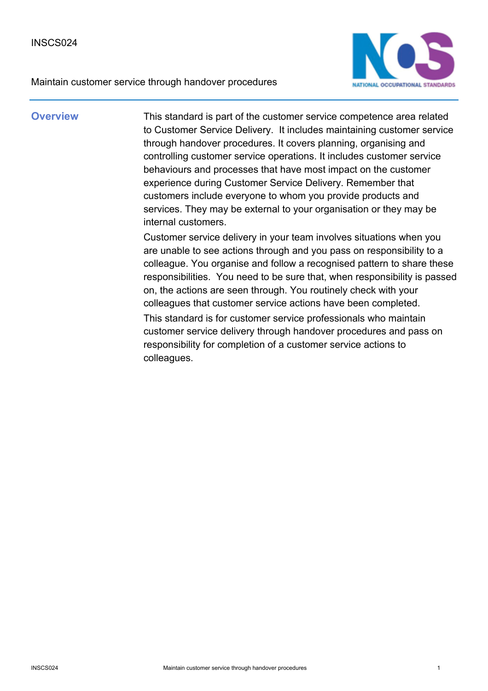



**Overview** This standard is part of the customer service competence area related to Customer Service Delivery. It includes maintaining customer service through handover procedures. It covers planning, organising and controlling customer service operations. It includes customer service behaviours and processes that have most impact on the customer experience during Customer Service Delivery. Remember that customers include everyone to whom you provide products and services. They may be external to your organisation or they may be internal customers.

> Customer service delivery in your team involves situations when you are unable to see actions through and you pass on responsibility to a colleague. You organise and follow a recognised pattern to share these responsibilities. You need to be sure that, when responsibility is passed on, the actions are seen through. You routinely check with your colleagues that customer service actions have been completed.

This standard is for customer service professionals who maintain customer service delivery through handover procedures and pass on responsibility for completion of a customer service actions to colleagues.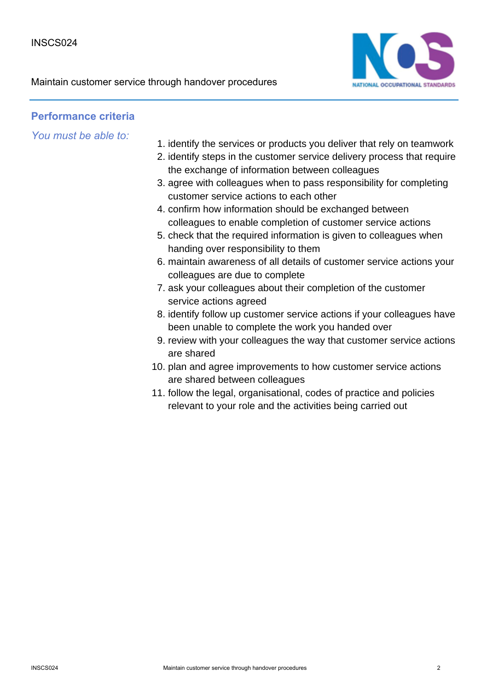

## **Performance criteria**

- 1. identify the services or products you deliver that rely on teamwork
- 2. identify steps in the customer service delivery process that require the exchange of information between colleagues
- 3. agree with colleagues when to pass responsibility for completing customer service actions to each other
- 4. confirm how information should be exchanged between colleagues to enable completion of customer service actions
- 5. check that the required information is given to colleagues when handing over responsibility to them
- maintain awareness of all details of customer service actions your 6. colleagues are due to complete
- 7. ask your colleagues about their completion of the customer service actions agreed
- 8. identify follow up customer service actions if your colleagues have been unable to complete the work you handed over
- 9. review with your colleagues the way that customer service actions are shared
- 10. plan and agree improvements to how customer service actions are shared between colleagues
- 11. follow the legal, organisational, codes of practice and policies relevant to your role and the activities being carried out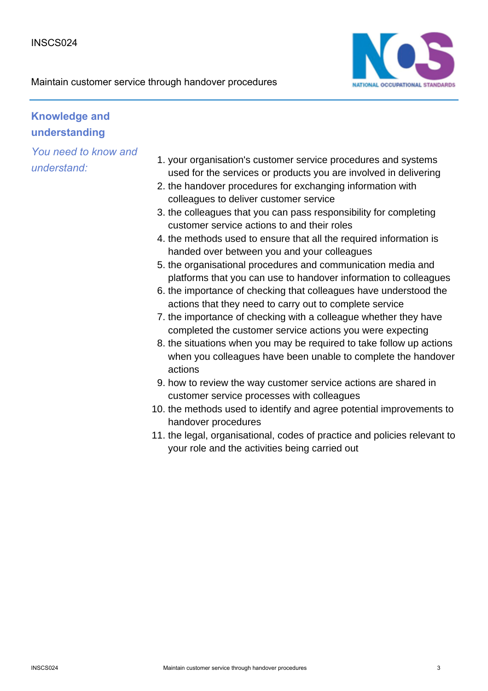

## **Knowledge and understanding**

- 1. your organisation's customer service procedures and systems used for the services or products you are involved in delivering
- 2. the handover procedures for exchanging information with colleagues to deliver customer service
- 3. the colleagues that you can pass responsibility for completing customer service actions to and their roles
- 4. the methods used to ensure that all the required information is handed over between you and your colleagues
- 5. the organisational procedures and communication media and platforms that you can use to handover information to colleagues
- 6. the importance of checking that colleagues have understood the actions that they need to carry out to complete service
- 7. the importance of checking with a colleague whether they have completed the customer service actions you were expecting
- 8. the situations when you may be required to take follow up actions when you colleagues have been unable to complete the handover actions
- 9. how to review the way customer service actions are shared in customer service processes with colleagues
- 10. the methods used to identify and agree potential improvements to handover procedures
- 11. the legal, organisational, codes of practice and policies relevant to your role and the activities being carried out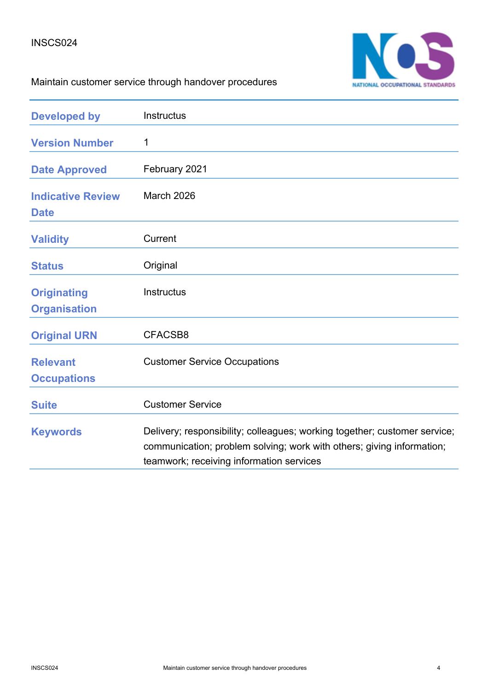

# Maintain customer service through handover procedures

| <b>Developed by</b>                       | Instructus                                                                                                                                                                                     |
|-------------------------------------------|------------------------------------------------------------------------------------------------------------------------------------------------------------------------------------------------|
| <b>Version Number</b>                     | 1                                                                                                                                                                                              |
| <b>Date Approved</b>                      | February 2021                                                                                                                                                                                  |
| <b>Indicative Review</b><br><b>Date</b>   | <b>March 2026</b>                                                                                                                                                                              |
| <b>Validity</b>                           | Current                                                                                                                                                                                        |
| <b>Status</b>                             | Original                                                                                                                                                                                       |
| <b>Originating</b><br><b>Organisation</b> | <b>Instructus</b>                                                                                                                                                                              |
| <b>Original URN</b>                       | CFACSB8                                                                                                                                                                                        |
| <b>Relevant</b><br><b>Occupations</b>     | <b>Customer Service Occupations</b>                                                                                                                                                            |
| <b>Suite</b>                              | <b>Customer Service</b>                                                                                                                                                                        |
| <b>Keywords</b>                           | Delivery; responsibility; colleagues; working together; customer service;<br>communication; problem solving; work with others; giving information;<br>teamwork; receiving information services |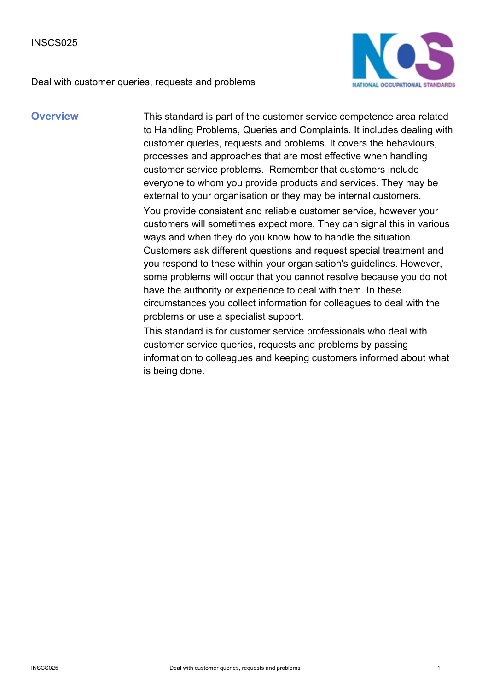Deal with customer queries, requests and problems



**Overview** This standard is part of the customer service competence area related to Handling Problems, Queries and Complaints. It includes dealing with customer queries, requests and problems. It covers the behaviours, processes and approaches that are most effective when handling customer service problems. Remember that customers include everyone to whom you provide products and services. They may be external to your organisation or they may be internal customers. You provide consistent and reliable customer service, however your customers will sometimes expect more. They can signal this in various ways and when they do you know how to handle the situation. Customers ask different questions and request special treatment and you respond to these within your organisation's guidelines. However, some problems will occur that you cannot resolve because you do not have the authority or experience to deal with them. In these circumstances you collect information for colleagues to deal with the problems or use a specialist support.

> This standard is for customer service professionals who deal with customer service queries, requests and problems by passing information to colleagues and keeping customers informed about what is being done.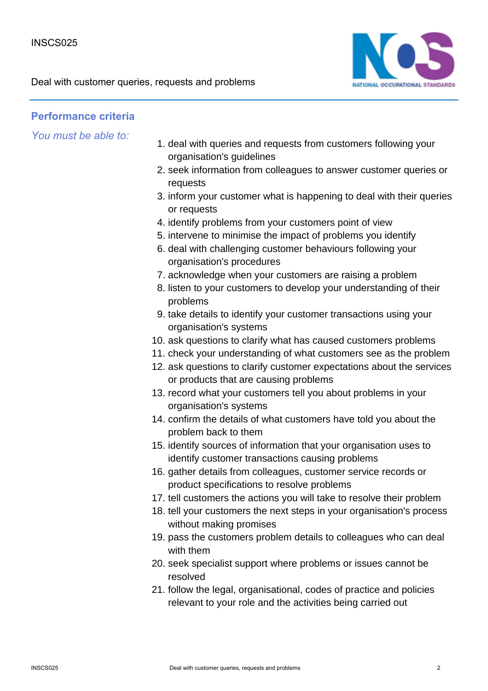Deal with customer queries, requests and problems



## **Performance criteria**

- 1. deal with queries and requests from customers following your organisation's guidelines
- 2. seek information from colleagues to answer customer queries or requests
- 3. inform your customer what is happening to deal with their queries or requests
- 4. identify problems from your customers point of view
- 5. intervene to minimise the impact of problems you identify
- 6. deal with challenging customer behaviours following your organisation's procedures
- 7. acknowledge when your customers are raising a problem
- 8. listen to your customers to develop your understanding of their problems
- 9. take details to identify your customer transactions using your organisation's systems
- 10. ask questions to clarify what has caused customers problems
- 11. check your understanding of what customers see as the problem
- 12. ask questions to clarify customer expectations about the services or products that are causing problems
- 13. record what your customers tell you about problems in your organisation's systems
- 14. confirm the details of what customers have told you about the problem back to them
- 15. identify sources of information that your organisation uses to identify customer transactions causing problems
- 16. gather details from colleagues, customer service records or product specifications to resolve problems
- 17. tell customers the actions you will take to resolve their problem
- 18. tell your customers the next steps in your organisation's process without making promises
- 19. pass the customers problem details to colleagues who can deal with them
- 20. seek specialist support where problems or issues cannot be resolved
- 21. follow the legal, organisational, codes of practice and policies relevant to your role and the activities being carried out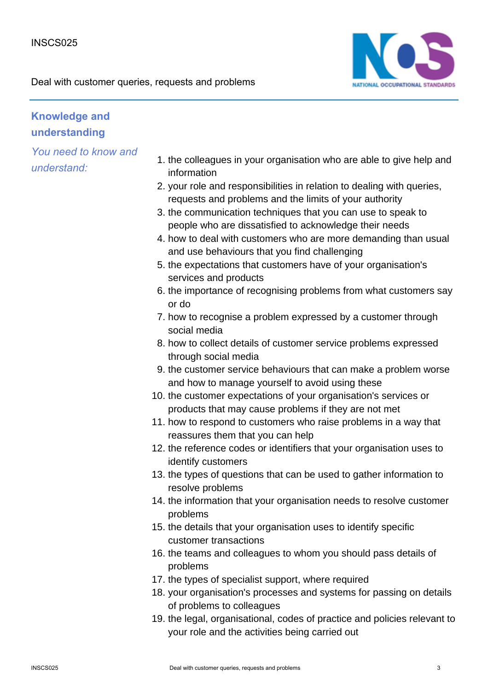

## **Knowledge and understanding**

- 1. the colleagues in your organisation who are able to give help and information
- 2. your role and responsibilities in relation to dealing with queries, requests and problems and the limits of your authority
- 3. the communication techniques that you can use to speak to people who are dissatisfied to acknowledge their needs
- 4. how to deal with customers who are more demanding than usual and use behaviours that you find challenging
- 5. the expectations that customers have of your organisation's services and products
- 6. the importance of recognising problems from what customers say or do
- 7. how to recognise a problem expressed by a customer through social media
- 8. how to collect details of customer service problems expressed through social media
- 9. the customer service behaviours that can make a problem worse and how to manage yourself to avoid using these
- 10. the customer expectations of your organisation's services or products that may cause problems if they are not met
- 11. how to respond to customers who raise problems in a way that reassures them that you can help
- 12. the reference codes or identifiers that your organisation uses to identify customers
- 13. the types of questions that can be used to gather information to resolve problems
- 14. the information that your organisation needs to resolve customer problems
- 15. the details that your organisation uses to identify specific customer transactions
- 16. the teams and colleagues to whom you should pass details of problems
- 17. the types of specialist support, where required
- 18. your organisation's processes and systems for passing on details of problems to colleagues
- 19. the legal, organisational, codes of practice and policies relevant to your role and the activities being carried out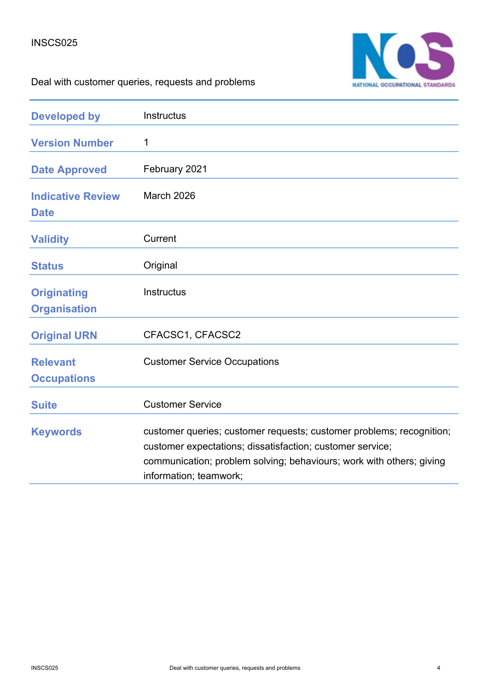

# Deal with customer queries, requests and problems

| <b>Developed by</b>                       | Instructus                                                                                                                                                                                                                          |
|-------------------------------------------|-------------------------------------------------------------------------------------------------------------------------------------------------------------------------------------------------------------------------------------|
| <b>Version Number</b>                     | 1                                                                                                                                                                                                                                   |
| <b>Date Approved</b>                      | February 2021                                                                                                                                                                                                                       |
| <b>Indicative Review</b><br><b>Date</b>   | March 2026                                                                                                                                                                                                                          |
| <b>Validity</b>                           | Current                                                                                                                                                                                                                             |
| <b>Status</b>                             | Original                                                                                                                                                                                                                            |
| <b>Originating</b><br><b>Organisation</b> | Instructus                                                                                                                                                                                                                          |
| <b>Original URN</b>                       | CFACSC1, CFACSC2                                                                                                                                                                                                                    |
| <b>Relevant</b><br><b>Occupations</b>     | <b>Customer Service Occupations</b>                                                                                                                                                                                                 |
| <b>Suite</b>                              | <b>Customer Service</b>                                                                                                                                                                                                             |
| <b>Keywords</b>                           | customer queries; customer requests; customer problems; recognition;<br>customer expectations; dissatisfaction; customer service;<br>communication; problem solving; behaviours; work with others; giving<br>information; teamwork; |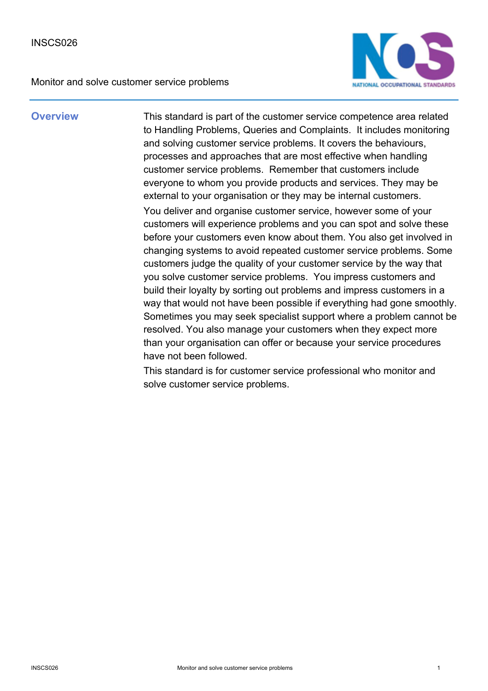

**Overview** This standard is part of the customer service competence area related to Handling Problems, Queries and Complaints. It includes monitoring and solving customer service problems. It covers the behaviours, processes and approaches that are most effective when handling customer service problems. Remember that customers include everyone to whom you provide products and services. They may be external to your organisation or they may be internal customers. You deliver and organise customer service, however some of your customers will experience problems and you can spot and solve these before your customers even know about them. You also get involved in changing systems to avoid repeated customer service problems. Some customers judge the quality of your customer service by the way that you solve customer service problems. You impress customers and build their loyalty by sorting out problems and impress customers in a way that would not have been possible if everything had gone smoothly. Sometimes you may seek specialist support where a problem cannot be resolved. You also manage your customers when they expect more than your organisation can offer or because your service procedures have not been followed.

> This standard is for customer service professional who monitor and solve customer service problems.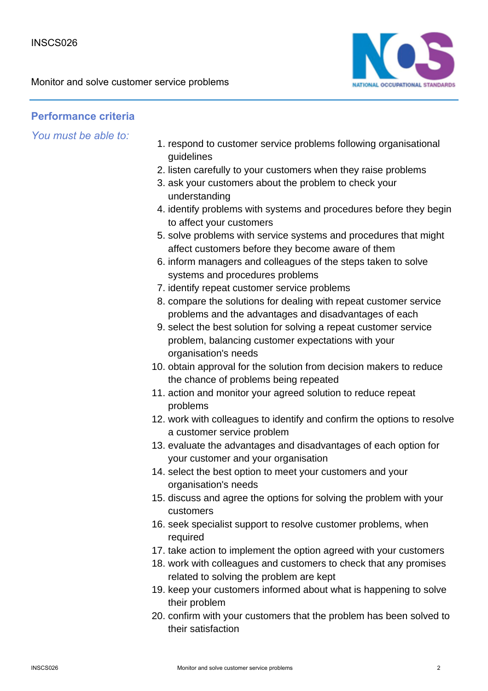

## **Performance criteria**

- 1. respond to customer service problems following organisational guidelines
- 2. listen carefully to your customers when they raise problems
- 3. ask your customers about the problem to check your understanding
- 4. identify problems with systems and procedures before they begin to affect your customers
- 5. solve problems with service systems and procedures that might affect customers before they become aware of them
- 6. inform managers and colleagues of the steps taken to solve systems and procedures problems
- 7. identify repeat customer service problems
- 8. compare the solutions for dealing with repeat customer service problems and the advantages and disadvantages of each
- 9. select the best solution for solving a repeat customer service problem, balancing customer expectations with your organisation's needs
- 10. obtain approval for the solution from decision makers to reduce the chance of problems being repeated
- 11. action and monitor your agreed solution to reduce repeat problems
- 12. work with colleagues to identify and confirm the options to resolve a customer service problem
- 13. evaluate the advantages and disadvantages of each option for your customer and your organisation
- 14. select the best option to meet your customers and your organisation's needs
- 15. discuss and agree the options for solving the problem with your customers
- 16. seek specialist support to resolve customer problems, when required
- 17. take action to implement the option agreed with your customers
- 18. work with colleagues and customers to check that any promises related to solving the problem are kept
- 19. keep your customers informed about what is happening to solve their problem
- 20. confirm with your customers that the problem has been solved to their satisfaction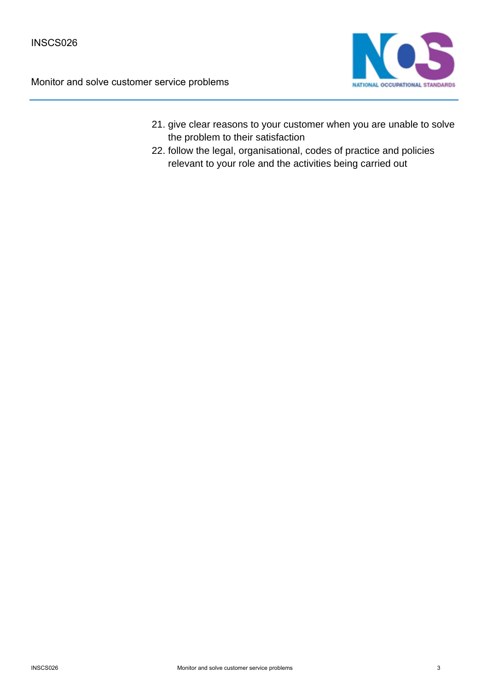

- 21. give clear reasons to your customer when you are unable to solve the problem to their satisfaction
- 22. follow the legal, organisational, codes of practice and policies relevant to your role and the activities being carried out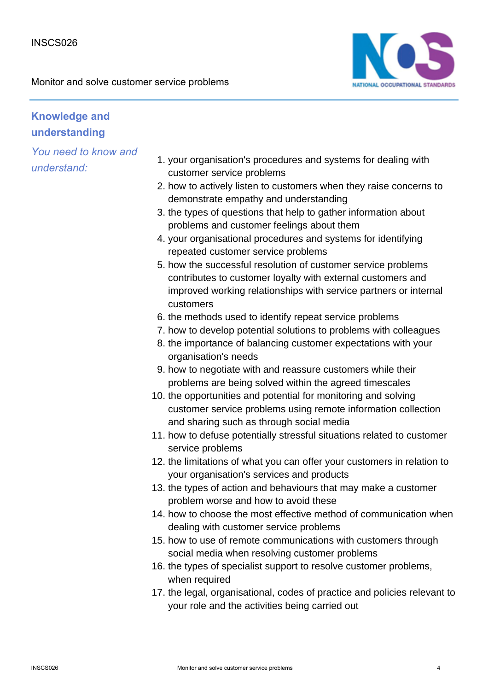

## **Knowledge and understanding**

- 1. your organisation's procedures and systems for dealing with customer service problems
- 2. how to actively listen to customers when they raise concerns to demonstrate empathy and understanding
- 3. the types of questions that help to gather information about problems and customer feelings about them
- 4. your organisational procedures and systems for identifying repeated customer service problems
- 5. how the successful resolution of customer service problems contributes to customer loyalty with external customers and improved working relationships with service partners or internal customers
- 6. the methods used to identify repeat service problems
- 7. how to develop potential solutions to problems with colleagues
- 8. the importance of balancing customer expectations with your organisation's needs
- 9. how to negotiate with and reassure customers while their problems are being solved within the agreed timescales
- 10. the opportunities and potential for monitoring and solving customer service problems using remote information collection and sharing such as through social media
- 11. how to defuse potentially stressful situations related to customer service problems
- 12. the limitations of what you can offer your customers in relation to your organisation's services and products
- 13. the types of action and behaviours that may make a customer problem worse and how to avoid these
- 14. how to choose the most effective method of communication when dealing with customer service problems
- 15. how to use of remote communications with customers through social media when resolving customer problems
- 16. the types of specialist support to resolve customer problems, when required
- 17. the legal, organisational, codes of practice and policies relevant to your role and the activities being carried out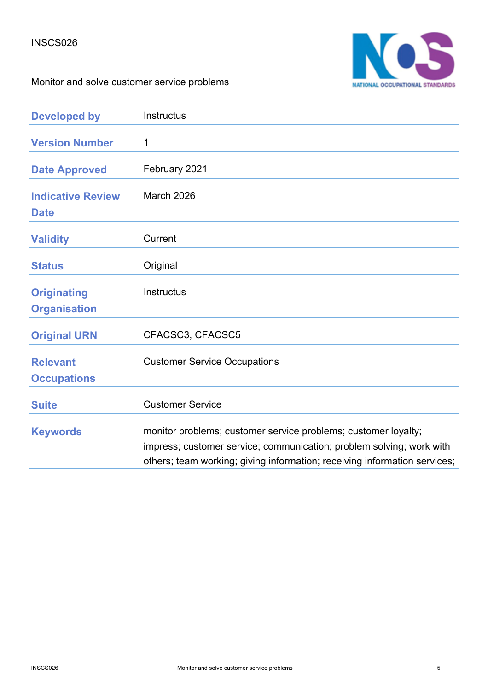

| <b>Developed by</b>                       | Instructus                                                                                                                                                                                                          |
|-------------------------------------------|---------------------------------------------------------------------------------------------------------------------------------------------------------------------------------------------------------------------|
| <b>Version Number</b>                     | 1                                                                                                                                                                                                                   |
| <b>Date Approved</b>                      | February 2021                                                                                                                                                                                                       |
| <b>Indicative Review</b><br><b>Date</b>   | <b>March 2026</b>                                                                                                                                                                                                   |
| <b>Validity</b>                           | Current                                                                                                                                                                                                             |
| <b>Status</b>                             | Original                                                                                                                                                                                                            |
| <b>Originating</b><br><b>Organisation</b> | Instructus                                                                                                                                                                                                          |
| <b>Original URN</b>                       | CFACSC3, CFACSC5                                                                                                                                                                                                    |
| <b>Relevant</b><br><b>Occupations</b>     | <b>Customer Service Occupations</b>                                                                                                                                                                                 |
| <b>Suite</b>                              | <b>Customer Service</b>                                                                                                                                                                                             |
| <b>Keywords</b>                           | monitor problems; customer service problems; customer loyalty;<br>impress; customer service; communication; problem solving; work with<br>others; team working; giving information; receiving information services; |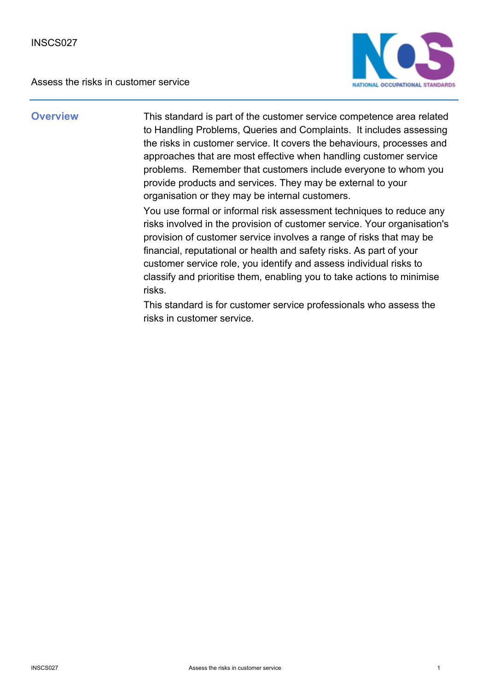Assess the risks in customer service



**Overview** This standard is part of the customer service competence area related to Handling Problems, Queries and Complaints. It includes assessing the risks in customer service. It covers the behaviours, processes and approaches that are most effective when handling customer service problems. Remember that customers include everyone to whom you provide products and services. They may be external to your organisation or they may be internal customers.

> You use formal or informal risk assessment techniques to reduce any risks involved in the provision of customer service. Your organisation's provision of customer service involves a range of risks that may be financial, reputational or health and safety risks. As part of your customer service role, you identify and assess individual risks to classify and prioritise them, enabling you to take actions to minimise risks.

This standard is for customer service professionals who assess the risks in customer service.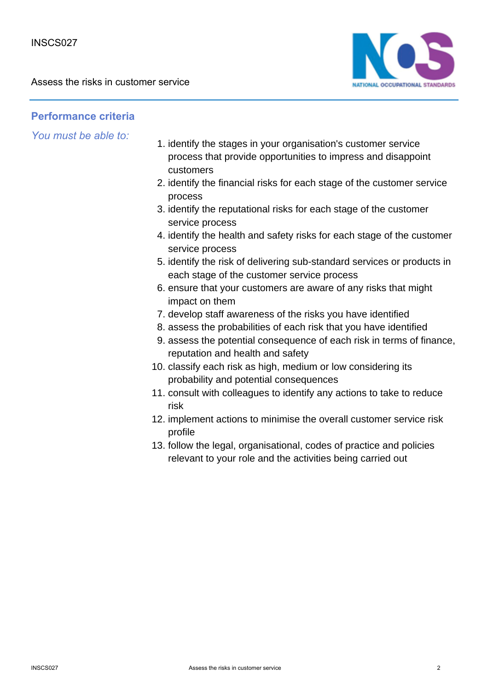Assess the risks in customer service



### **Performance criteria**

- 1. identify the stages in your organisation's customer service process that provide opportunities to impress and disappoint customers
- 2. identify the financial risks for each stage of the customer service process
- 3. identify the reputational risks for each stage of the customer service process
- 4. identify the health and safety risks for each stage of the customer service process
- 5. identify the risk of delivering sub-standard services or products in each stage of the customer service process
- 6. ensure that your customers are aware of any risks that might impact on them
- 7. develop staff awareness of the risks you have identified
- 8. assess the probabilities of each risk that you have identified
- 9. assess the potential consequence of each risk in terms of finance, reputation and health and safety
- 10. classify each risk as high, medium or low considering its probability and potential consequences
- 11. consult with colleagues to identify any actions to take to reduce risk
- 12. implement actions to minimise the overall customer service risk profile
- 13. follow the legal, organisational, codes of practice and policies relevant to your role and the activities being carried out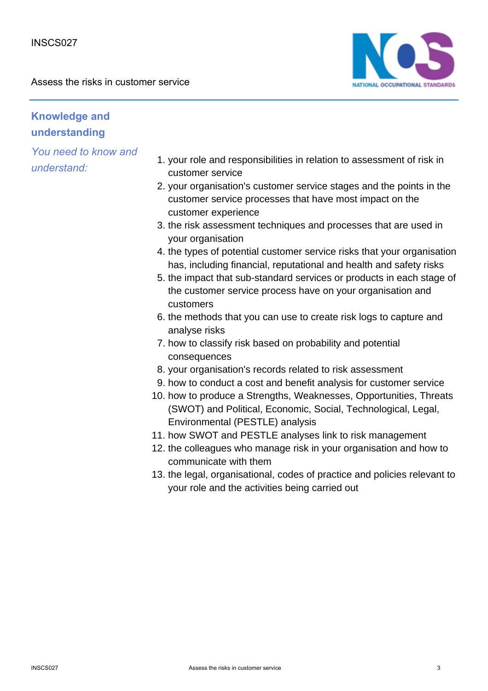Assess the risks in customer service



## **Knowledge and understanding**

- 1. your role and responsibilities in relation to assessment of risk in customer service
- 2. your organisation's customer service stages and the points in the customer service processes that have most impact on the customer experience
- 3. the risk assessment techniques and processes that are used in your organisation
- 4. the types of potential customer service risks that your organisation has, including financial, reputational and health and safety risks
- 5. the impact that sub-standard services or products in each stage of the customer service process have on your organisation and customers
- 6. the methods that you can use to create risk logs to capture and analyse risks
- 7. how to classify risk based on probability and potential consequences
- 8. your organisation's records related to risk assessment
- 9. how to conduct a cost and benefit analysis for customer service
- 10. how to produce a Strengths, Weaknesses, Opportunities, Threats (SWOT) and Political, Economic, Social, Technological, Legal, Environmental (PESTLE) analysis
- 11. how SWOT and PESTLE analyses link to risk management
- 12. the colleagues who manage risk in your organisation and how to communicate with them
- 13. the legal, organisational, codes of practice and policies relevant to your role and the activities being carried out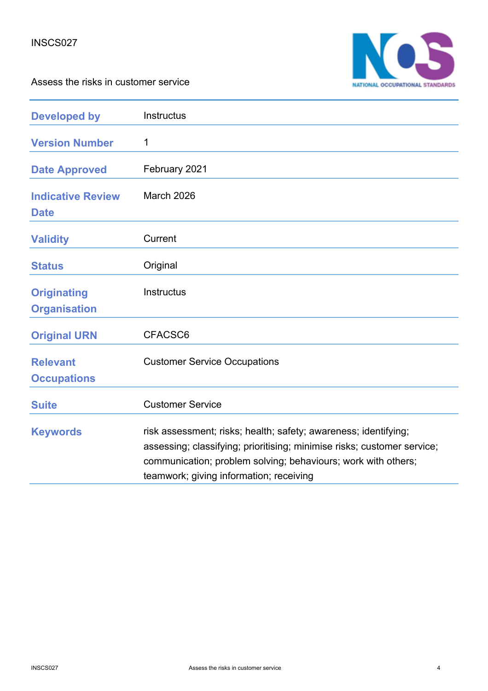



| <b>Developed by</b>                       | Instructus                                                                                                                                                                                                                                             |
|-------------------------------------------|--------------------------------------------------------------------------------------------------------------------------------------------------------------------------------------------------------------------------------------------------------|
| <b>Version Number</b>                     | 1                                                                                                                                                                                                                                                      |
| <b>Date Approved</b>                      | February 2021                                                                                                                                                                                                                                          |
| <b>Indicative Review</b><br><b>Date</b>   | March 2026                                                                                                                                                                                                                                             |
| <b>Validity</b>                           | Current                                                                                                                                                                                                                                                |
| <b>Status</b>                             | Original                                                                                                                                                                                                                                               |
| <b>Originating</b><br><b>Organisation</b> | Instructus                                                                                                                                                                                                                                             |
| <b>Original URN</b>                       | CFACSC6                                                                                                                                                                                                                                                |
| <b>Relevant</b><br><b>Occupations</b>     | <b>Customer Service Occupations</b>                                                                                                                                                                                                                    |
| <b>Suite</b>                              | <b>Customer Service</b>                                                                                                                                                                                                                                |
| <b>Keywords</b>                           | risk assessment; risks; health; safety; awareness; identifying;<br>assessing; classifying; prioritising; minimise risks; customer service;<br>communication; problem solving; behaviours; work with others;<br>teamwork; giving information; receiving |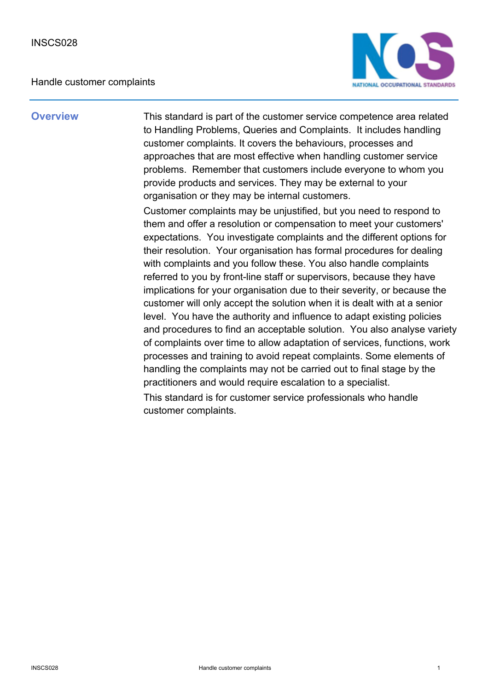### Handle customer complaints



**Overview** This standard is part of the customer service competence area related to Handling Problems, Queries and Complaints. It includes handling customer complaints. It covers the behaviours, processes and approaches that are most effective when handling customer service problems. Remember that customers include everyone to whom you provide products and services. They may be external to your organisation or they may be internal customers.

> Customer complaints may be unjustified, but you need to respond to them and offer a resolution or compensation to meet your customers' expectations. You investigate complaints and the different options for their resolution. Your organisation has formal procedures for dealing with complaints and you follow these. You also handle complaints referred to you by front-line staff or supervisors, because they have implications for your organisation due to their severity, or because the customer will only accept the solution when it is dealt with at a senior level. You have the authority and influence to adapt existing policies and procedures to find an acceptable solution. You also analyse variety of complaints over time to allow adaptation of services, functions, work processes and training to avoid repeat complaints. Some elements of handling the complaints may not be carried out to final stage by the practitioners and would require escalation to a specialist. This standard is for customer service professionals who handle customer complaints.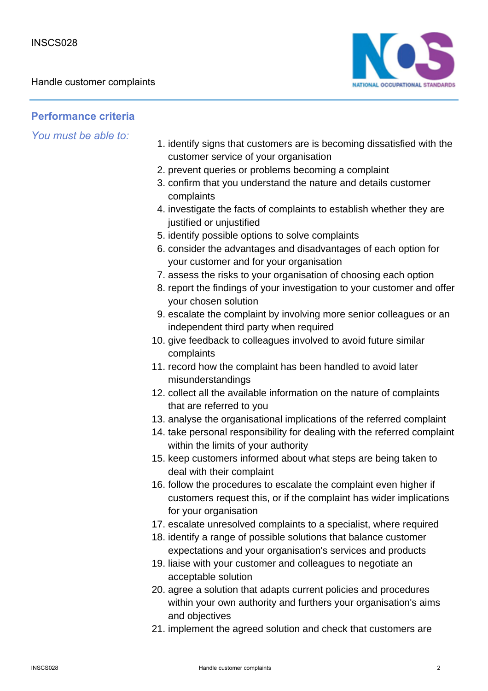

### **Performance criteria**

- 1. identify signs that customers are is becoming dissatisfied with the customer service of your organisation
- 2. prevent queries or problems becoming a complaint
- 3. confirm that you understand the nature and details customer complaints
- 4. investigate the facts of complaints to establish whether they are justified or unjustified
- 5. identify possible options to solve complaints
- 6. consider the advantages and disadvantages of each option for your customer and for your organisation
- 7. assess the risks to your organisation of choosing each option
- 8. report the findings of your investigation to your customer and offer your chosen solution
- 9. escalate the complaint by involving more senior colleagues or an independent third party when required
- 10. give feedback to colleagues involved to avoid future similar complaints
- 11. record how the complaint has been handled to avoid later misunderstandings
- 12. collect all the available information on the nature of complaints that are referred to you
- 13. analyse the organisational implications of the referred complaint
- 14. take personal responsibility for dealing with the referred complaint within the limits of your authority
- 15. keep customers informed about what steps are being taken to deal with their complaint
- 16. follow the procedures to escalate the complaint even higher if customers request this, or if the complaint has wider implications for your organisation
- 17. escalate unresolved complaints to a specialist, where required
- 18. identify a range of possible solutions that balance customer expectations and your organisation's services and products
- 19. liaise with your customer and colleagues to negotiate an acceptable solution
- 20. agree a solution that adapts current policies and procedures within your own authority and furthers your organisation's aims and objectives
- 21. implement the agreed solution and check that customers are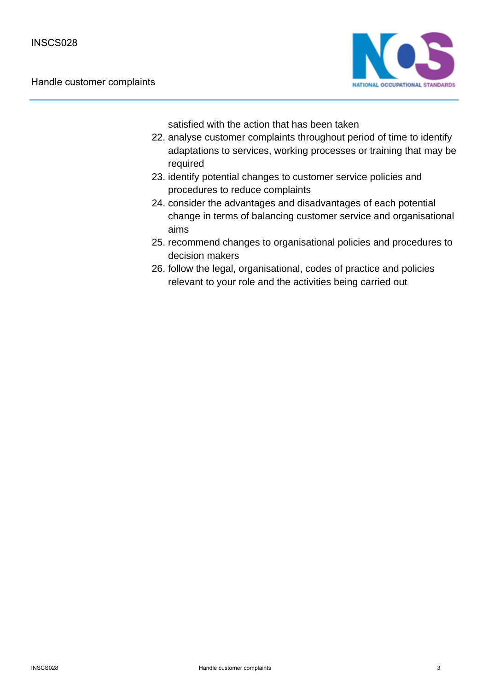

satisfied with the action that has been taken

- 22. analyse customer complaints throughout period of time to identify adaptations to services, working processes or training that may be required
- 23. identify potential changes to customer service policies and procedures to reduce complaints
- 24. consider the advantages and disadvantages of each potential change in terms of balancing customer service and organisational aims
- 25. recommend changes to organisational policies and procedures to decision makers
- 26. follow the legal, organisational, codes of practice and policies relevant to your role and the activities being carried out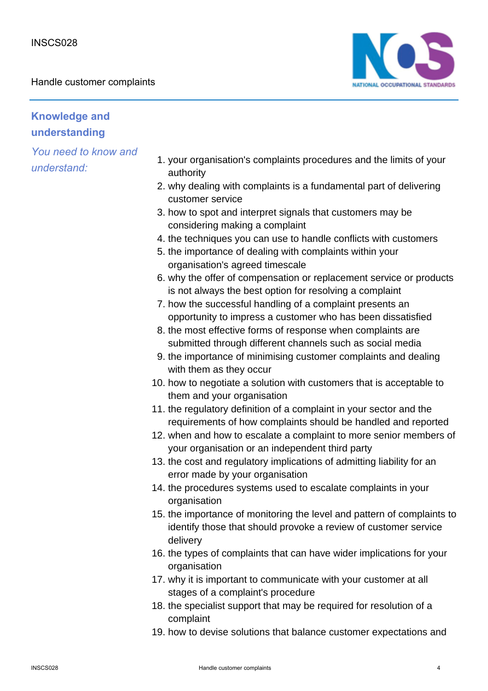Handle customer complaints



## **Knowledge and understanding**

- 1. your organisation's complaints procedures and the limits of your authority
- 2. why dealing with complaints is a fundamental part of delivering customer service
- 3. how to spot and interpret signals that customers may be considering making a complaint
- 4. the techniques you can use to handle conflicts with customers
- 5. the importance of dealing with complaints within your organisation's agreed timescale
- 6. why the offer of compensation or replacement service or products is not always the best option for resolving a complaint
- 7. how the successful handling of a complaint presents an opportunity to impress a customer who has been dissatisfied
- 8. the most effective forms of response when complaints are submitted through different channels such as social media
- 9. the importance of minimising customer complaints and dealing with them as they occur
- 10. how to negotiate a solution with customers that is acceptable to them and your organisation
- 11. the regulatory definition of a complaint in your sector and the requirements of how complaints should be handled and reported
- 12. when and how to escalate a complaint to more senior members of your organisation or an independent third party
- 13. the cost and regulatory implications of admitting liability for an error made by your organisation
- 14. the procedures systems used to escalate complaints in your organisation
- 15. the importance of monitoring the level and pattern of complaints to identify those that should provoke a review of customer service delivery
- 16. the types of complaints that can have wider implications for your organisation
- 17. why it is important to communicate with your customer at all stages of a complaint's procedure
- 18. the specialist support that may be required for resolution of a complaint
- 19. how to devise solutions that balance customer expectations and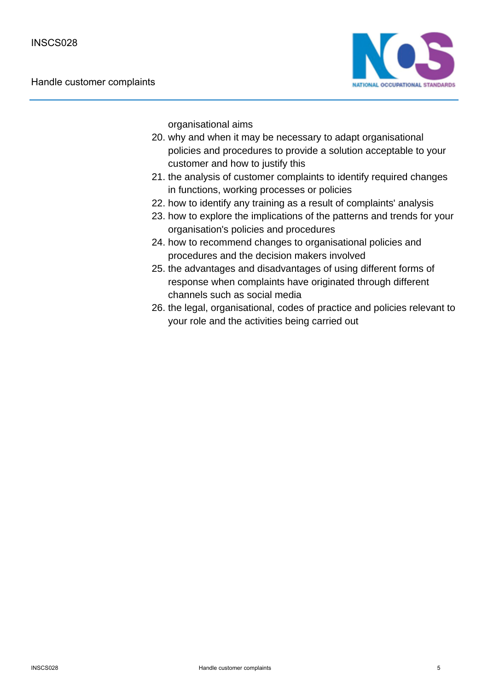

organisational aims

- 20. why and when it may be necessary to adapt organisational policies and procedures to provide a solution acceptable to your customer and how to justify this
- 21. the analysis of customer complaints to identify required changes in functions, working processes or policies
- 22. how to identify any training as a result of complaints' analysis
- 23. how to explore the implications of the patterns and trends for your organisation's policies and procedures
- 24. how to recommend changes to organisational policies and procedures and the decision makers involved
- 25. the advantages and disadvantages of using different forms of response when complaints have originated through different channels such as social media
- 26. the legal, organisational, codes of practice and policies relevant to your role and the activities being carried out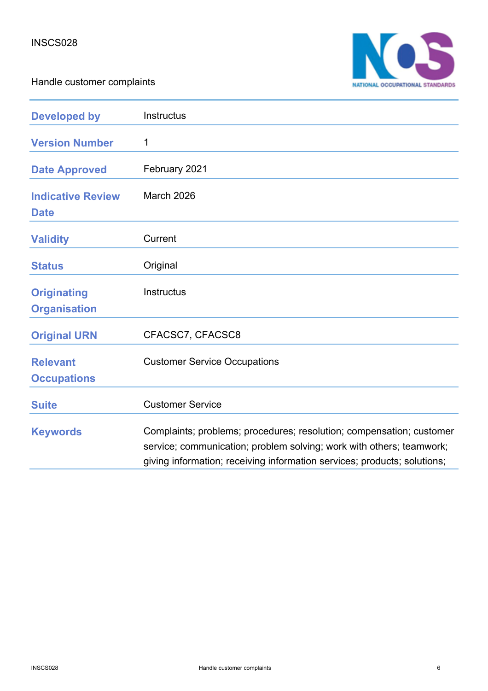Handle customer complaints



| <b>Developed by</b>                       | Instructus                                                                                                                                                                                                               |
|-------------------------------------------|--------------------------------------------------------------------------------------------------------------------------------------------------------------------------------------------------------------------------|
| <b>Version Number</b>                     | 1                                                                                                                                                                                                                        |
| <b>Date Approved</b>                      | February 2021                                                                                                                                                                                                            |
| <b>Indicative Review</b><br><b>Date</b>   | <b>March 2026</b>                                                                                                                                                                                                        |
| <b>Validity</b>                           | Current                                                                                                                                                                                                                  |
| <b>Status</b>                             | Original                                                                                                                                                                                                                 |
| <b>Originating</b><br><b>Organisation</b> | Instructus                                                                                                                                                                                                               |
| <b>Original URN</b>                       | CFACSC7, CFACSC8                                                                                                                                                                                                         |
| <b>Relevant</b><br><b>Occupations</b>     | <b>Customer Service Occupations</b>                                                                                                                                                                                      |
| <b>Suite</b>                              | <b>Customer Service</b>                                                                                                                                                                                                  |
| <b>Keywords</b>                           | Complaints; problems; procedures; resolution; compensation; customer<br>service; communication; problem solving; work with others; teamwork;<br>giving information; receiving information services; products; solutions; |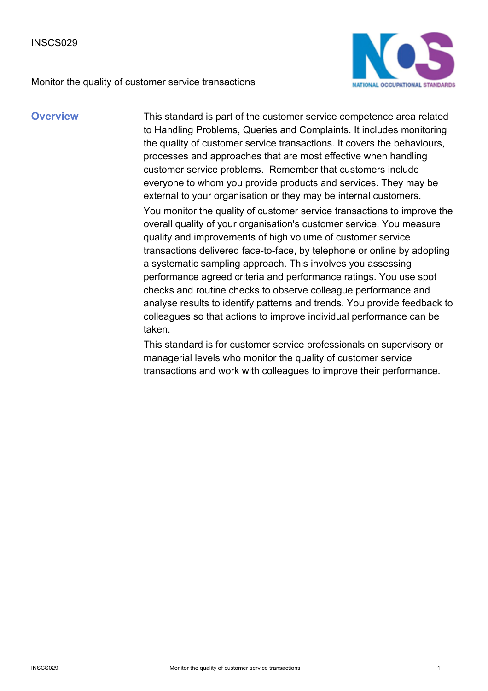Monitor the quality of customer service transactions



**Overview** This standard is part of the customer service competence area related to Handling Problems, Queries and Complaints. It includes monitoring the quality of customer service transactions. It covers the behaviours, processes and approaches that are most effective when handling customer service problems. Remember that customers include everyone to whom you provide products and services. They may be external to your organisation or they may be internal customers. You monitor the quality of customer service transactions to improve the overall quality of your organisation's customer service. You measure quality and improvements of high volume of customer service transactions delivered face-to-face, by telephone or online by adopting a systematic sampling approach. This involves you assessing performance agreed criteria and performance ratings. You use spot checks and routine checks to observe colleague performance and analyse results to identify patterns and trends. You provide feedback to colleagues so that actions to improve individual performance can be taken.

> This standard is for customer service professionals on supervisory or managerial levels who monitor the quality of customer service transactions and work with colleagues to improve their performance.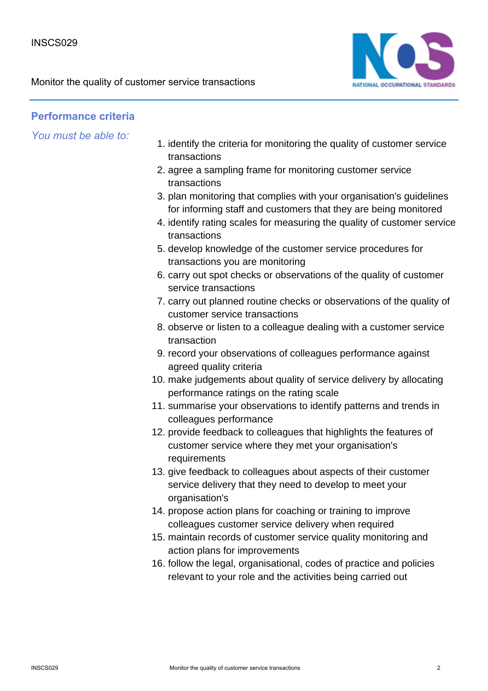Monitor the quality of customer service transactions



## **Performance criteria**

- 1. identify the criteria for monitoring the quality of customer service transactions
- 2. agree a sampling frame for monitoring customer service transactions
- 3. plan monitoring that complies with your organisation's guidelines for informing staff and customers that they are being monitored
- 4. identify rating scales for measuring the quality of customer service transactions
- 5. develop knowledge of the customer service procedures for transactions you are monitoring
- 6. carry out spot checks or observations of the quality of customer service transactions
- 7. carry out planned routine checks or observations of the quality of customer service transactions
- 8. observe or listen to a colleague dealing with a customer service transaction
- 9. record your observations of colleagues performance against agreed quality criteria
- 10. make judgements about quality of service delivery by allocating performance ratings on the rating scale
- 11. summarise your observations to identify patterns and trends in colleagues performance
- 12. provide feedback to colleagues that highlights the features of customer service where they met your organisation's requirements
- 13. give feedback to colleagues about aspects of their customer service delivery that they need to develop to meet your organisation's
- 14. propose action plans for coaching or training to improve colleagues customer service delivery when required
- 15. maintain records of customer service quality monitoring and action plans for improvements
- 16. follow the legal, organisational, codes of practice and policies relevant to your role and the activities being carried out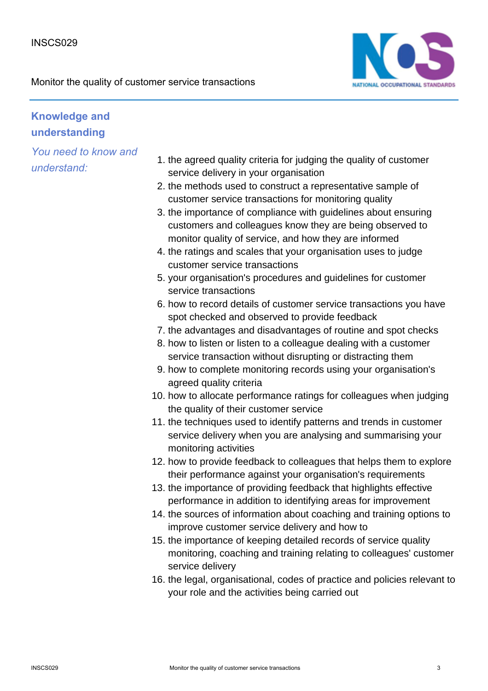

## **Knowledge and understanding**

- 1. the agreed quality criteria for judging the quality of customer service delivery in your organisation
- 2. the methods used to construct a representative sample of customer service transactions for monitoring quality
- 3. the importance of compliance with guidelines about ensuring customers and colleagues know they are being observed to monitor quality of service, and how they are informed
- 4. the ratings and scales that your organisation uses to judge customer service transactions
- 5. your organisation's procedures and guidelines for customer service transactions
- 6. how to record details of customer service transactions you have spot checked and observed to provide feedback
- 7. the advantages and disadvantages of routine and spot checks
- 8. how to listen or listen to a colleague dealing with a customer service transaction without disrupting or distracting them
- 9. how to complete monitoring records using your organisation's agreed quality criteria
- 10. how to allocate performance ratings for colleagues when judging the quality of their customer service
- 11. the techniques used to identify patterns and trends in customer service delivery when you are analysing and summarising your monitoring activities
- 12. how to provide feedback to colleagues that helps them to explore their performance against your organisation's requirements
- 13. the importance of providing feedback that highlights effective performance in addition to identifying areas for improvement
- 14. the sources of information about coaching and training options to improve customer service delivery and how to
- 15. the importance of keeping detailed records of service quality monitoring, coaching and training relating to colleagues' customer service delivery
- 16. the legal, organisational, codes of practice and policies relevant to your role and the activities being carried out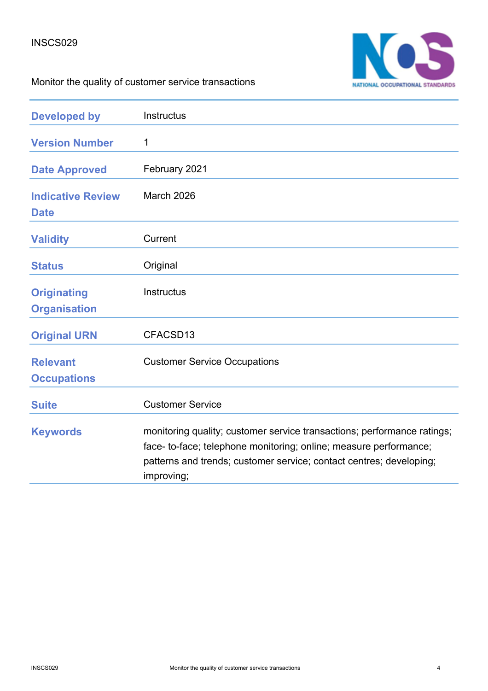

# Monitor the quality of customer service transactions

| <b>Developed by</b>                       | Instructus                                                                                                                                                                                                                        |
|-------------------------------------------|-----------------------------------------------------------------------------------------------------------------------------------------------------------------------------------------------------------------------------------|
| <b>Version Number</b>                     | 1                                                                                                                                                                                                                                 |
| <b>Date Approved</b>                      | February 2021                                                                                                                                                                                                                     |
| <b>Indicative Review</b><br><b>Date</b>   | March 2026                                                                                                                                                                                                                        |
| <b>Validity</b>                           | Current                                                                                                                                                                                                                           |
| <b>Status</b>                             | Original                                                                                                                                                                                                                          |
| <b>Originating</b><br><b>Organisation</b> | Instructus                                                                                                                                                                                                                        |
| <b>Original URN</b>                       | CFACSD13                                                                                                                                                                                                                          |
| <b>Relevant</b><br><b>Occupations</b>     | <b>Customer Service Occupations</b>                                                                                                                                                                                               |
| <b>Suite</b>                              | <b>Customer Service</b>                                                                                                                                                                                                           |
| <b>Keywords</b>                           | monitoring quality; customer service transactions; performance ratings;<br>face- to-face; telephone monitoring; online; measure performance;<br>patterns and trends; customer service; contact centres; developing;<br>improving; |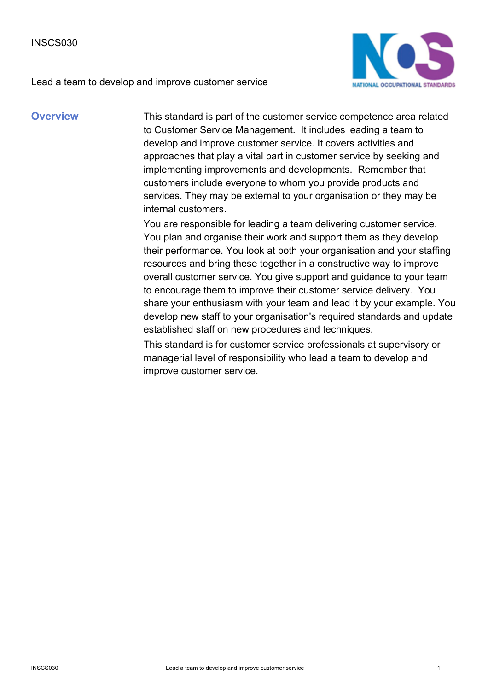

**Overview** This standard is part of the customer service competence area related to Customer Service Management. It includes leading a team to develop and improve customer service. It covers activities and approaches that play a vital part in customer service by seeking and implementing improvements and developments. Remember that customers include everyone to whom you provide products and services. They may be external to your organisation or they may be internal customers.

> You are responsible for leading a team delivering customer service. You plan and organise their work and support them as they develop their performance. You look at both your organisation and your staffing resources and bring these together in a constructive way to improve overall customer service. You give support and guidance to your team to encourage them to improve their customer service delivery. You share your enthusiasm with your team and lead it by your example. You develop new staff to your organisation's required standards and update established staff on new procedures and techniques.

This standard is for customer service professionals at supervisory or managerial level of responsibility who lead a team to develop and improve customer service.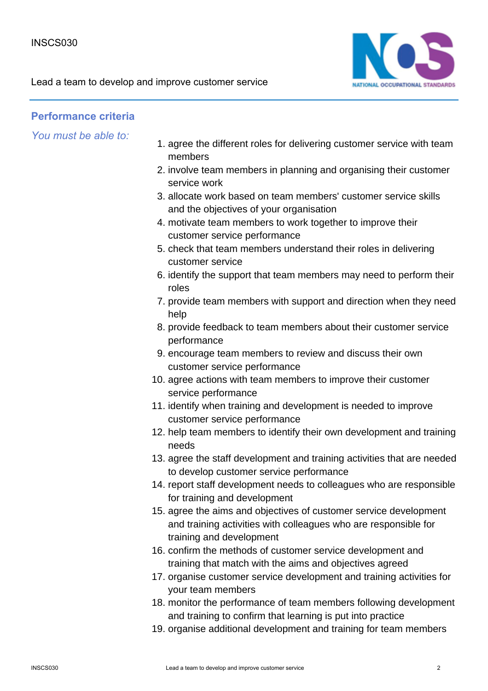

### **Performance criteria**

- 1. agree the different roles for delivering customer service with team members
- 2. involve team members in planning and organising their customer service work
- 3. allocate work based on team members' customer service skills and the objectives of your organisation
- motivate team members to work together to improve their 4. customer service performance
- 5. check that team members understand their roles in delivering customer service
- 6. identify the support that team members may need to perform their roles
- 7. provide team members with support and direction when they need help
- 8. provide feedback to team members about their customer service performance
- 9. encourage team members to review and discuss their own customer service performance
- 10. agree actions with team members to improve their customer service performance
- 11. identify when training and development is needed to improve customer service performance
- 12. help team members to identify their own development and training needs
- 13. agree the staff development and training activities that are needed to develop customer service performance
- 14. report staff development needs to colleagues who are responsible for training and development
- 15. agree the aims and objectives of customer service development and training activities with colleagues who are responsible for training and development
- 16. confirm the methods of customer service development and training that match with the aims and objectives agreed
- 17. organise customer service development and training activities for your team members
- 18. monitor the performance of team members following development and training to confirm that learning is put into practice
- 19. organise additional development and training for team members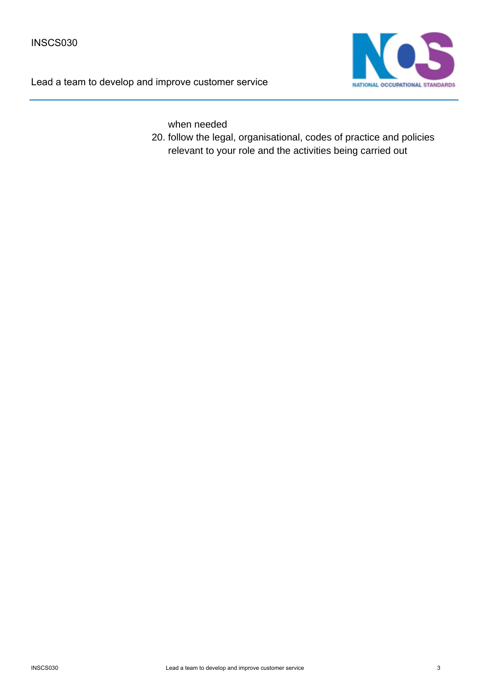

when needed

20. follow the legal, organisational, codes of practice and policies relevant to your role and the activities being carried out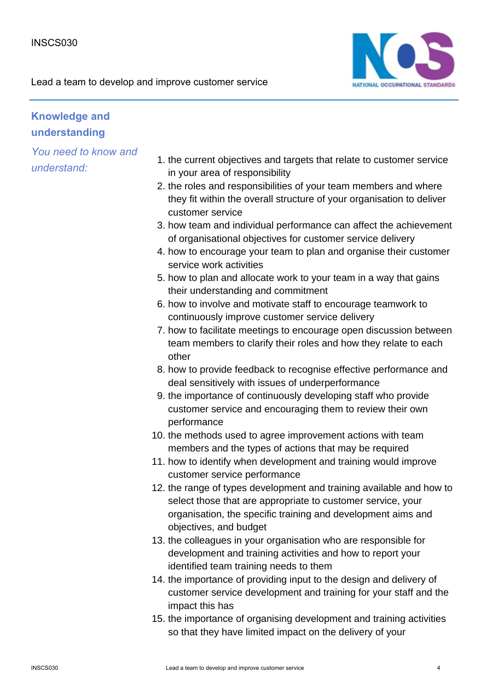

## **Knowledge and understanding**

- 1. the current objectives and targets that relate to customer service in your area of responsibility
- 2. the roles and responsibilities of your team members and where they fit within the overall structure of your organisation to deliver customer service
- 3. how team and individual performance can affect the achievement of organisational objectives for customer service delivery
- 4. how to encourage your team to plan and organise their customer service work activities
- 5. how to plan and allocate work to your team in a way that gains their understanding and commitment
- 6. how to involve and motivate staff to encourage teamwork to continuously improve customer service delivery
- 7. how to facilitate meetings to encourage open discussion between team members to clarify their roles and how they relate to each other
- 8. how to provide feedback to recognise effective performance and deal sensitively with issues of underperformance
- 9. the importance of continuously developing staff who provide customer service and encouraging them to review their own performance
- 10. the methods used to agree improvement actions with team members and the types of actions that may be required
- 11. how to identify when development and training would improve customer service performance
- 12. the range of types development and training available and how to select those that are appropriate to customer service, your organisation, the specific training and development aims and objectives, and budget
- 13. the colleagues in your organisation who are responsible for development and training activities and how to report your identified team training needs to them
- 14. the importance of providing input to the design and delivery of customer service development and training for your staff and the impact this has
- 15. the importance of organising development and training activities so that they have limited impact on the delivery of your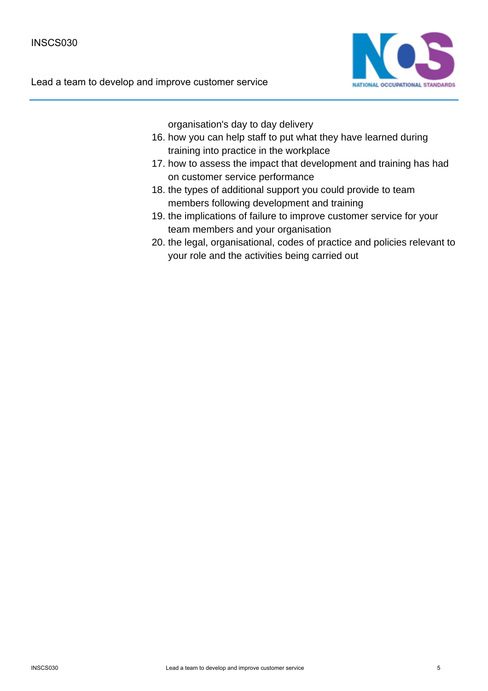

organisation's day to day delivery

- 16. how you can help staff to put what they have learned during training into practice in the workplace
- 17. how to assess the impact that development and training has had on customer service performance
- 18. the types of additional support you could provide to team members following development and training
- 19. the implications of failure to improve customer service for your team members and your organisation
- 20. the legal, organisational, codes of practice and policies relevant to your role and the activities being carried out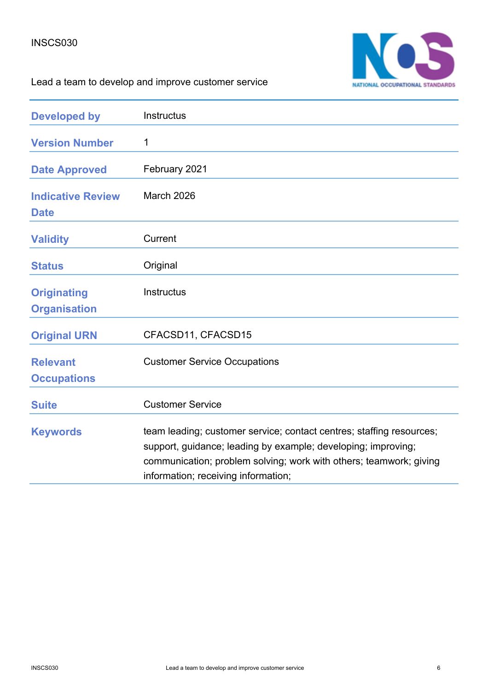

| <b>Developed by</b>                       | Instructus                                                                                                                                                                                                                                         |
|-------------------------------------------|----------------------------------------------------------------------------------------------------------------------------------------------------------------------------------------------------------------------------------------------------|
| <b>Version Number</b>                     | 1                                                                                                                                                                                                                                                  |
| <b>Date Approved</b>                      | February 2021                                                                                                                                                                                                                                      |
| <b>Indicative Review</b><br><b>Date</b>   | March 2026                                                                                                                                                                                                                                         |
| <b>Validity</b>                           | Current                                                                                                                                                                                                                                            |
| <b>Status</b>                             | Original                                                                                                                                                                                                                                           |
| <b>Originating</b><br><b>Organisation</b> | Instructus                                                                                                                                                                                                                                         |
| <b>Original URN</b>                       | CFACSD11, CFACSD15                                                                                                                                                                                                                                 |
| <b>Relevant</b><br><b>Occupations</b>     | <b>Customer Service Occupations</b>                                                                                                                                                                                                                |
| <b>Suite</b>                              | <b>Customer Service</b>                                                                                                                                                                                                                            |
| <b>Keywords</b>                           | team leading; customer service; contact centres; staffing resources;<br>support, guidance; leading by example; developing; improving;<br>communication; problem solving; work with others; teamwork; giving<br>information; receiving information; |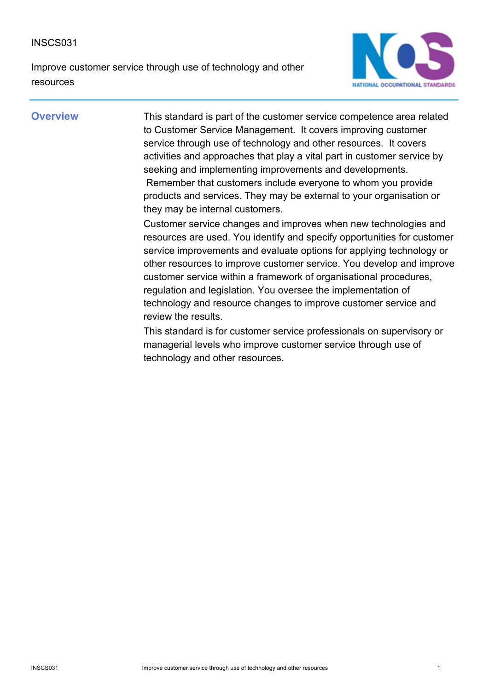Improve customer service through use of technology and other resources



**Overview** This standard is part of the customer service competence area related to Customer Service Management. It covers improving customer service through use of technology and other resources. It covers activities and approaches that play a vital part in customer service by seeking and implementing improvements and developments. Remember that customers include everyone to whom you provide products and services. They may be external to your organisation or they may be internal customers.

> Customer service changes and improves when new technologies and resources are used. You identify and specify opportunities for customer service improvements and evaluate options for applying technology or other resources to improve customer service. You develop and improve customer service within a framework of organisational procedures, regulation and legislation. You oversee the implementation of technology and resource changes to improve customer service and review the results.

This standard is for customer service professionals on supervisory or managerial levels who improve customer service through use of technology and other resources.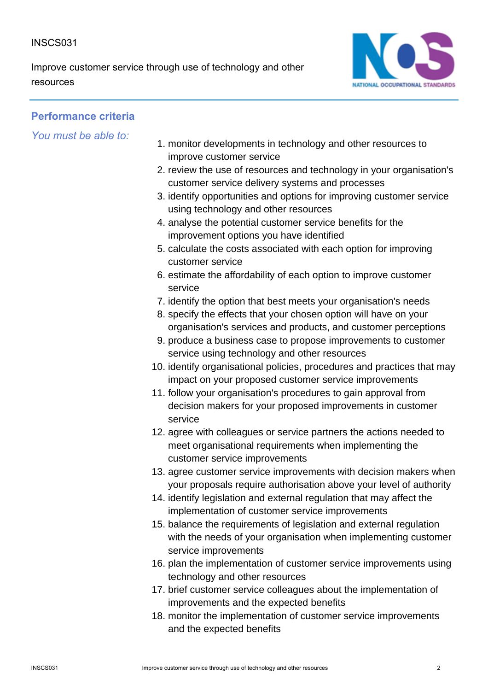Improve customer service through use of technology and other resources



## **Performance criteria**

- 1. monitor developments in technology and other resources to improve customer service
- 2. review the use of resources and technology in your organisation's customer service delivery systems and processes
- 3. identify opportunities and options for improving customer service using technology and other resources
- 4. analyse the potential customer service benefits for the improvement options you have identified
- 5. calculate the costs associated with each option for improving customer service
- 6. estimate the affordability of each option to improve customer service
- 7. identify the option that best meets your organisation's needs
- 8. specify the effects that your chosen option will have on your organisation's services and products, and customer perceptions
- 9. produce a business case to propose improvements to customer service using technology and other resources
- 10. identify organisational policies, procedures and practices that may impact on your proposed customer service improvements
- 11. follow your organisation's procedures to gain approval from decision makers for your proposed improvements in customer service
- 12. agree with colleagues or service partners the actions needed to meet organisational requirements when implementing the customer service improvements
- 13. agree customer service improvements with decision makers when your proposals require authorisation above your level of authority
- 14. identify legislation and external regulation that may affect the implementation of customer service improvements
- 15. balance the requirements of legislation and external regulation with the needs of your organisation when implementing customer service improvements
- 16. plan the implementation of customer service improvements using technology and other resources
- 17. brief customer service colleagues about the implementation of improvements and the expected benefits
- 18. monitor the implementation of customer service improvements and the expected benefits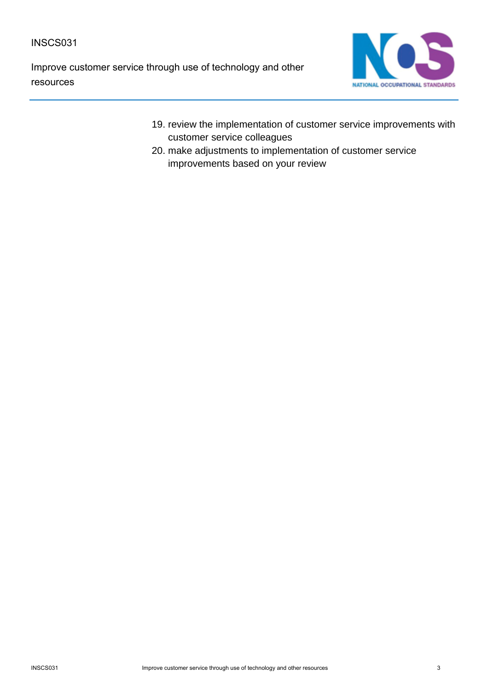Improve customer service through use of technology and other resources



- 19. review the implementation of customer service improvements with customer service colleagues
- 20. make adjustments to implementation of customer service improvements based on your review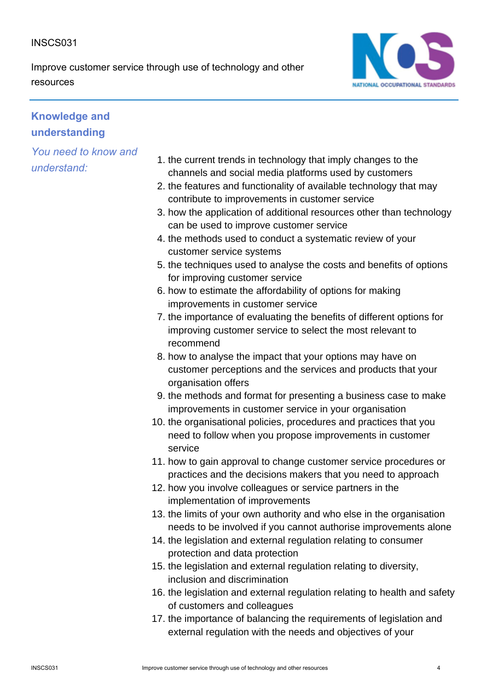Improve customer service through use of technology and other resources



# **Knowledge and understanding**

- 1. the current trends in technology that imply changes to the channels and social media platforms used by customers
- 2. the features and functionality of available technology that may contribute to improvements in customer service
- 3. how the application of additional resources other than technology can be used to improve customer service
- 4. the methods used to conduct a systematic review of your customer service systems
- 5. the techniques used to analyse the costs and benefits of options for improving customer service
- 6. how to estimate the affordability of options for making improvements in customer service
- 7. the importance of evaluating the benefits of different options for improving customer service to select the most relevant to recommend
- 8. how to analyse the impact that your options may have on customer perceptions and the services and products that your organisation offers
- 9. the methods and format for presenting a business case to make improvements in customer service in your organisation
- 10. the organisational policies, procedures and practices that you need to follow when you propose improvements in customer service
- 11. how to gain approval to change customer service procedures or practices and the decisions makers that you need to approach
- 12. how you involve colleagues or service partners in the implementation of improvements
- 13. the limits of your own authority and who else in the organisation needs to be involved if you cannot authorise improvements alone
- 14. the legislation and external regulation relating to consumer protection and data protection
- 15. the legislation and external regulation relating to diversity, inclusion and discrimination
- 16. the legislation and external regulation relating to health and safety of customers and colleagues
- 17. the importance of balancing the requirements of legislation and external regulation with the needs and objectives of your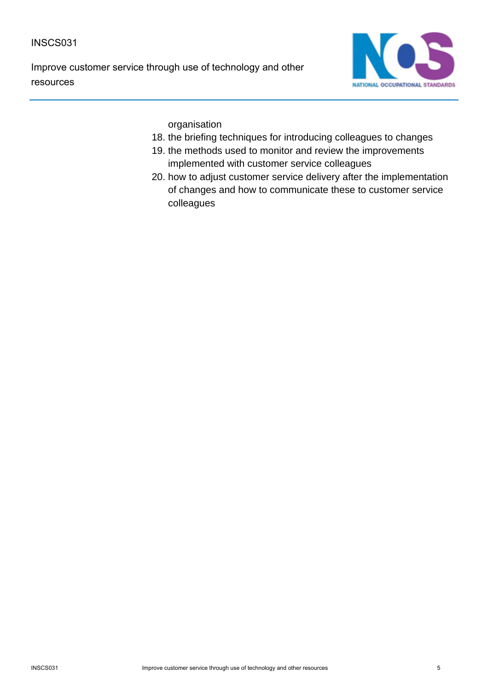Improve customer service through use of technology and other resources



organisation

- 18. the briefing techniques for introducing colleagues to changes
- 19. the methods used to monitor and review the improvements implemented with customer service colleagues
- 20. how to adjust customer service delivery after the implementation of changes and how to communicate these to customer service colleagues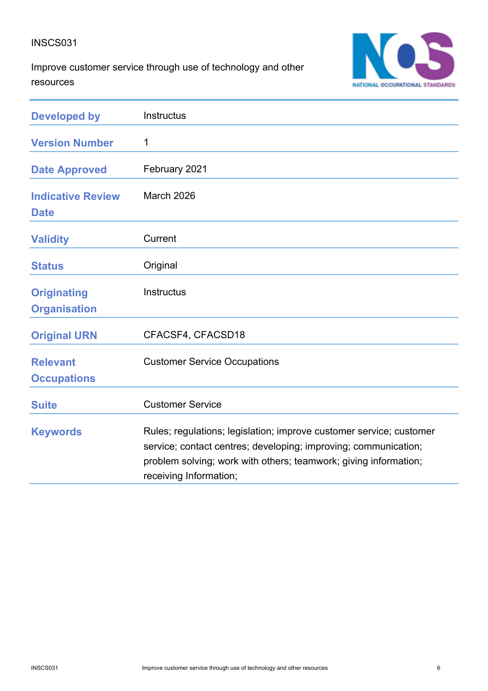Improve customer service through use of technology and other resources



| <b>Developed by</b>                       | Instructus                                                                                                                                                                                                                           |
|-------------------------------------------|--------------------------------------------------------------------------------------------------------------------------------------------------------------------------------------------------------------------------------------|
| <b>Version Number</b>                     | 1                                                                                                                                                                                                                                    |
| <b>Date Approved</b>                      | February 2021                                                                                                                                                                                                                        |
| <b>Indicative Review</b><br><b>Date</b>   | March 2026                                                                                                                                                                                                                           |
| <b>Validity</b>                           | Current                                                                                                                                                                                                                              |
| <b>Status</b>                             | Original                                                                                                                                                                                                                             |
| <b>Originating</b><br><b>Organisation</b> | <b>Instructus</b>                                                                                                                                                                                                                    |
| <b>Original URN</b>                       | CFACSF4, CFACSD18                                                                                                                                                                                                                    |
| <b>Relevant</b><br><b>Occupations</b>     | <b>Customer Service Occupations</b>                                                                                                                                                                                                  |
| <b>Suite</b>                              | <b>Customer Service</b>                                                                                                                                                                                                              |
| <b>Keywords</b>                           | Rules; regulations; legislation; improve customer service; customer<br>service; contact centres; developing; improving; communication;<br>problem solving; work with others; teamwork; giving information;<br>receiving Information; |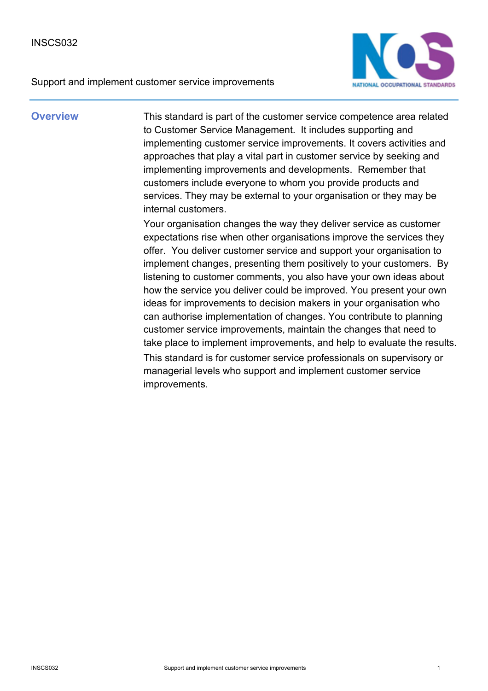Support and implement customer service improvements



**Overview** This standard is part of the customer service competence area related to Customer Service Management. It includes supporting and implementing customer service improvements. It covers activities and approaches that play a vital part in customer service by seeking and implementing improvements and developments. Remember that customers include everyone to whom you provide products and services. They may be external to your organisation or they may be internal customers.

> Your organisation changes the way they deliver service as customer expectations rise when other organisations improve the services they offer. You deliver customer service and support your organisation to implement changes, presenting them positively to your customers. By listening to customer comments, you also have your own ideas about how the service you deliver could be improved. You present your own ideas for improvements to decision makers in your organisation who can authorise implementation of changes. You contribute to planning customer service improvements, maintain the changes that need to take place to implement improvements, and help to evaluate the results. This standard is for customer service professionals on supervisory or managerial levels who support and implement customer service improvements.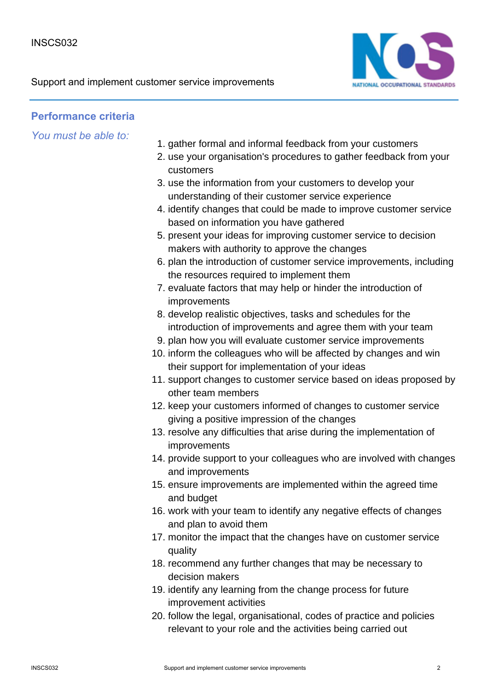

## **Performance criteria**

- 1. gather formal and informal feedback from your customers
- 2. use your organisation's procedures to gather feedback from your customers
- 3. use the information from your customers to develop your understanding of their customer service experience
- 4. identify changes that could be made to improve customer service based on information you have gathered
- 5. present your ideas for improving customer service to decision makers with authority to approve the changes
- 6. plan the introduction of customer service improvements, including the resources required to implement them
- 7. evaluate factors that may help or hinder the introduction of improvements
- 8. develop realistic objectives, tasks and schedules for the introduction of improvements and agree them with your team
- 9. plan how you will evaluate customer service improvements
- 10. inform the colleagues who will be affected by changes and win their support for implementation of your ideas
- 11. support changes to customer service based on ideas proposed by other team members
- 12. keep your customers informed of changes to customer service giving a positive impression of the changes
- 13. resolve any difficulties that arise during the implementation of improvements
- 14. provide support to your colleagues who are involved with changes and improvements
- 15. ensure improvements are implemented within the agreed time and budget
- 16. work with your team to identify any negative effects of changes and plan to avoid them
- 17. monitor the impact that the changes have on customer service quality
- 18. recommend any further changes that may be necessary to decision makers
- 19. identify any learning from the change process for future improvement activities
- 20. follow the legal, organisational, codes of practice and policies relevant to your role and the activities being carried out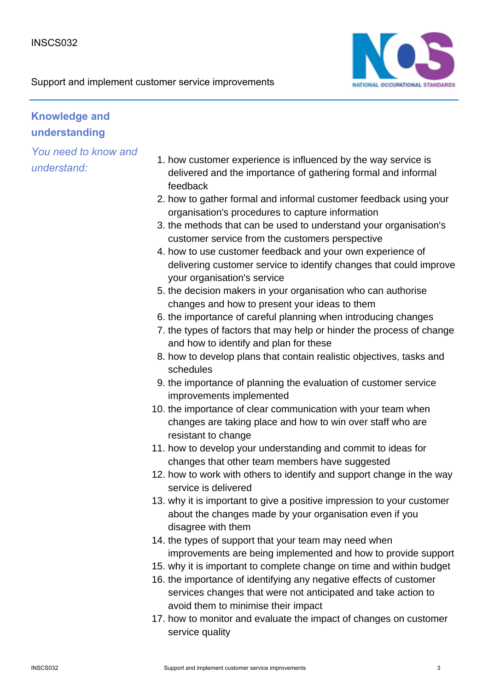

# **Knowledge and understanding**

- 1. how customer experience is influenced by the way service is delivered and the importance of gathering formal and informal feedback
- 2. how to gather formal and informal customer feedback using your organisation's procedures to capture information
- 3. the methods that can be used to understand your organisation's customer service from the customers perspective
- 4. how to use customer feedback and your own experience of delivering customer service to identify changes that could improve your organisation's service
- 5. the decision makers in your organisation who can authorise changes and how to present your ideas to them
- 6. the importance of careful planning when introducing changes
- 7. the types of factors that may help or hinder the process of change and how to identify and plan for these
- 8. how to develop plans that contain realistic objectives, tasks and schedules
- 9. the importance of planning the evaluation of customer service improvements implemented
- 10. the importance of clear communication with your team when changes are taking place and how to win over staff who are resistant to change
- 11. how to develop your understanding and commit to ideas for changes that other team members have suggested
- 12. how to work with others to identify and support change in the way service is delivered
- 13. why it is important to give a positive impression to your customer about the changes made by your organisation even if you disagree with them
- 14. the types of support that your team may need when improvements are being implemented and how to provide support
- 15. why it is important to complete change on time and within budget
- 16. the importance of identifying any negative effects of customer services changes that were not anticipated and take action to avoid them to minimise their impact
- 17. how to monitor and evaluate the impact of changes on customer service quality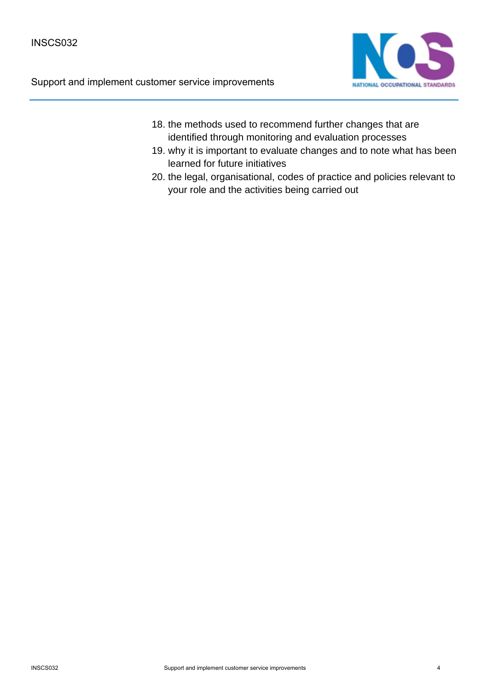Support and implement customer service improvements



- 18. the methods used to recommend further changes that are identified through monitoring and evaluation processes
- 19. why it is important to evaluate changes and to note what has been learned for future initiatives
- 20. the legal, organisational, codes of practice and policies relevant to your role and the activities being carried out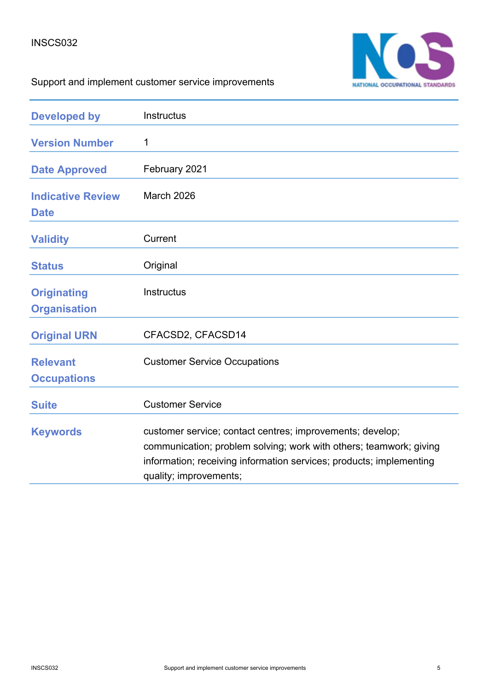

# Support and implement customer service improvements

| <b>Developed by</b>                       | Instructus                                                                                                                                                                                                                       |
|-------------------------------------------|----------------------------------------------------------------------------------------------------------------------------------------------------------------------------------------------------------------------------------|
| <b>Version Number</b>                     | 1                                                                                                                                                                                                                                |
| <b>Date Approved</b>                      | February 2021                                                                                                                                                                                                                    |
| <b>Indicative Review</b><br><b>Date</b>   | March 2026                                                                                                                                                                                                                       |
| <b>Validity</b>                           | Current                                                                                                                                                                                                                          |
| <b>Status</b>                             | Original                                                                                                                                                                                                                         |
| <b>Originating</b><br><b>Organisation</b> | <b>Instructus</b>                                                                                                                                                                                                                |
| <b>Original URN</b>                       | CFACSD2, CFACSD14                                                                                                                                                                                                                |
| <b>Relevant</b><br><b>Occupations</b>     | <b>Customer Service Occupations</b>                                                                                                                                                                                              |
| <b>Suite</b>                              | <b>Customer Service</b>                                                                                                                                                                                                          |
| <b>Keywords</b>                           | customer service; contact centres; improvements; develop;<br>communication; problem solving; work with others; teamwork; giving<br>information; receiving information services; products; implementing<br>quality; improvements; |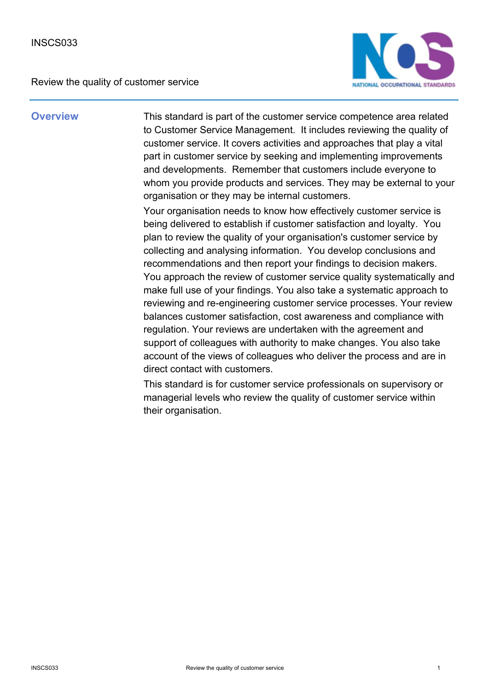

**Overview** This standard is part of the customer service competence area related to Customer Service Management. It includes reviewing the quality of customer service. It covers activities and approaches that play a vital part in customer service by seeking and implementing improvements and developments. Remember that customers include everyone to whom you provide products and services. They may be external to your organisation or they may be internal customers.

> Your organisation needs to know how effectively customer service is being delivered to establish if customer satisfaction and loyalty. You plan to review the quality of your organisation's customer service by collecting and analysing information. You develop conclusions and recommendations and then report your findings to decision makers. You approach the review of customer service quality systematically and make full use of your findings. You also take a systematic approach to reviewing and re-engineering customer service processes. Your review balances customer satisfaction, cost awareness and compliance with regulation. Your reviews are undertaken with the agreement and support of colleagues with authority to make changes. You also take account of the views of colleagues who deliver the process and are in direct contact with customers.

This standard is for customer service professionals on supervisory or managerial levels who review the quality of customer service within their organisation.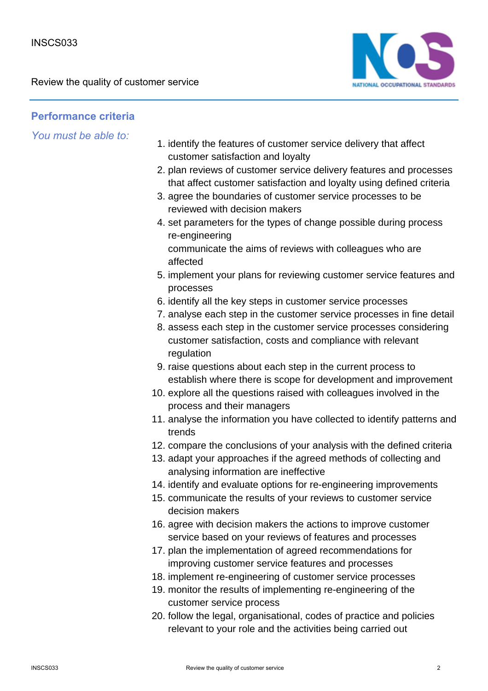

## **Performance criteria**

- 1. identify the features of customer service delivery that affect customer satisfaction and loyalty
- 2. plan reviews of customer service delivery features and processes that affect customer satisfaction and loyalty using defined criteria
- 3. agree the boundaries of customer service processes to be reviewed with decision makers
- 4. set parameters for the types of change possible during process re-engineering communicate the aims of reviews with colleagues who are affected
- 5. implement your plans for reviewing customer service features and processes
- 6. identify all the key steps in customer service processes
- 7. analyse each step in the customer service processes in fine detail
- 8. assess each step in the customer service processes considering customer satisfaction, costs and compliance with relevant regulation
- 9. raise questions about each step in the current process to establish where there is scope for development and improvement
- 10. explore all the questions raised with colleagues involved in the process and their managers
- 11. analyse the information you have collected to identify patterns and trends
- 12. compare the conclusions of your analysis with the defined criteria
- 13. adapt your approaches if the agreed methods of collecting and analysing information are ineffective
- 14. identify and evaluate options for re-engineering improvements
- 15. communicate the results of your reviews to customer service decision makers
- 16. agree with decision makers the actions to improve customer service based on your reviews of features and processes
- 17. plan the implementation of agreed recommendations for improving customer service features and processes
- 18. implement re-engineering of customer service processes
- 19. monitor the results of implementing re-engineering of the customer service process
- 20. follow the legal, organisational, codes of practice and policies relevant to your role and the activities being carried out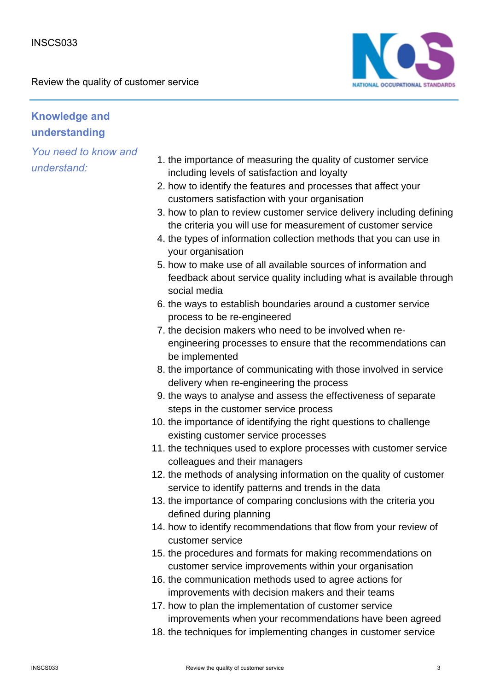

# **Knowledge and understanding**

- 1. the importance of measuring the quality of customer service including levels of satisfaction and loyalty
- 2. how to identify the features and processes that affect your customers satisfaction with your organisation
- 3. how to plan to review customer service delivery including defining the criteria you will use for measurement of customer service
- 4. the types of information collection methods that you can use in your organisation
- 5. how to make use of all available sources of information and feedback about service quality including what is available through social media
- 6. the ways to establish boundaries around a customer service process to be re-engineered
- 7. the decision makers who need to be involved when reengineering processes to ensure that the recommendations can be implemented
- 8. the importance of communicating with those involved in service delivery when re-engineering the process
- 9. the ways to analyse and assess the effectiveness of separate steps in the customer service process
- 10. the importance of identifying the right questions to challenge existing customer service processes
- 11. the techniques used to explore processes with customer service colleagues and their managers
- 12. the methods of analysing information on the quality of customer service to identify patterns and trends in the data
- 13. the importance of comparing conclusions with the criteria you defined during planning
- 14. how to identify recommendations that flow from your review of customer service
- 15. the procedures and formats for making recommendations on customer service improvements within your organisation
- 16. the communication methods used to agree actions for improvements with decision makers and their teams
- 17. how to plan the implementation of customer service improvements when your recommendations have been agreed
- 18. the techniques for implementing changes in customer service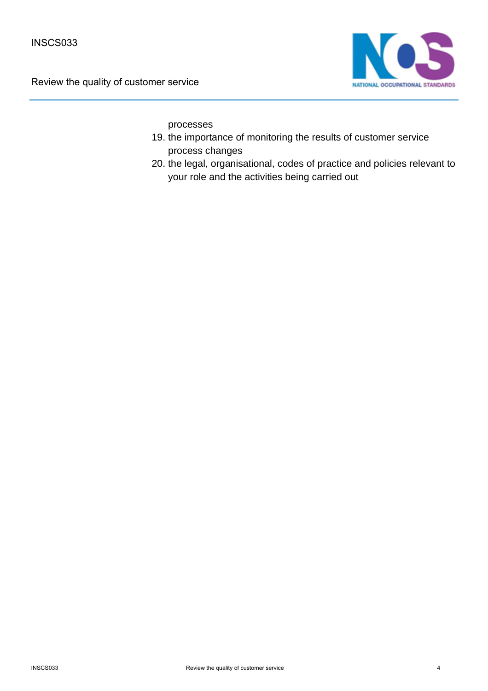

processes

- 19. the importance of monitoring the results of customer service process changes
- 20. the legal, organisational, codes of practice and policies relevant to your role and the activities being carried out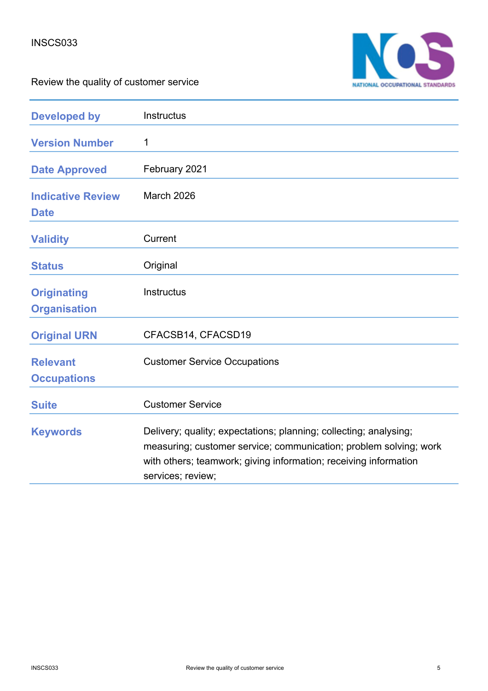

| <b>Developed by</b>                       | Instructus                                                                                                                                                                                                                      |
|-------------------------------------------|---------------------------------------------------------------------------------------------------------------------------------------------------------------------------------------------------------------------------------|
| <b>Version Number</b>                     | 1                                                                                                                                                                                                                               |
| <b>Date Approved</b>                      | February 2021                                                                                                                                                                                                                   |
| <b>Indicative Review</b><br><b>Date</b>   | March 2026                                                                                                                                                                                                                      |
| <b>Validity</b>                           | Current                                                                                                                                                                                                                         |
| <b>Status</b>                             | Original                                                                                                                                                                                                                        |
| <b>Originating</b><br><b>Organisation</b> | <b>Instructus</b>                                                                                                                                                                                                               |
| <b>Original URN</b>                       | CFACSB14, CFACSD19                                                                                                                                                                                                              |
| <b>Relevant</b><br><b>Occupations</b>     | <b>Customer Service Occupations</b>                                                                                                                                                                                             |
| <b>Suite</b>                              | <b>Customer Service</b>                                                                                                                                                                                                         |
| <b>Keywords</b>                           | Delivery; quality; expectations; planning; collecting; analysing;<br>measuring; customer service; communication; problem solving; work<br>with others; teamwork; giving information; receiving information<br>services; review; |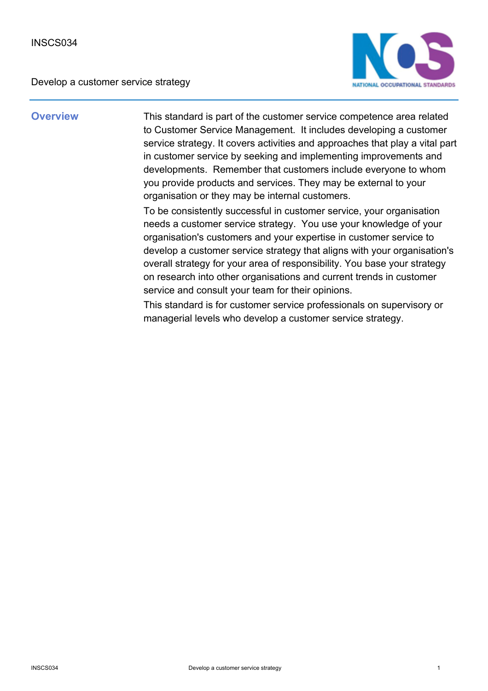

**Overview** This standard is part of the customer service competence area related to Customer Service Management. It includes developing a customer service strategy. It covers activities and approaches that play a vital part in customer service by seeking and implementing improvements and developments. Remember that customers include everyone to whom you provide products and services. They may be external to your organisation or they may be internal customers.

> To be consistently successful in customer service, your organisation needs a customer service strategy. You use your knowledge of your organisation's customers and your expertise in customer service to develop a customer service strategy that aligns with your organisation's overall strategy for your area of responsibility. You base your strategy on research into other organisations and current trends in customer service and consult your team for their opinions.

This standard is for customer service professionals on supervisory or managerial levels who develop a customer service strategy.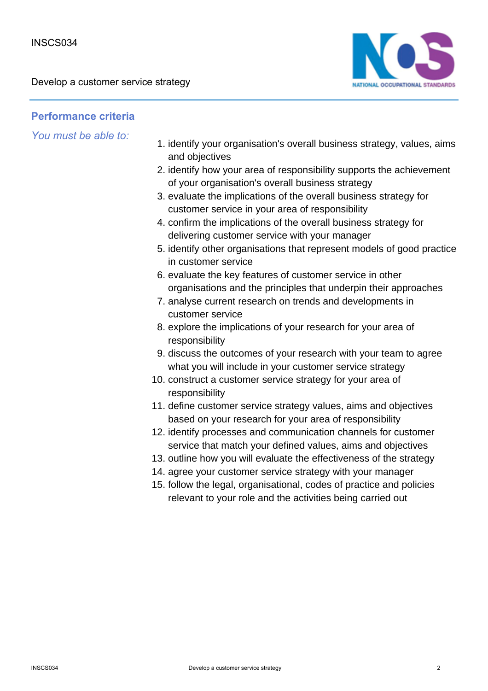

## **Performance criteria**

- 1. identify your organisation's overall business strategy, values, aims and objectives
- 2. identify how your area of responsibility supports the achievement of your organisation's overall business strategy
- 3. evaluate the implications of the overall business strategy for customer service in your area of responsibility
- 4. confirm the implications of the overall business strategy for delivering customer service with your manager
- 5. identify other organisations that represent models of good practice in customer service
- 6. evaluate the key features of customer service in other organisations and the principles that underpin their approaches
- 7. analyse current research on trends and developments in customer service
- 8. explore the implications of your research for your area of responsibility
- 9. discuss the outcomes of your research with your team to agree what you will include in your customer service strategy
- 10. construct a customer service strategy for your area of responsibility
- 11. define customer service strategy values, aims and objectives based on your research for your area of responsibility
- 12. identify processes and communication channels for customer service that match your defined values, aims and objectives
- 13. outline how you will evaluate the effectiveness of the strategy
- 14. agree your customer service strategy with your manager
- 15. follow the legal, organisational, codes of practice and policies relevant to your role and the activities being carried out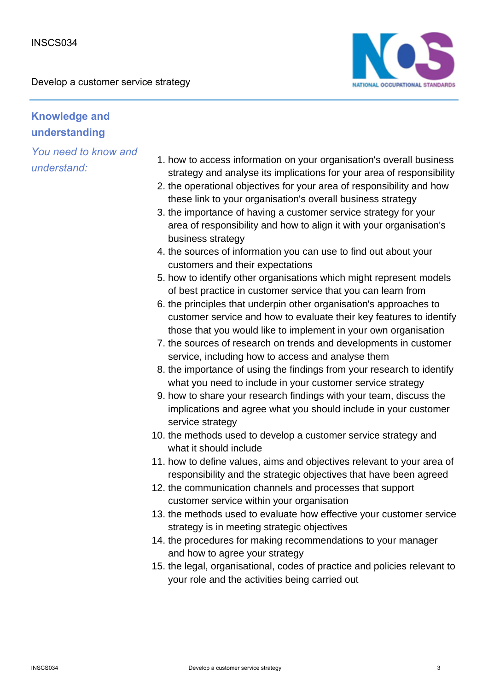

# **Knowledge and understanding**

- 1. how to access information on your organisation's overall business strategy and analyse its implications for your area of responsibility
- 2. the operational objectives for your area of responsibility and how these link to your organisation's overall business strategy
- 3. the importance of having a customer service strategy for your area of responsibility and how to align it with your organisation's business strategy
- 4. the sources of information you can use to find out about your customers and their expectations
- 5. how to identify other organisations which might represent models of best practice in customer service that you can learn from
- 6. the principles that underpin other organisation's approaches to customer service and how to evaluate their key features to identify those that you would like to implement in your own organisation
- 7. the sources of research on trends and developments in customer service, including how to access and analyse them
- 8. the importance of using the findings from your research to identify what you need to include in your customer service strategy
- 9. how to share your research findings with your team, discuss the implications and agree what you should include in your customer service strategy
- 10. the methods used to develop a customer service strategy and what it should include
- 11. how to define values, aims and objectives relevant to your area of responsibility and the strategic objectives that have been agreed
- 12. the communication channels and processes that support customer service within your organisation
- 13. the methods used to evaluate how effective your customer service strategy is in meeting strategic objectives
- 14. the procedures for making recommendations to your manager and how to agree your strategy
- 15. the legal, organisational, codes of practice and policies relevant to your role and the activities being carried out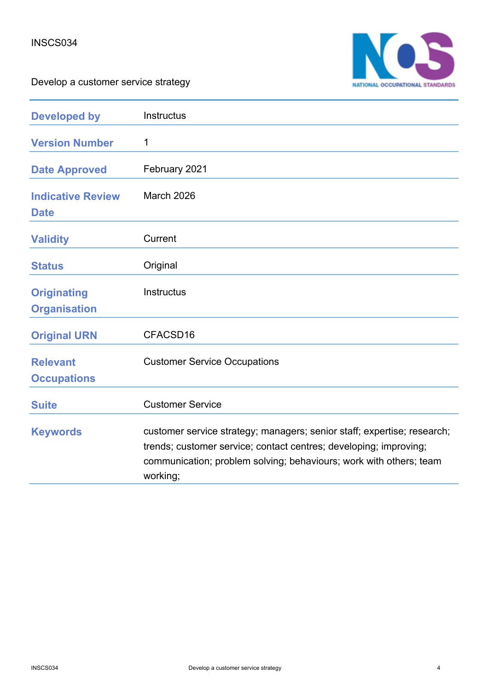

| <b>Developed by</b>                       | Instructus                                                                                                                                                                                                                     |
|-------------------------------------------|--------------------------------------------------------------------------------------------------------------------------------------------------------------------------------------------------------------------------------|
| <b>Version Number</b>                     | 1                                                                                                                                                                                                                              |
| <b>Date Approved</b>                      | February 2021                                                                                                                                                                                                                  |
| <b>Indicative Review</b><br><b>Date</b>   | March 2026                                                                                                                                                                                                                     |
| <b>Validity</b>                           | Current                                                                                                                                                                                                                        |
| <b>Status</b>                             | Original                                                                                                                                                                                                                       |
| <b>Originating</b><br><b>Organisation</b> | <b>Instructus</b>                                                                                                                                                                                                              |
| <b>Original URN</b>                       | CFACSD16                                                                                                                                                                                                                       |
| <b>Relevant</b><br><b>Occupations</b>     | <b>Customer Service Occupations</b>                                                                                                                                                                                            |
| <b>Suite</b>                              | <b>Customer Service</b>                                                                                                                                                                                                        |
| <b>Keywords</b>                           | customer service strategy; managers; senior staff; expertise; research;<br>trends; customer service; contact centres; developing; improving;<br>communication; problem solving; behaviours; work with others; team<br>working; |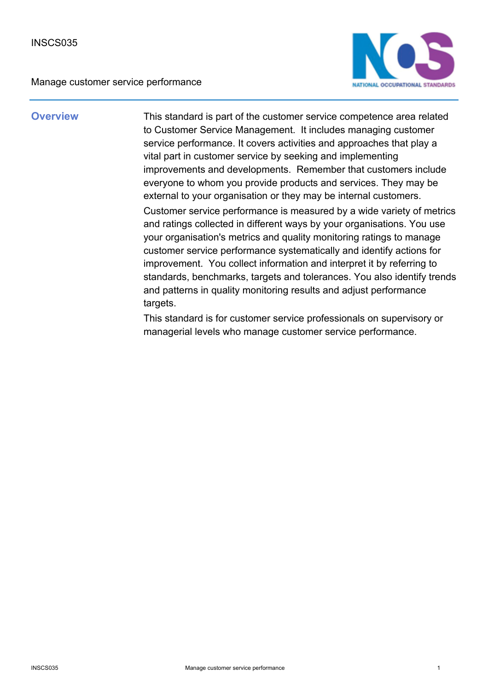

**Overview** This standard is part of the customer service competence area related to Customer Service Management. It includes managing customer service performance. It covers activities and approaches that play a vital part in customer service by seeking and implementing improvements and developments. Remember that customers include everyone to whom you provide products and services. They may be external to your organisation or they may be internal customers. Customer service performance is measured by a wide variety of metrics and ratings collected in different ways by your organisations. You use your organisation's metrics and quality monitoring ratings to manage customer service performance systematically and identify actions for improvement. You collect information and interpret it by referring to standards, benchmarks, targets and tolerances. You also identify trends and patterns in quality monitoring results and adjust performance targets.

> This standard is for customer service professionals on supervisory or managerial levels who manage customer service performance.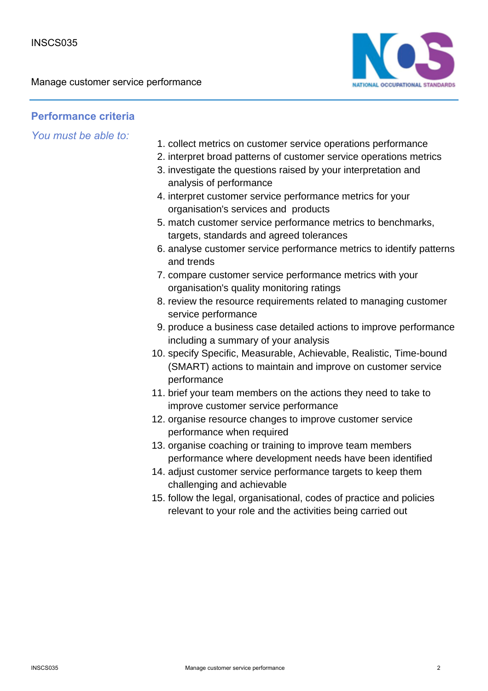

## **Performance criteria**

- 1. collect metrics on customer service operations performance
- 2. interpret broad patterns of customer service operations metrics
- 3. investigate the questions raised by your interpretation and analysis of performance
- 4. interpret customer service performance metrics for your organisation's services and products
- 5. match customer service performance metrics to benchmarks, targets, standards and agreed tolerances
- 6. analyse customer service performance metrics to identify patterns and trends
- 7. compare customer service performance metrics with your organisation's quality monitoring ratings
- 8. review the resource requirements related to managing customer service performance
- 9. produce a business case detailed actions to improve performance including a summary of your analysis
- 10. specify Specific, Measurable, Achievable, Realistic, Time-bound (SMART) actions to maintain and improve on customer service performance
- 11. brief your team members on the actions they need to take to improve customer service performance
- 12. organise resource changes to improve customer service performance when required
- 13. organise coaching or training to improve team members performance where development needs have been identified
- 14. adjust customer service performance targets to keep them challenging and achievable
- 15. follow the legal, organisational, codes of practice and policies relevant to your role and the activities being carried out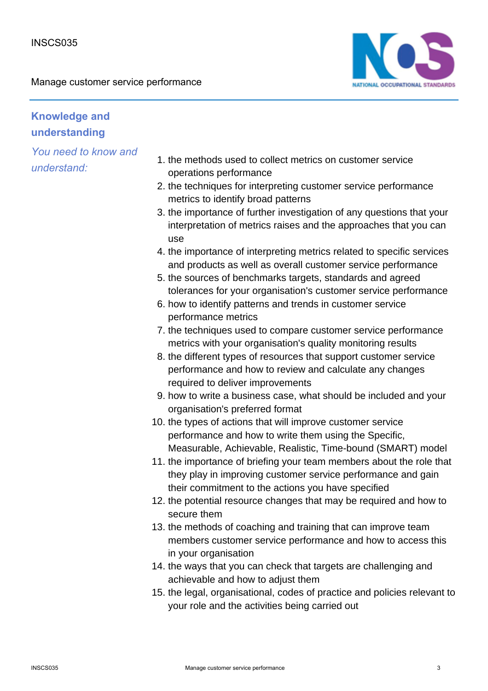

# **Knowledge and understanding**

- 1. the methods used to collect metrics on customer service operations performance
- 2. the techniques for interpreting customer service performance metrics to identify broad patterns
- 3. the importance of further investigation of any questions that your interpretation of metrics raises and the approaches that you can use
- 4. the importance of interpreting metrics related to specific services and products as well as overall customer service performance
- 5. the sources of benchmarks targets, standards and agreed tolerances for your organisation's customer service performance
- 6. how to identify patterns and trends in customer service performance metrics
- 7. the techniques used to compare customer service performance metrics with your organisation's quality monitoring results
- 8. the different types of resources that support customer service performance and how to review and calculate any changes required to deliver improvements
- 9. how to write a business case, what should be included and your organisation's preferred format
- 10. the types of actions that will improve customer service performance and how to write them using the Specific, Measurable, Achievable, Realistic, Time-bound (SMART) model
- 11. the importance of briefing your team members about the role that they play in improving customer service performance and gain their commitment to the actions you have specified
- 12. the potential resource changes that may be required and how to secure them
- 13. the methods of coaching and training that can improve team members customer service performance and how to access this in your organisation
- 14. the ways that you can check that targets are challenging and achievable and how to adjust them
- 15. the legal, organisational, codes of practice and policies relevant to your role and the activities being carried out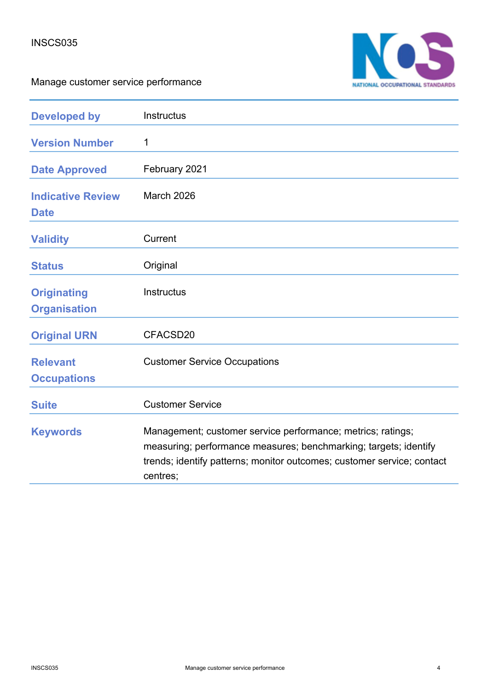

| <b>Developed by</b>                       | Instructus                                                                                                                                                                                                            |
|-------------------------------------------|-----------------------------------------------------------------------------------------------------------------------------------------------------------------------------------------------------------------------|
| <b>Version Number</b>                     | 1                                                                                                                                                                                                                     |
| <b>Date Approved</b>                      | February 2021                                                                                                                                                                                                         |
| <b>Indicative Review</b><br><b>Date</b>   | March 2026                                                                                                                                                                                                            |
| <b>Validity</b>                           | Current                                                                                                                                                                                                               |
| <b>Status</b>                             | Original                                                                                                                                                                                                              |
| <b>Originating</b><br><b>Organisation</b> | <b>Instructus</b>                                                                                                                                                                                                     |
| <b>Original URN</b>                       | CFACSD20                                                                                                                                                                                                              |
| <b>Relevant</b><br><b>Occupations</b>     | <b>Customer Service Occupations</b>                                                                                                                                                                                   |
| <b>Suite</b>                              | <b>Customer Service</b>                                                                                                                                                                                               |
| <b>Keywords</b>                           | Management; customer service performance; metrics; ratings;<br>measuring; performance measures; benchmarking; targets; identify<br>trends; identify patterns; monitor outcomes; customer service; contact<br>centres; |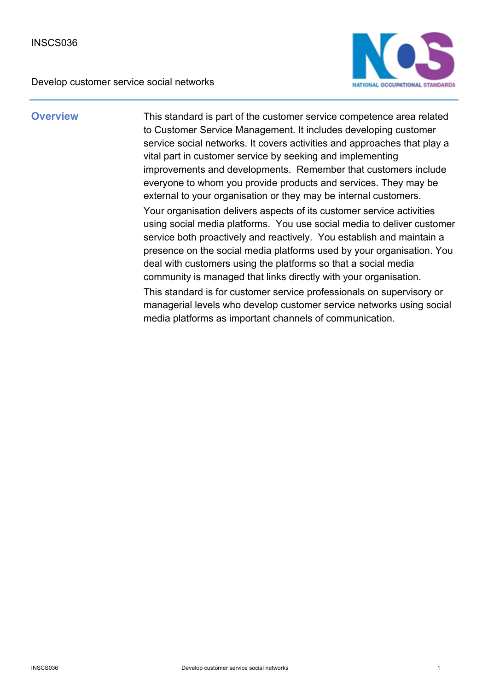

**Overview** This standard is part of the customer service competence area related to Customer Service Management. It includes developing customer service social networks. It covers activities and approaches that play a vital part in customer service by seeking and implementing improvements and developments. Remember that customers include everyone to whom you provide products and services. They may be external to your organisation or they may be internal customers. Your organisation delivers aspects of its customer service activities using social media platforms. You use social media to deliver customer service both proactively and reactively. You establish and maintain a presence on the social media platforms used by your organisation. You deal with customers using the platforms so that a social media community is managed that links directly with your organisation. This standard is for customer service professionals on supervisory or managerial levels who develop customer service networks using social media platforms as important channels of communication.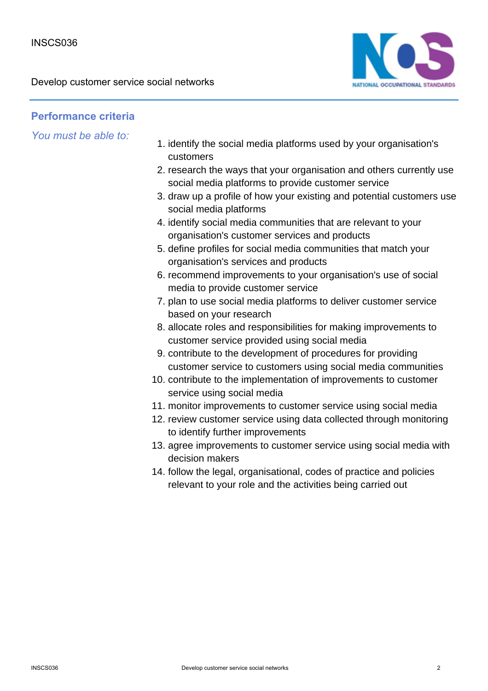

## **Performance criteria**

- 1. identify the social media platforms used by your organisation's customers
- 2. research the ways that your organisation and others currently use social media platforms to provide customer service
- 3. draw up a profile of how your existing and potential customers use social media platforms
- 4. identify social media communities that are relevant to your organisation's customer services and products
- 5. define profiles for social media communities that match your organisation's services and products
- 6. recommend improvements to your organisation's use of social media to provide customer service
- 7. plan to use social media platforms to deliver customer service based on your research
- 8. allocate roles and responsibilities for making improvements to customer service provided using social media
- 9. contribute to the development of procedures for providing customer service to customers using social media communities
- 10. contribute to the implementation of improvements to customer service using social media
- 11. monitor improvements to customer service using social media
- 12. review customer service using data collected through monitoring to identify further improvements
- 13. agree improvements to customer service using social media with decision makers
- 14. follow the legal, organisational, codes of practice and policies relevant to your role and the activities being carried out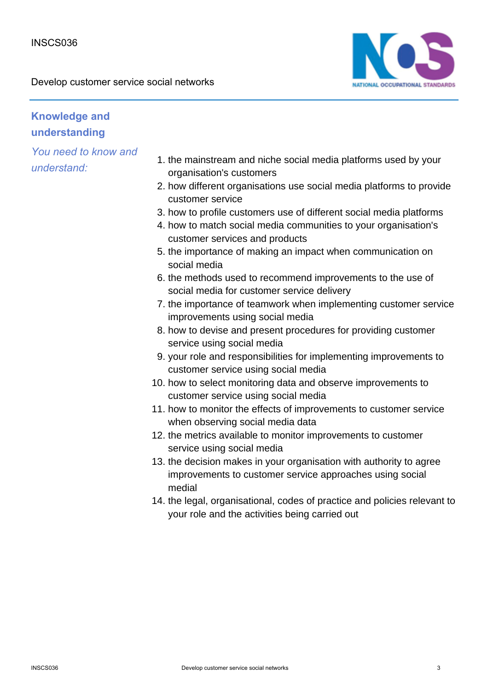

# **Knowledge and understanding**

- 1. the mainstream and niche social media platforms used by your organisation's customers
- 2. how different organisations use social media platforms to provide customer service
- 3. how to profile customers use of different social media platforms
- 4. how to match social media communities to your organisation's customer services and products
- 5. the importance of making an impact when communication on social media
- 6. the methods used to recommend improvements to the use of social media for customer service delivery
- 7. the importance of teamwork when implementing customer service improvements using social media
- 8. how to devise and present procedures for providing customer service using social media
- 9. your role and responsibilities for implementing improvements to customer service using social media
- 10. how to select monitoring data and observe improvements to customer service using social media
- 11. how to monitor the effects of improvements to customer service when observing social media data
- 12. the metrics available to monitor improvements to customer service using social media
- 13. the decision makes in your organisation with authority to agree improvements to customer service approaches using social medial
- 14. the legal, organisational, codes of practice and policies relevant to your role and the activities being carried out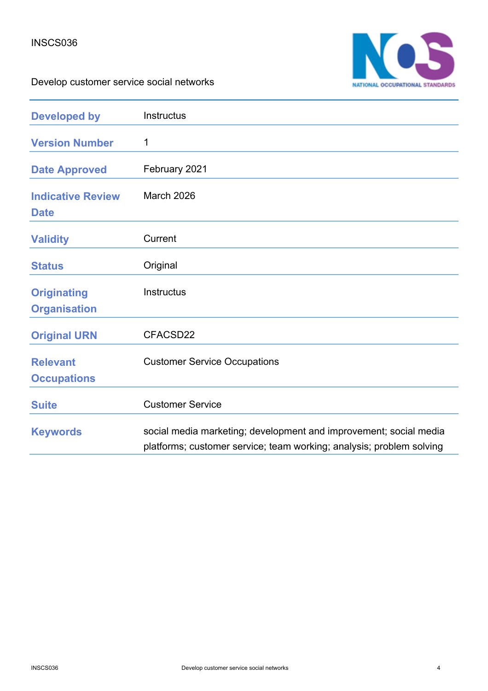

| <b>Developed by</b>                       | Instructus                                                                                                                                |
|-------------------------------------------|-------------------------------------------------------------------------------------------------------------------------------------------|
| <b>Version Number</b>                     | 1                                                                                                                                         |
| <b>Date Approved</b>                      | February 2021                                                                                                                             |
| <b>Indicative Review</b><br><b>Date</b>   | <b>March 2026</b>                                                                                                                         |
| <b>Validity</b>                           | Current                                                                                                                                   |
| <b>Status</b>                             | Original                                                                                                                                  |
| <b>Originating</b><br><b>Organisation</b> | <b>Instructus</b>                                                                                                                         |
| <b>Original URN</b>                       | CFACSD22                                                                                                                                  |
| <b>Relevant</b><br><b>Occupations</b>     | <b>Customer Service Occupations</b>                                                                                                       |
| <b>Suite</b>                              | <b>Customer Service</b>                                                                                                                   |
| <b>Keywords</b>                           | social media marketing; development and improvement; social media<br>platforms; customer service; team working; analysis; problem solving |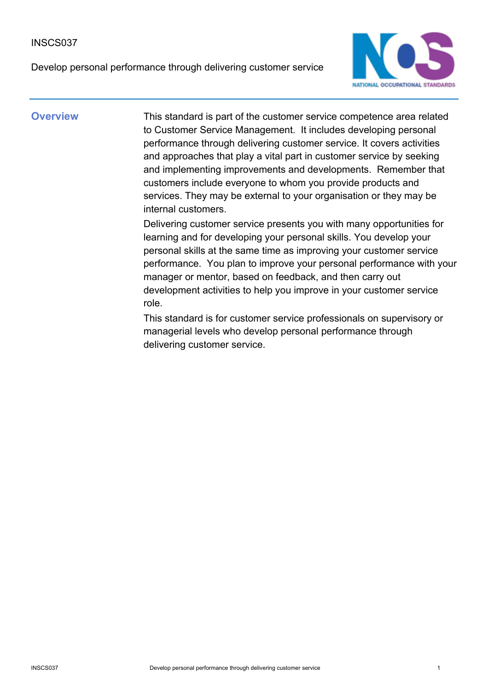Develop personal performance through delivering customer service



**Overview** This standard is part of the customer service competence area related to Customer Service Management. It includes developing personal performance through delivering customer service. It covers activities and approaches that play a vital part in customer service by seeking and implementing improvements and developments. Remember that customers include everyone to whom you provide products and services. They may be external to your organisation or they may be internal customers.

> Delivering customer service presents you with many opportunities for learning and for developing your personal skills. You develop your personal skills at the same time as improving your customer service performance. You plan to improve your personal performance with your manager or mentor, based on feedback, and then carry out development activities to help you improve in your customer service role.

This standard is for customer service professionals on supervisory or managerial levels who develop personal performance through delivering customer service.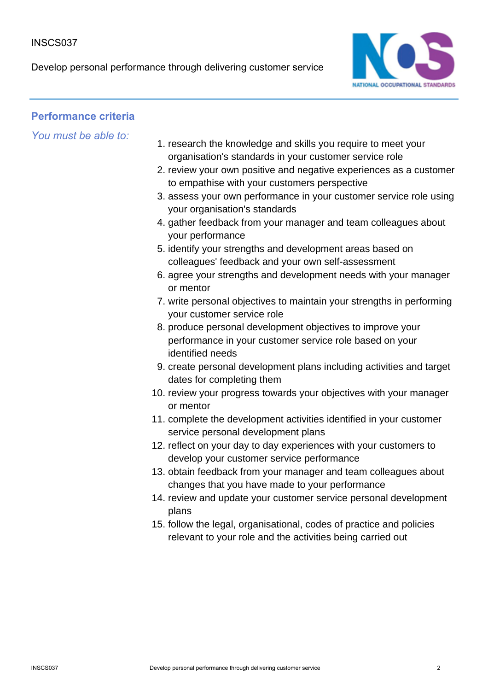Develop personal performance through delivering customer service



## **Performance criteria**

- 1. research the knowledge and skills you require to meet your organisation's standards in your customer service role
- 2. review your own positive and negative experiences as a customer to empathise with your customers perspective
- 3. assess your own performance in your customer service role using your organisation's standards
- 4. gather feedback from your manager and team colleagues about your performance
- 5. identify your strengths and development areas based on colleagues' feedback and your own self-assessment
- 6. agree your strengths and development needs with your manager or mentor
- 7. write personal objectives to maintain your strengths in performing your customer service role
- 8. produce personal development objectives to improve your performance in your customer service role based on your identified needs
- 9. create personal development plans including activities and target dates for completing them
- 10. review your progress towards your objectives with your manager or mentor
- 11. complete the development activities identified in your customer service personal development plans
- 12. reflect on your day to day experiences with your customers to develop your customer service performance
- 13. obtain feedback from your manager and team colleagues about changes that you have made to your performance
- 14. review and update your customer service personal development plans
- 15. follow the legal, organisational, codes of practice and policies relevant to your role and the activities being carried out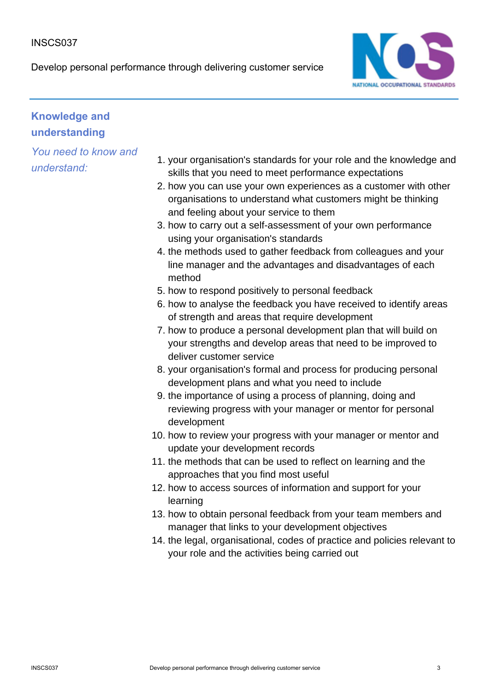Develop personal performance through delivering customer service



## **Knowledge and understanding**

- 1. your organisation's standards for your role and the knowledge and skills that you need to meet performance expectations
- 2. how you can use your own experiences as a customer with other organisations to understand what customers might be thinking and feeling about your service to them
- 3. how to carry out a self-assessment of your own performance using your organisation's standards
- 4. the methods used to gather feedback from colleagues and your line manager and the advantages and disadvantages of each method
- 5. how to respond positively to personal feedback
- 6. how to analyse the feedback you have received to identify areas of strength and areas that require development
- 7. how to produce a personal development plan that will build on your strengths and develop areas that need to be improved to deliver customer service
- 8. your organisation's formal and process for producing personal development plans and what you need to include
- 9. the importance of using a process of planning, doing and reviewing progress with your manager or mentor for personal development
- 10. how to review your progress with your manager or mentor and update your development records
- 11. the methods that can be used to reflect on learning and the approaches that you find most useful
- 12. how to access sources of information and support for your learning
- 13. how to obtain personal feedback from your team members and manager that links to your development objectives
- 14. the legal, organisational, codes of practice and policies relevant to your role and the activities being carried out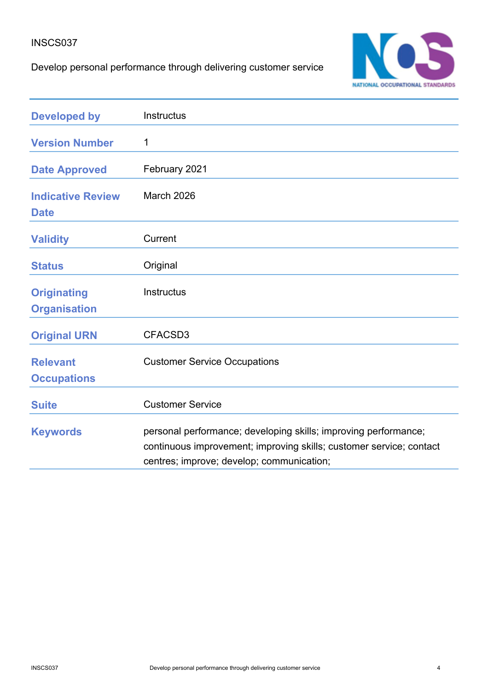## Develop personal performance through delivering customer service



| <b>Developed by</b>                       | Instructus                                                                                                                                                                          |
|-------------------------------------------|-------------------------------------------------------------------------------------------------------------------------------------------------------------------------------------|
| <b>Version Number</b>                     | 1                                                                                                                                                                                   |
| <b>Date Approved</b>                      | February 2021                                                                                                                                                                       |
| <b>Indicative Review</b><br><b>Date</b>   | March 2026                                                                                                                                                                          |
| <b>Validity</b>                           | Current                                                                                                                                                                             |
| <b>Status</b>                             | Original                                                                                                                                                                            |
| <b>Originating</b><br><b>Organisation</b> | Instructus                                                                                                                                                                          |
| <b>Original URN</b>                       | CFACSD3                                                                                                                                                                             |
| <b>Relevant</b><br><b>Occupations</b>     | <b>Customer Service Occupations</b>                                                                                                                                                 |
| <b>Suite</b>                              | <b>Customer Service</b>                                                                                                                                                             |
| <b>Keywords</b>                           | personal performance; developing skills; improving performance;<br>continuous improvement; improving skills; customer service; contact<br>centres; improve; develop; communication; |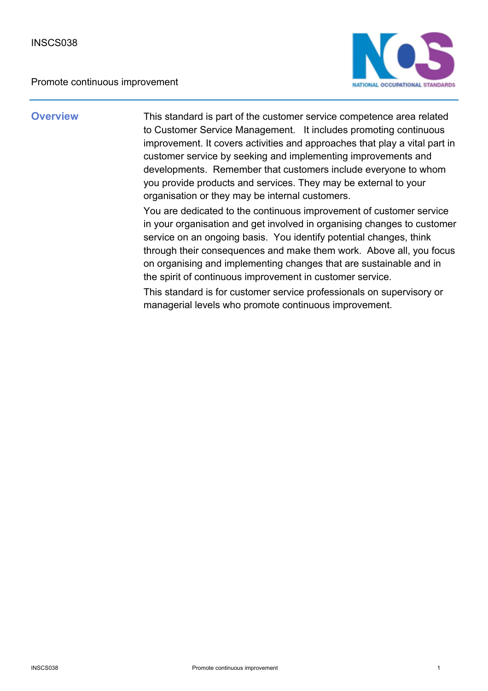Promote continuous improvement



**Overview** This standard is part of the customer service competence area related to Customer Service Management. It includes promoting continuous improvement. It covers activities and approaches that play a vital part in customer service by seeking and implementing improvements and developments. Remember that customers include everyone to whom you provide products and services. They may be external to your organisation or they may be internal customers.

> You are dedicated to the continuous improvement of customer service in your organisation and get involved in organising changes to customer service on an ongoing basis. You identify potential changes, think through their consequences and make them work. Above all, you focus on organising and implementing changes that are sustainable and in the spirit of continuous improvement in customer service.

This standard is for customer service professionals on supervisory or managerial levels who promote continuous improvement.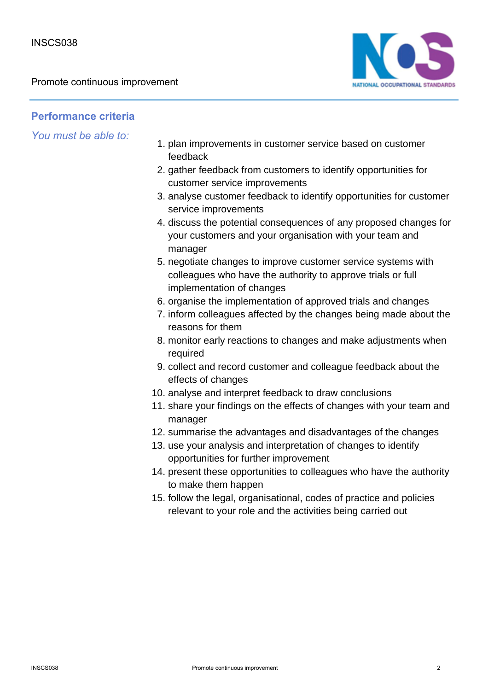Promote continuous improvement



## **Performance criteria**

- 1. plan improvements in customer service based on customer feedback
- 2. gather feedback from customers to identify opportunities for customer service improvements
- 3. analyse customer feedback to identify opportunities for customer service improvements
- 4. discuss the potential consequences of any proposed changes for your customers and your organisation with your team and manager
- 5. negotiate changes to improve customer service systems with colleagues who have the authority to approve trials or full implementation of changes
- 6. organise the implementation of approved trials and changes
- 7. inform colleagues affected by the changes being made about the reasons for them
- 8. monitor early reactions to changes and make adjustments when required
- 9. collect and record customer and colleague feedback about the effects of changes
- 10. analyse and interpret feedback to draw conclusions
- 11. share your findings on the effects of changes with your team and manager
- 12. summarise the advantages and disadvantages of the changes
- 13. use your analysis and interpretation of changes to identify opportunities for further improvement
- 14. present these opportunities to colleagues who have the authority to make them happen
- 15. follow the legal, organisational, codes of practice and policies relevant to your role and the activities being carried out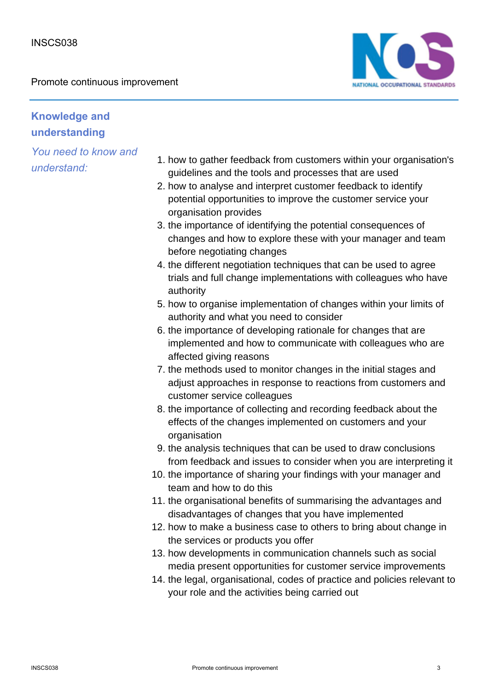Promote continuous improvement



# **Knowledge and understanding**

- 1. how to gather feedback from customers within your organisation's guidelines and the tools and processes that are used
- 2. how to analyse and interpret customer feedback to identify potential opportunities to improve the customer service your organisation provides
- 3. the importance of identifying the potential consequences of changes and how to explore these with your manager and team before negotiating changes
- 4. the different negotiation techniques that can be used to agree trials and full change implementations with colleagues who have authority
- 5. how to organise implementation of changes within your limits of authority and what you need to consider
- 6. the importance of developing rationale for changes that are implemented and how to communicate with colleagues who are affected giving reasons
- 7. the methods used to monitor changes in the initial stages and adjust approaches in response to reactions from customers and customer service colleagues
- 8. the importance of collecting and recording feedback about the effects of the changes implemented on customers and your organisation
- 9. the analysis techniques that can be used to draw conclusions from feedback and issues to consider when you are interpreting it
- 10. the importance of sharing your findings with your manager and team and how to do this
- 11. the organisational benefits of summarising the advantages and disadvantages of changes that you have implemented
- 12. how to make a business case to others to bring about change in the services or products you offer
- 13. how developments in communication channels such as social media present opportunities for customer service improvements
- 14. the legal, organisational, codes of practice and policies relevant to your role and the activities being carried out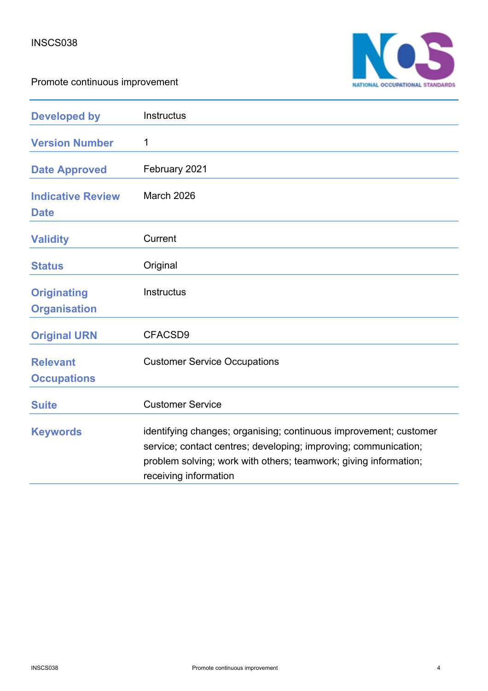



| <b>Developed by</b>                       | Instructus                                                                                                                                                                                                                        |
|-------------------------------------------|-----------------------------------------------------------------------------------------------------------------------------------------------------------------------------------------------------------------------------------|
| <b>Version Number</b>                     | 1                                                                                                                                                                                                                                 |
| <b>Date Approved</b>                      | February 2021                                                                                                                                                                                                                     |
| <b>Indicative Review</b><br><b>Date</b>   | March 2026                                                                                                                                                                                                                        |
| <b>Validity</b>                           | Current                                                                                                                                                                                                                           |
| <b>Status</b>                             | Original                                                                                                                                                                                                                          |
| <b>Originating</b><br><b>Organisation</b> | <b>Instructus</b>                                                                                                                                                                                                                 |
| <b>Original URN</b>                       | CFACSD9                                                                                                                                                                                                                           |
| <b>Relevant</b><br><b>Occupations</b>     | <b>Customer Service Occupations</b>                                                                                                                                                                                               |
| <b>Suite</b>                              | <b>Customer Service</b>                                                                                                                                                                                                           |
| <b>Keywords</b>                           | identifying changes; organising; continuous improvement; customer<br>service; contact centres; developing; improving; communication;<br>problem solving; work with others; teamwork; giving information;<br>receiving information |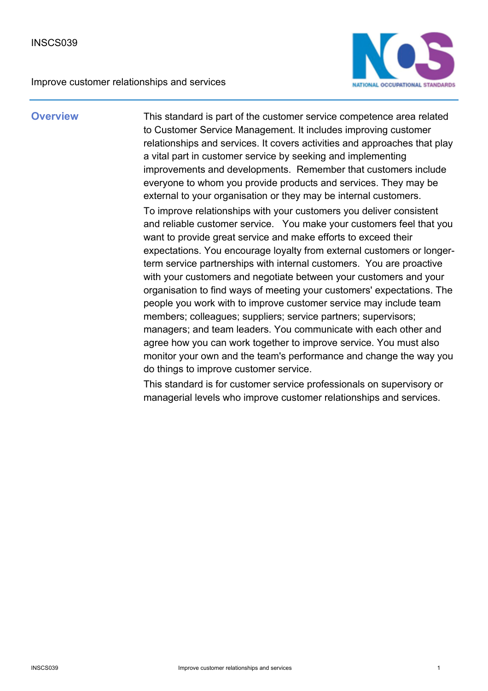Improve customer relationships and services



**Overview** This standard is part of the customer service competence area related to Customer Service Management. It includes improving customer relationships and services. It covers activities and approaches that play a vital part in customer service by seeking and implementing improvements and developments. Remember that customers include everyone to whom you provide products and services. They may be external to your organisation or they may be internal customers. To improve relationships with your customers you deliver consistent and reliable customer service. You make your customers feel that you want to provide great service and make efforts to exceed their expectations. You encourage loyalty from external customers or longerterm service partnerships with internal customers. You are proactive with your customers and negotiate between your customers and your organisation to find ways of meeting your customers' expectations. The people you work with to improve customer service may include team members; colleagues; suppliers; service partners; supervisors; managers; and team leaders. You communicate with each other and agree how you can work together to improve service. You must also monitor your own and the team's performance and change the way you do things to improve customer service.

> This standard is for customer service professionals on supervisory or managerial levels who improve customer relationships and services.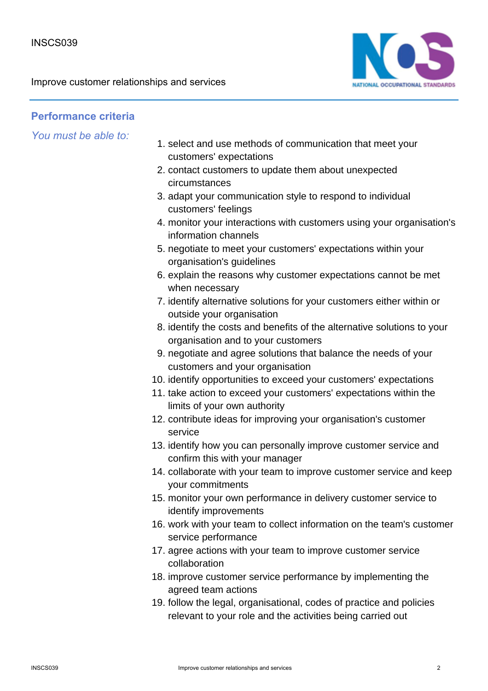

### **Performance criteria**

- 1. select and use methods of communication that meet your customers' expectations
- 2. contact customers to update them about unexpected circumstances
- 3. adapt your communication style to respond to individual customers' feelings
- monitor your interactions with customers using your organisation's 4. information channels
- 5. negotiate to meet your customers' expectations within your organisation's guidelines
- 6. explain the reasons why customer expectations cannot be met when necessary
- 7. identify alternative solutions for your customers either within or outside your organisation
- 8. identify the costs and benefits of the alternative solutions to your organisation and to your customers
- 9. negotiate and agree solutions that balance the needs of your customers and your organisation
- 10. identify opportunities to exceed your customers' expectations
- 11. take action to exceed your customers' expectations within the limits of your own authority
- 12. contribute ideas for improving your organisation's customer service
- 13. identify how you can personally improve customer service and confirm this with your manager
- 14. collaborate with your team to improve customer service and keep your commitments
- 15. monitor your own performance in delivery customer service to identify improvements
- 16. work with your team to collect information on the team's customer service performance
- 17. agree actions with your team to improve customer service collaboration
- 18. improve customer service performance by implementing the agreed team actions
- 19. follow the legal, organisational, codes of practice and policies relevant to your role and the activities being carried out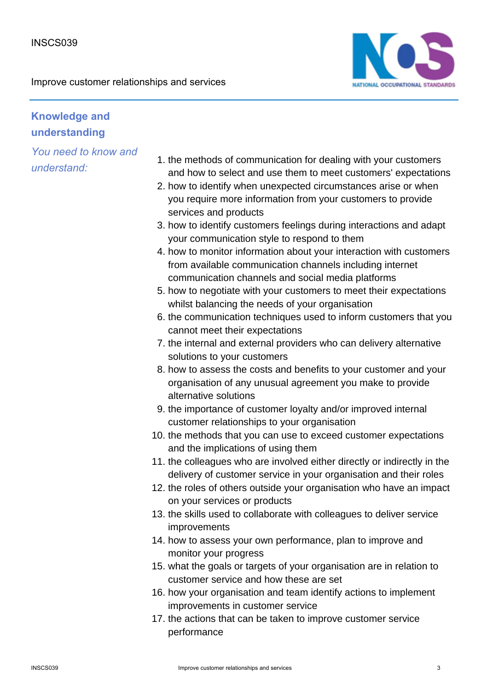

# **Knowledge and understanding**

- 1. the methods of communication for dealing with your customers and how to select and use them to meet customers' expectations
- 2. how to identify when unexpected circumstances arise or when you require more information from your customers to provide services and products
- 3. how to identify customers feelings during interactions and adapt your communication style to respond to them
- 4. how to monitor information about your interaction with customers from available communication channels including internet communication channels and social media platforms
- 5. how to negotiate with your customers to meet their expectations whilst balancing the needs of your organisation
- 6. the communication techniques used to inform customers that you cannot meet their expectations
- 7. the internal and external providers who can delivery alternative solutions to your customers
- 8. how to assess the costs and benefits to your customer and your organisation of any unusual agreement you make to provide alternative solutions
- 9. the importance of customer loyalty and/or improved internal customer relationships to your organisation
- 10. the methods that you can use to exceed customer expectations and the implications of using them
- 11. the colleagues who are involved either directly or indirectly in the delivery of customer service in your organisation and their roles
- 12. the roles of others outside your organisation who have an impact on your services or products
- 13. the skills used to collaborate with colleagues to deliver service improvements
- 14. how to assess your own performance, plan to improve and monitor your progress
- 15. what the goals or targets of your organisation are in relation to customer service and how these are set
- 16. how your organisation and team identify actions to implement improvements in customer service
- 17. the actions that can be taken to improve customer service performance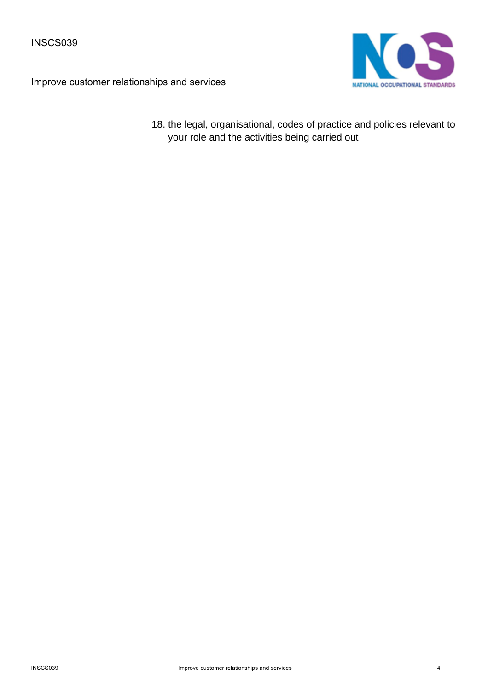



18. the legal, organisational, codes of practice and policies relevant to your role and the activities being carried out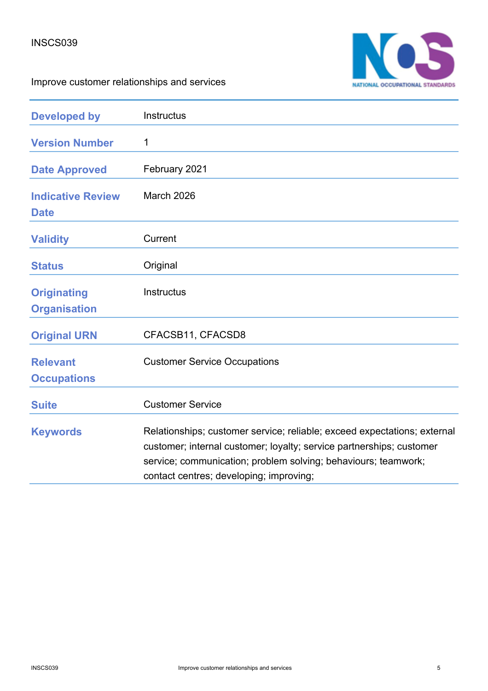

Improve customer relationships and services

| <b>Developed by</b>                       | Instructus                                                                                                                                                                                                                                                    |
|-------------------------------------------|---------------------------------------------------------------------------------------------------------------------------------------------------------------------------------------------------------------------------------------------------------------|
| <b>Version Number</b>                     | 1                                                                                                                                                                                                                                                             |
| <b>Date Approved</b>                      | February 2021                                                                                                                                                                                                                                                 |
| <b>Indicative Review</b><br><b>Date</b>   | March 2026                                                                                                                                                                                                                                                    |
| <b>Validity</b>                           | Current                                                                                                                                                                                                                                                       |
| <b>Status</b>                             | Original                                                                                                                                                                                                                                                      |
| <b>Originating</b><br><b>Organisation</b> | Instructus                                                                                                                                                                                                                                                    |
| <b>Original URN</b>                       | CFACSB11, CFACSD8                                                                                                                                                                                                                                             |
| <b>Relevant</b><br><b>Occupations</b>     | <b>Customer Service Occupations</b>                                                                                                                                                                                                                           |
| <b>Suite</b>                              | <b>Customer Service</b>                                                                                                                                                                                                                                       |
| <b>Keywords</b>                           | Relationships; customer service; reliable; exceed expectations; external<br>customer; internal customer; loyalty; service partnerships; customer<br>service; communication; problem solving; behaviours; teamwork;<br>contact centres; developing; improving; |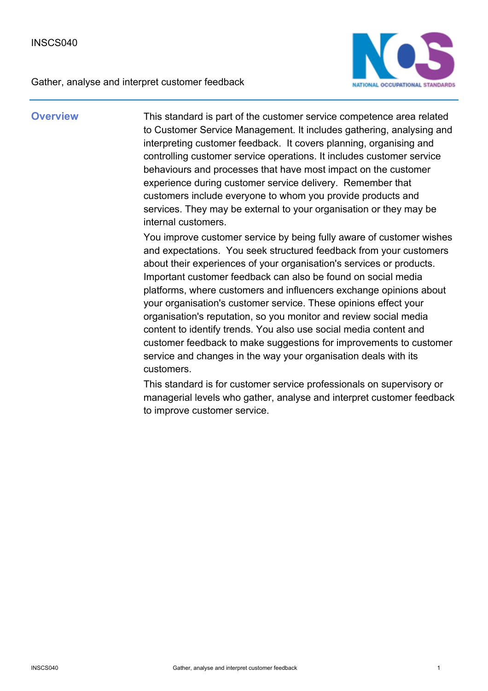Gather, analyse and interpret customer feedback



**Overview** This standard is part of the customer service competence area related to Customer Service Management. It includes gathering, analysing and interpreting customer feedback. It covers planning, organising and controlling customer service operations. It includes customer service behaviours and processes that have most impact on the customer experience during customer service delivery. Remember that customers include everyone to whom you provide products and services. They may be external to your organisation or they may be internal customers.

> You improve customer service by being fully aware of customer wishes and expectations. You seek structured feedback from your customers about their experiences of your organisation's services or products. Important customer feedback can also be found on social media platforms, where customers and influencers exchange opinions about your organisation's customer service. These opinions effect your organisation's reputation, so you monitor and review social media content to identify trends. You also use social media content and customer feedback to make suggestions for improvements to customer service and changes in the way your organisation deals with its customers.

> This standard is for customer service professionals on supervisory or managerial levels who gather, analyse and interpret customer feedback to improve customer service.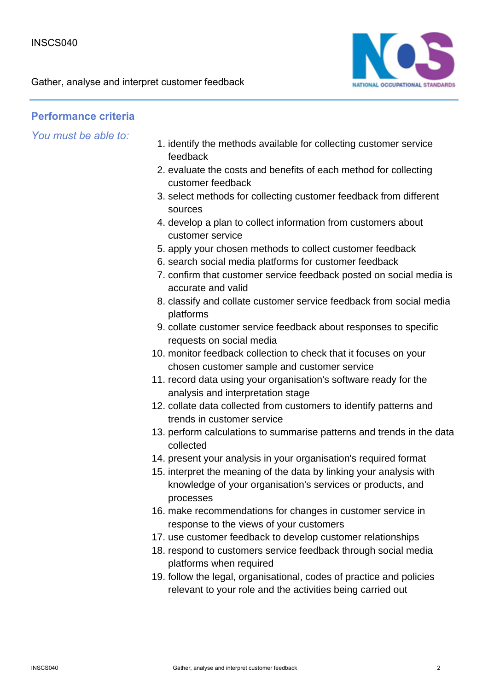Gather, analyse and interpret customer feedback



### **Performance criteria**

- 1. identify the methods available for collecting customer service feedback
- 2. evaluate the costs and benefits of each method for collecting customer feedback
- 3. select methods for collecting customer feedback from different sources
- 4. develop a plan to collect information from customers about customer service
- 5. apply your chosen methods to collect customer feedback
- 6. search social media platforms for customer feedback
- 7. confirm that customer service feedback posted on social media is accurate and valid
- 8. classify and collate customer service feedback from social media platforms
- 9. collate customer service feedback about responses to specific requests on social media
- 10. monitor feedback collection to check that it focuses on your chosen customer sample and customer service
- 11. record data using your organisation's software ready for the analysis and interpretation stage
- 12. collate data collected from customers to identify patterns and trends in customer service
- 13. perform calculations to summarise patterns and trends in the data collected
- 14. present your analysis in your organisation's required format
- 15. interpret the meaning of the data by linking your analysis with knowledge of your organisation's services or products, and processes
- 16. make recommendations for changes in customer service in response to the views of your customers
- 17. use customer feedback to develop customer relationships
- 18. respond to customers service feedback through social media platforms when required
- 19. follow the legal, organisational, codes of practice and policies relevant to your role and the activities being carried out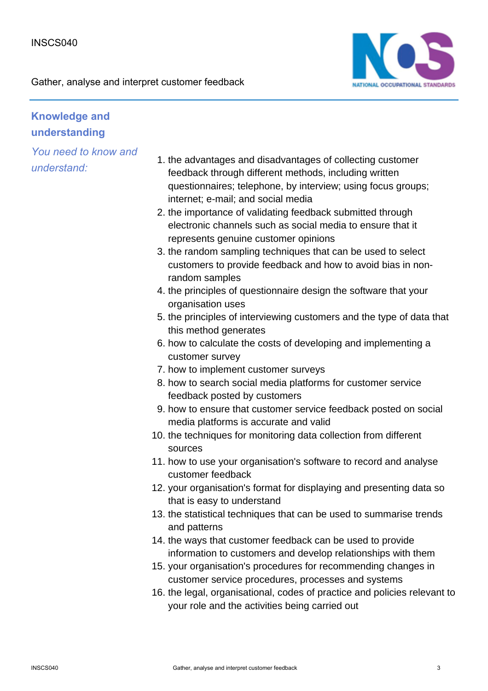Gather, analyse and interpret customer feedback



# **Knowledge and understanding**

- 1. the advantages and disadvantages of collecting customer feedback through different methods, including written questionnaires; telephone, by interview; using focus groups; internet; e-mail; and social media
- 2. the importance of validating feedback submitted through electronic channels such as social media to ensure that it represents genuine customer opinions
- 3. the random sampling techniques that can be used to select customers to provide feedback and how to avoid bias in nonrandom samples
- 4. the principles of questionnaire design the software that your organisation uses
- 5. the principles of interviewing customers and the type of data that this method generates
- 6. how to calculate the costs of developing and implementing a customer survey
- 7. how to implement customer surveys
- 8. how to search social media platforms for customer service feedback posted by customers
- 9. how to ensure that customer service feedback posted on social media platforms is accurate and valid
- 10. the techniques for monitoring data collection from different sources
- 11. how to use your organisation's software to record and analyse customer feedback
- 12. your organisation's format for displaying and presenting data so that is easy to understand
- 13. the statistical techniques that can be used to summarise trends and patterns
- 14. the ways that customer feedback can be used to provide information to customers and develop relationships with them
- 15. your organisation's procedures for recommending changes in customer service procedures, processes and systems
- 16. the legal, organisational, codes of practice and policies relevant to your role and the activities being carried out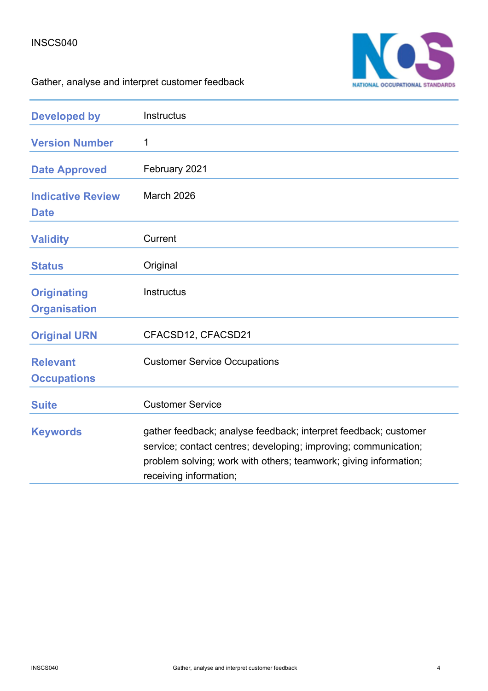#### INSCS040



Gather, analyse and interpret customer feedback

| <b>Developed by</b>                       | Instructus                                                                                                                                                                                                                       |
|-------------------------------------------|----------------------------------------------------------------------------------------------------------------------------------------------------------------------------------------------------------------------------------|
| <b>Version Number</b>                     | 1                                                                                                                                                                                                                                |
| <b>Date Approved</b>                      | February 2021                                                                                                                                                                                                                    |
| <b>Indicative Review</b><br><b>Date</b>   | March 2026                                                                                                                                                                                                                       |
| <b>Validity</b>                           | Current                                                                                                                                                                                                                          |
| <b>Status</b>                             | Original                                                                                                                                                                                                                         |
| <b>Originating</b><br><b>Organisation</b> | Instructus                                                                                                                                                                                                                       |
| <b>Original URN</b>                       | CFACSD12, CFACSD21                                                                                                                                                                                                               |
| <b>Relevant</b><br><b>Occupations</b>     | <b>Customer Service Occupations</b>                                                                                                                                                                                              |
| <b>Suite</b>                              | <b>Customer Service</b>                                                                                                                                                                                                          |
| <b>Keywords</b>                           | gather feedback; analyse feedback; interpret feedback; customer<br>service; contact centres; developing; improving; communication;<br>problem solving; work with others; teamwork; giving information;<br>receiving information; |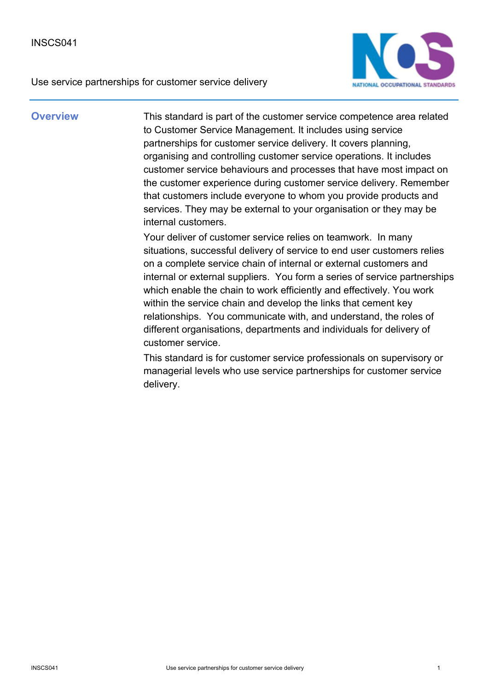



**Overview** This standard is part of the customer service competence area related to Customer Service Management. It includes using service partnerships for customer service delivery. It covers planning, organising and controlling customer service operations. It includes customer service behaviours and processes that have most impact on the customer experience during customer service delivery. Remember that customers include everyone to whom you provide products and services. They may be external to your organisation or they may be internal customers.

> Your deliver of customer service relies on teamwork. In many situations, successful delivery of service to end user customers relies on a complete service chain of internal or external customers and internal or external suppliers. You form a series of service partnerships which enable the chain to work efficiently and effectively. You work within the service chain and develop the links that cement key relationships. You communicate with, and understand, the roles of different organisations, departments and individuals for delivery of customer service.

This standard is for customer service professionals on supervisory or managerial levels who use service partnerships for customer service delivery.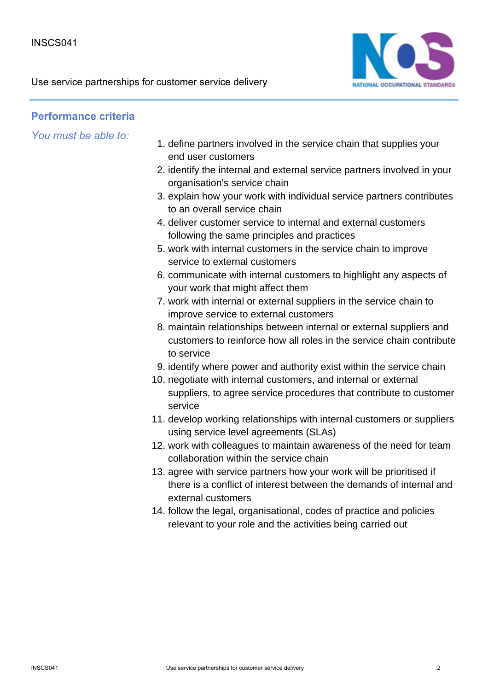Use service partnerships for customer service delivery



### **Performance criteria**

- 1. define partners involved in the service chain that supplies your end user customers
- 2. identify the internal and external service partners involved in your organisation's service chain
- 3. explain how your work with individual service partners contributes to an overall service chain
- 4. deliver customer service to internal and external customers following the same principles and practices
- 5. work with internal customers in the service chain to improve service to external customers
- 6. communicate with internal customers to highlight any aspects of your work that might affect them
- 7. work with internal or external suppliers in the service chain to improve service to external customers
- maintain relationships between internal or external suppliers and 8. customers to reinforce how all roles in the service chain contribute to service
- 9. identify where power and authority exist within the service chain
- 10. negotiate with internal customers, and internal or external suppliers, to agree service procedures that contribute to customer service
- 11. develop working relationships with internal customers or suppliers using service level agreements (SLAs)
- 12. work with colleagues to maintain awareness of the need for team collaboration within the service chain
- 13. agree with service partners how your work will be prioritised if there is a conflict of interest between the demands of internal and external customers
- 14. follow the legal, organisational, codes of practice and policies relevant to your role and the activities being carried out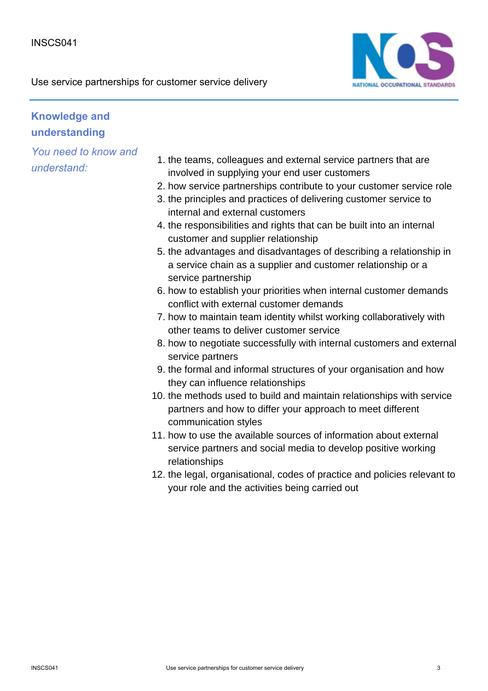

# **Knowledge and understanding**

- 1. the teams, colleagues and external service partners that are involved in supplying your end user customers
- 2. how service partnerships contribute to your customer service role
- 3. the principles and practices of delivering customer service to internal and external customers
- 4. the responsibilities and rights that can be built into an internal customer and supplier relationship
- 5. the advantages and disadvantages of describing a relationship in a service chain as a supplier and customer relationship or a service partnership
- 6. how to establish your priorities when internal customer demands conflict with external customer demands
- 7. how to maintain team identity whilst working collaboratively with other teams to deliver customer service
- 8. how to negotiate successfully with internal customers and external service partners
- 9. the formal and informal structures of your organisation and how they can influence relationships
- 10. the methods used to build and maintain relationships with service partners and how to differ your approach to meet different communication styles
- 11. how to use the available sources of information about external service partners and social media to develop positive working relationships
- 12. the legal, organisational, codes of practice and policies relevant to your role and the activities being carried out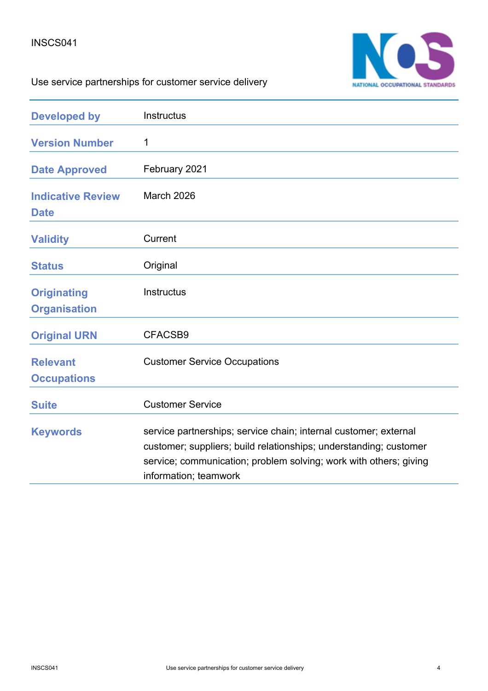#### INSCS041



# Use service partnerships for customer service delivery

| <b>Developed by</b>                       | <b>Instructus</b>                                                                                                                                                                                                                   |
|-------------------------------------------|-------------------------------------------------------------------------------------------------------------------------------------------------------------------------------------------------------------------------------------|
| <b>Version Number</b>                     | 1                                                                                                                                                                                                                                   |
| <b>Date Approved</b>                      | February 2021                                                                                                                                                                                                                       |
| <b>Indicative Review</b><br><b>Date</b>   | March 2026                                                                                                                                                                                                                          |
| <b>Validity</b>                           | Current                                                                                                                                                                                                                             |
| <b>Status</b>                             | Original                                                                                                                                                                                                                            |
| <b>Originating</b><br><b>Organisation</b> | <b>Instructus</b>                                                                                                                                                                                                                   |
| <b>Original URN</b>                       | CFACSB9                                                                                                                                                                                                                             |
| <b>Relevant</b><br><b>Occupations</b>     | <b>Customer Service Occupations</b>                                                                                                                                                                                                 |
| <b>Suite</b>                              | <b>Customer Service</b>                                                                                                                                                                                                             |
| <b>Keywords</b>                           | service partnerships; service chain; internal customer; external<br>customer; suppliers; build relationships; understanding; customer<br>service; communication; problem solving; work with others; giving<br>information; teamwork |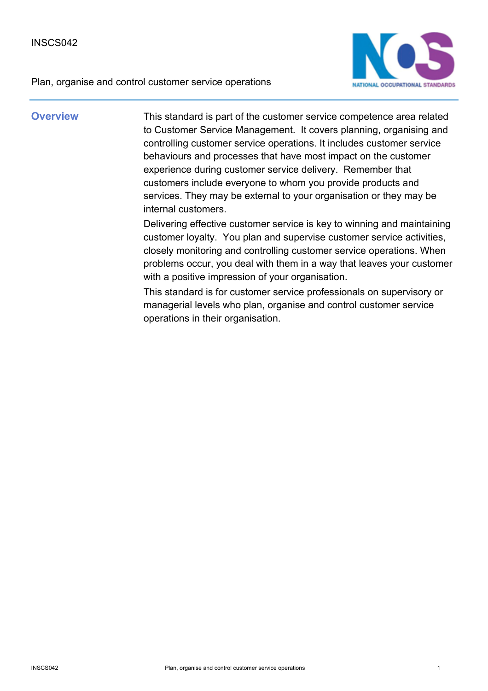



**Overview** This standard is part of the customer service competence area related to Customer Service Management. It covers planning, organising and controlling customer service operations. It includes customer service behaviours and processes that have most impact on the customer experience during customer service delivery. Remember that customers include everyone to whom you provide products and services. They may be external to your organisation or they may be internal customers.

> Delivering effective customer service is key to winning and maintaining customer loyalty. You plan and supervise customer service activities, closely monitoring and controlling customer service operations. When problems occur, you deal with them in a way that leaves your customer with a positive impression of your organisation.

This standard is for customer service professionals on supervisory or managerial levels who plan, organise and control customer service operations in their organisation.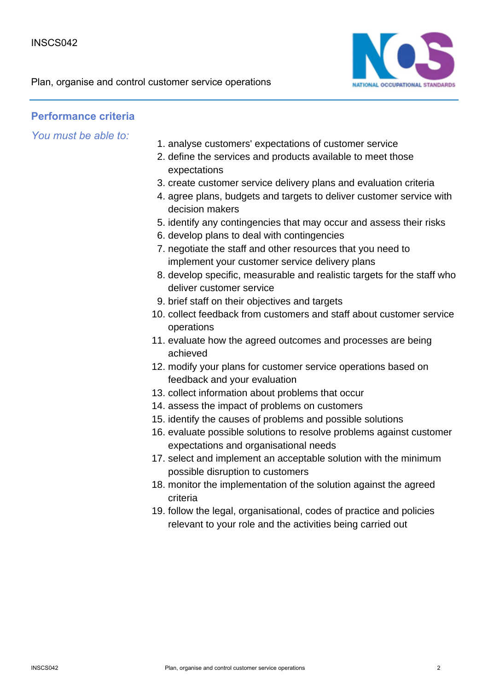Plan, organise and control customer service operations



### **Performance criteria**

- 1. analyse customers' expectations of customer service
- 2. define the services and products available to meet those expectations
- 3. create customer service delivery plans and evaluation criteria
- 4. agree plans, budgets and targets to deliver customer service with decision makers
- 5. identify any contingencies that may occur and assess their risks
- 6. develop plans to deal with contingencies
- 7. negotiate the staff and other resources that you need to implement your customer service delivery plans
- 8. develop specific, measurable and realistic targets for the staff who deliver customer service
- 9. brief staff on their objectives and targets
- 10. collect feedback from customers and staff about customer service operations
- 11. evaluate how the agreed outcomes and processes are being achieved
- 12. modify your plans for customer service operations based on feedback and your evaluation
- 13. collect information about problems that occur
- 14. assess the impact of problems on customers
- 15. identify the causes of problems and possible solutions
- 16. evaluate possible solutions to resolve problems against customer expectations and organisational needs
- 17. select and implement an acceptable solution with the minimum possible disruption to customers
- 18. monitor the implementation of the solution against the agreed criteria
- 19. follow the legal, organisational, codes of practice and policies relevant to your role and the activities being carried out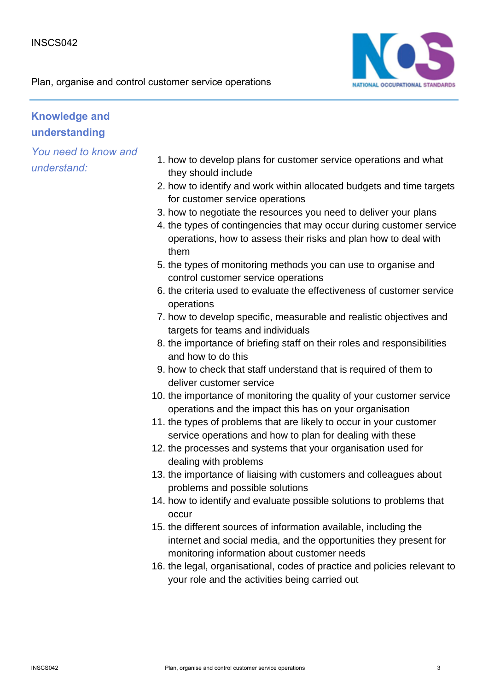

# **Knowledge and understanding**

- 1. how to develop plans for customer service operations and what they should include
- 2. how to identify and work within allocated budgets and time targets for customer service operations
- 3. how to negotiate the resources you need to deliver your plans
- 4. the types of contingencies that may occur during customer service operations, how to assess their risks and plan how to deal with them
- 5. the types of monitoring methods you can use to organise and control customer service operations
- 6. the criteria used to evaluate the effectiveness of customer service operations
- 7. how to develop specific, measurable and realistic objectives and targets for teams and individuals
- 8. the importance of briefing staff on their roles and responsibilities and how to do this
- 9. how to check that staff understand that is required of them to deliver customer service
- 10. the importance of monitoring the quality of your customer service operations and the impact this has on your organisation
- 11. the types of problems that are likely to occur in your customer service operations and how to plan for dealing with these
- 12. the processes and systems that your organisation used for dealing with problems
- 13. the importance of liaising with customers and colleagues about problems and possible solutions
- 14. how to identify and evaluate possible solutions to problems that occur
- 15. the different sources of information available, including the internet and social media, and the opportunities they present for monitoring information about customer needs
- 16. the legal, organisational, codes of practice and policies relevant to your role and the activities being carried out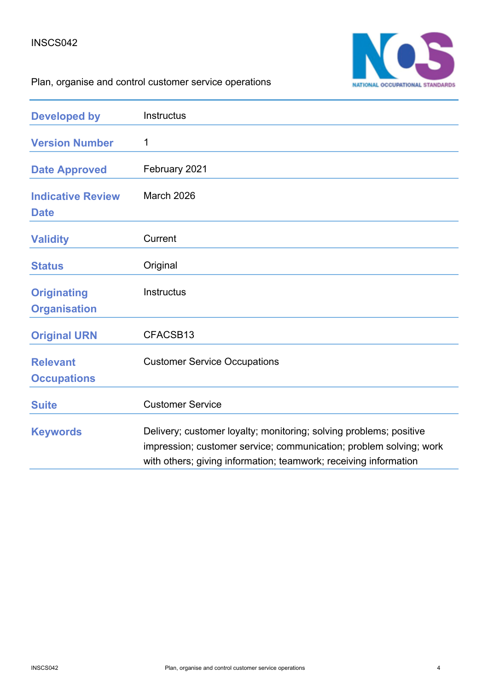#### INSCS042



# Plan, organise and control customer service operations

| <b>Developed by</b>                       | Instructus                                                                                                                                                                                                   |
|-------------------------------------------|--------------------------------------------------------------------------------------------------------------------------------------------------------------------------------------------------------------|
| <b>Version Number</b>                     | 1                                                                                                                                                                                                            |
| <b>Date Approved</b>                      | February 2021                                                                                                                                                                                                |
| <b>Indicative Review</b><br><b>Date</b>   | <b>March 2026</b>                                                                                                                                                                                            |
| <b>Validity</b>                           | Current                                                                                                                                                                                                      |
| <b>Status</b>                             | Original                                                                                                                                                                                                     |
| <b>Originating</b><br><b>Organisation</b> | <b>Instructus</b>                                                                                                                                                                                            |
| <b>Original URN</b>                       | CFACSB13                                                                                                                                                                                                     |
| <b>Relevant</b><br><b>Occupations</b>     | <b>Customer Service Occupations</b>                                                                                                                                                                          |
| <b>Suite</b>                              | <b>Customer Service</b>                                                                                                                                                                                      |
| <b>Keywords</b>                           | Delivery; customer loyalty; monitoring; solving problems; positive<br>impression; customer service; communication; problem solving; work<br>with others; giving information; teamwork; receiving information |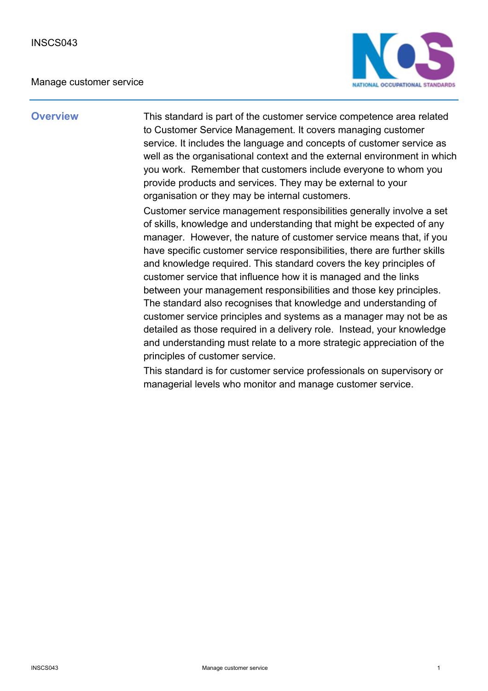#### Manage customer service



**Overview** This standard is part of the customer service competence area related to Customer Service Management. It covers managing customer service. It includes the language and concepts of customer service as well as the organisational context and the external environment in which you work. Remember that customers include everyone to whom you provide products and services. They may be external to your organisation or they may be internal customers.

> Customer service management responsibilities generally involve a set of skills, knowledge and understanding that might be expected of any manager. However, the nature of customer service means that, if you have specific customer service responsibilities, there are further skills and knowledge required. This standard covers the key principles of customer service that influence how it is managed and the links between your management responsibilities and those key principles. The standard also recognises that knowledge and understanding of customer service principles and systems as a manager may not be as detailed as those required in a delivery role. Instead, your knowledge and understanding must relate to a more strategic appreciation of the principles of customer service.

This standard is for customer service professionals on supervisory or managerial levels who monitor and manage customer service.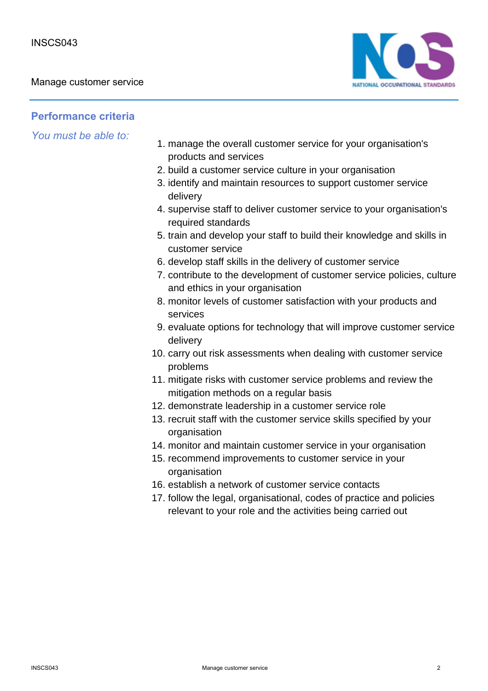

### **Performance criteria**

- 1. manage the overall customer service for your organisation's products and services
- 2. build a customer service culture in your organisation
- 3. identify and maintain resources to support customer service delivery
- 4. supervise staff to deliver customer service to your organisation's required standards
- 5. train and develop your staff to build their knowledge and skills in customer service
- 6. develop staff skills in the delivery of customer service
- 7. contribute to the development of customer service policies, culture and ethics in your organisation
- 8. monitor levels of customer satisfaction with your products and services
- 9. evaluate options for technology that will improve customer service delivery
- 10. carry out risk assessments when dealing with customer service problems
- 11. mitigate risks with customer service problems and review the mitigation methods on a regular basis
- 12. demonstrate leadership in a customer service role
- 13. recruit staff with the customer service skills specified by your organisation
- 14. monitor and maintain customer service in your organisation
- 15. recommend improvements to customer service in your organisation
- 16. establish a network of customer service contacts
- 17. follow the legal, organisational, codes of practice and policies relevant to your role and the activities being carried out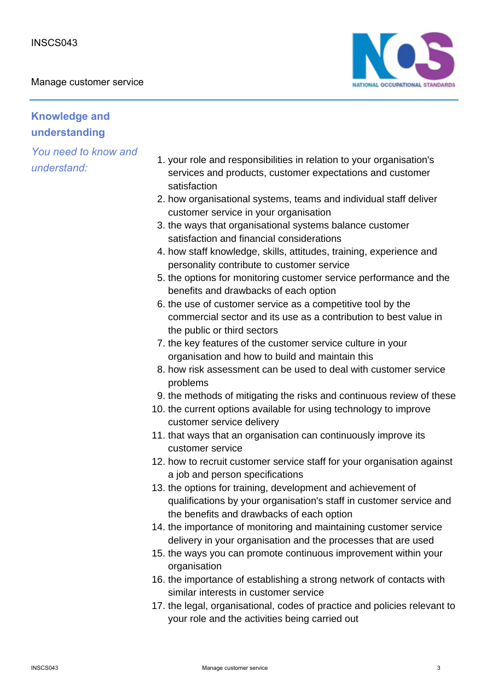Manage customer service



## **Knowledge and understanding**

- 1. your role and responsibilities in relation to your organisation's services and products, customer expectations and customer satisfaction
- 2. how organisational systems, teams and individual staff deliver customer service in your organisation
- 3. the ways that organisational systems balance customer satisfaction and financial considerations
- 4. how staff knowledge, skills, attitudes, training, experience and personality contribute to customer service
- 5. the options for monitoring customer service performance and the benefits and drawbacks of each option
- 6. the use of customer service as a competitive tool by the commercial sector and its use as a contribution to best value in the public or third sectors
- 7. the key features of the customer service culture in your organisation and how to build and maintain this
- 8. how risk assessment can be used to deal with customer service problems
- 9. the methods of mitigating the risks and continuous review of these
- 10. the current options available for using technology to improve customer service delivery
- 11. that ways that an organisation can continuously improve its customer service
- 12. how to recruit customer service staff for your organisation against a job and person specifications
- 13. the options for training, development and achievement of qualifications by your organisation's staff in customer service and the benefits and drawbacks of each option
- 14. the importance of monitoring and maintaining customer service delivery in your organisation and the processes that are used
- 15. the ways you can promote continuous improvement within your organisation
- 16. the importance of establishing a strong network of contacts with similar interests in customer service
- 17. the legal, organisational, codes of practice and policies relevant to your role and the activities being carried out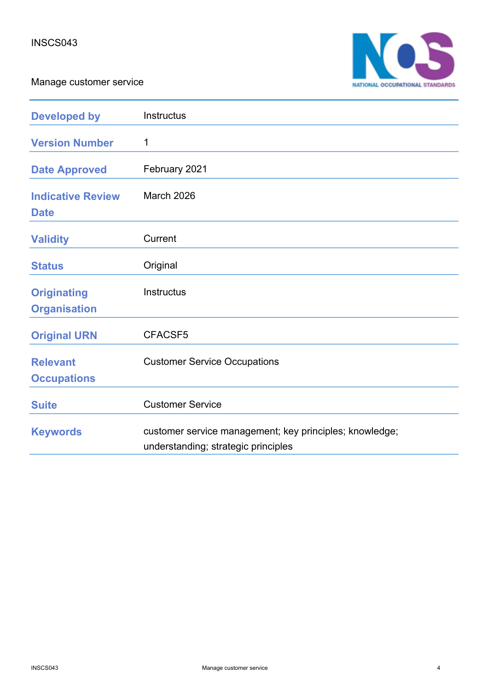Manage customer service



| <b>Developed by</b>                       | Instructus                                                                                     |
|-------------------------------------------|------------------------------------------------------------------------------------------------|
| <b>Version Number</b>                     | 1                                                                                              |
| <b>Date Approved</b>                      | February 2021                                                                                  |
| <b>Indicative Review</b><br><b>Date</b>   | March 2026                                                                                     |
| <b>Validity</b>                           | Current                                                                                        |
| <b>Status</b>                             | Original                                                                                       |
| <b>Originating</b><br><b>Organisation</b> | Instructus                                                                                     |
| <b>Original URN</b>                       | CFACSF5                                                                                        |
| <b>Relevant</b><br><b>Occupations</b>     | <b>Customer Service Occupations</b>                                                            |
| <b>Suite</b>                              | <b>Customer Service</b>                                                                        |
| <b>Keywords</b>                           | customer service management; key principles; knowledge;<br>understanding; strategic principles |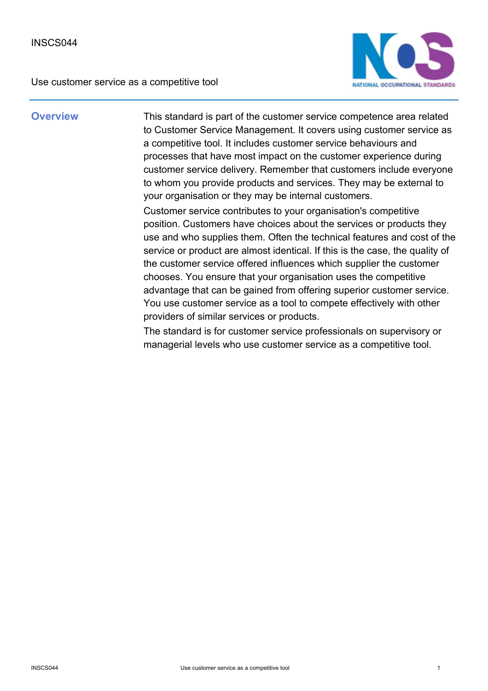Use customer service as a competitive tool



**Overview** This standard is part of the customer service competence area related to Customer Service Management. It covers using customer service as a competitive tool. It includes customer service behaviours and processes that have most impact on the customer experience during customer service delivery. Remember that customers include everyone to whom you provide products and services. They may be external to your organisation or they may be internal customers.

> Customer service contributes to your organisation's competitive position. Customers have choices about the services or products they use and who supplies them. Often the technical features and cost of the service or product are almost identical. If this is the case, the quality of the customer service offered influences which supplier the customer chooses. You ensure that your organisation uses the competitive advantage that can be gained from offering superior customer service. You use customer service as a tool to compete effectively with other providers of similar services or products.

The standard is for customer service professionals on supervisory or managerial levels who use customer service as a competitive tool.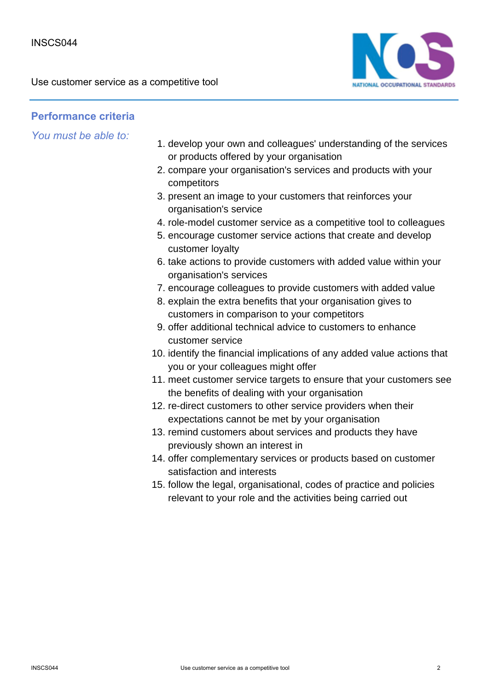

### **Performance criteria**

- 1. develop your own and colleagues' understanding of the services or products offered by your organisation
- 2. compare your organisation's services and products with your competitors
- 3. present an image to your customers that reinforces your organisation's service
- 4. role-model customer service as a competitive tool to colleagues
- 5. encourage customer service actions that create and develop customer loyalty
- 6. take actions to provide customers with added value within your organisation's services
- 7. encourage colleagues to provide customers with added value
- 8. explain the extra benefits that your organisation gives to customers in comparison to your competitors
- 9. offer additional technical advice to customers to enhance customer service
- 10. identify the financial implications of any added value actions that you or your colleagues might offer
- 11. meet customer service targets to ensure that your customers see the benefits of dealing with your organisation
- 12. re-direct customers to other service providers when their expectations cannot be met by your organisation
- 13. remind customers about services and products they have previously shown an interest in
- 14. offer complementary services or products based on customer satisfaction and interests
- 15. follow the legal, organisational, codes of practice and policies relevant to your role and the activities being carried out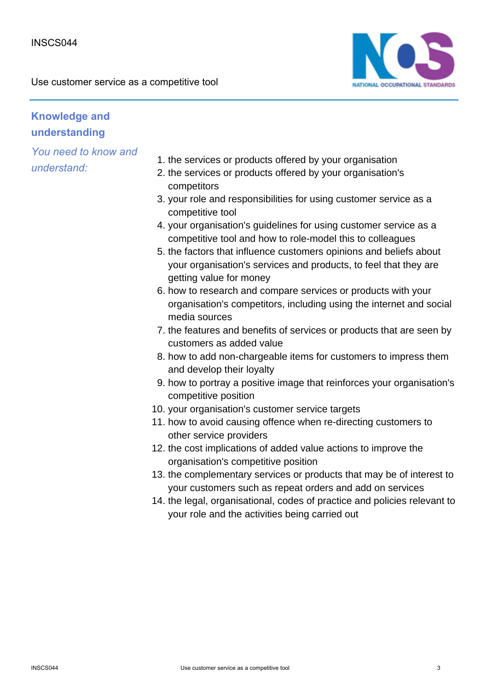Use customer service as a competitive tool



# **Knowledge and understanding**

- 1. the services or products offered by your organisation
- 2. the services or products offered by your organisation's competitors
- 3. your role and responsibilities for using customer service as a competitive tool
- 4. your organisation's guidelines for using customer service as a competitive tool and how to role-model this to colleagues
- 5. the factors that influence customers opinions and beliefs about your organisation's services and products, to feel that they are getting value for money
- 6. how to research and compare services or products with your organisation's competitors, including using the internet and social media sources
- 7. the features and benefits of services or products that are seen by customers as added value
- 8. how to add non-chargeable items for customers to impress them and develop their loyalty
- 9. how to portray a positive image that reinforces your organisation's competitive position
- 10. your organisation's customer service targets
- 11. how to avoid causing offence when re-directing customers to other service providers
- 12. the cost implications of added value actions to improve the organisation's competitive position
- 13. the complementary services or products that may be of interest to your customers such as repeat orders and add on services
- 14. the legal, organisational, codes of practice and policies relevant to your role and the activities being carried out